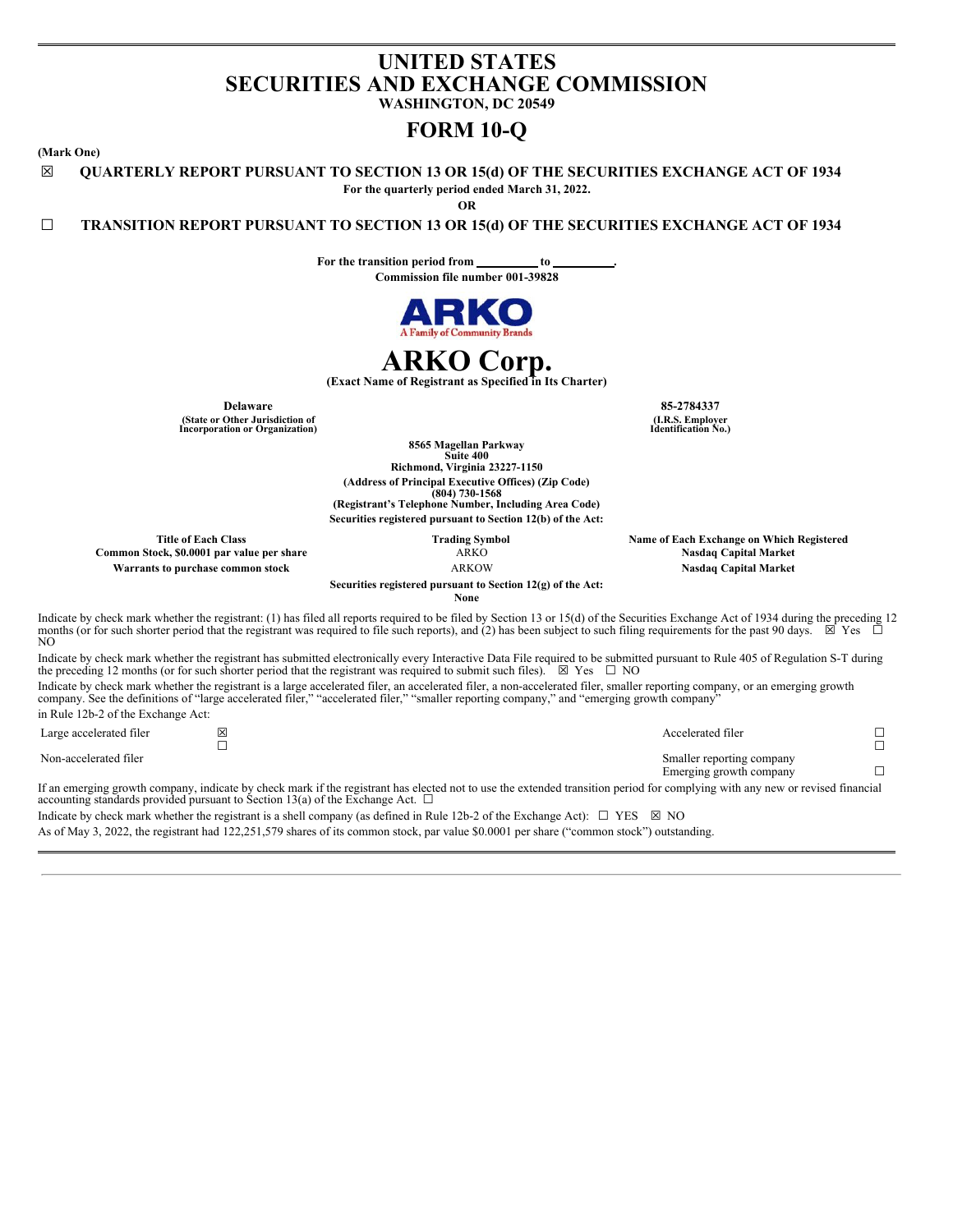# **UNITED STATES SECURITIES AND EXCHANGE COMMISSION WASHINGTON, DC 20549**

# **FORM 10-Q**

**(Mark One)**

☒ **QUARTERLY REPORT PURSUANT TO SECTION 13 OR 15(d) OF THE SECURITIES EXCHANGE ACT OF 1934 For the quarterly period ended March 31, 2022.**

**OR**

☐ **TRANSITION REPORT PURSUANT TO SECTION 13 OR 15(d) OF THE SECURITIES EXCHANGE ACT OF 1934**

**For the transition period from to . Commission file number 001-39828**





**(Exact Name of Registrant as Specified in Its Charter)**

**(State or Other Jurisdiction of Incorporation or Organization)**

**Delaware 85-2784337 (I.R.S. Employer Identification No.)**

> **8565 Magellan Parkway Suite 400 Richmond, Virginia 23227-1150 (Address of Principal Executive Offices) (Zip Code) (804) 730-1568 (Registrant's Telephone Number, Including Area Code) Securities registered pursuant to Section 12(b) of the Act:**

**Common Stock, \$0.0001 par value per share** ARKO **Nasdaq Capital Market Warrants to purchase common stock ARKOW** ARKOW **Nasdaq** Capital Market

**Title of Each Class Trading Symbol Name of Each Exchange on Which Registered**

**Securities registered pursuant to Section 12(g) of the Act:**

**None**

Indicate by check mark whether the registrant: (1) has filed all reports required to be filed by Section 13 or 15(d) of the Securities Exchange Act of 1934 during the preceding 12 months (or for such shorter period that the registrant was required to file such reports), and (2) has been subject to such filing requirements for the past 90 days.  $\boxtimes$  Yes  $\Box$ NO

Indicate by check mark whether the registrant has submitted electronically every Interactive Data File required to be submitted pursuant to Rule 405 of Regulation S-T during the preceding 12 months (or for such shorter pe Indicate by check mark whether the registrant is a large accelerated filer, an accelerated filer, a non-accelerated filer, smaller reporting company, or an emerging growth<br>company. See the definitions of "large accelerated

in Rule 12b-2 of the Exchange Act:

Large accelerated filer □ Accelerated filer □ Non-accelerated filer  $\Box$ Smaller reporting company  $\Box$ Emerging growth company  $\Box$ If an emerging growth company, indicate by check mark if the registrant has elected not to use the extended transition period for complying with any new or revised financial accounting standards provided pursuant to Section 13(a) of the Exchange Act.  $\Box$ 

Indicate by check mark whether the registrant is a shell company (as defined in Rule 12b-2 of the Exchange Act):  $\Box$  YES  $\boxtimes$  NO As of May 3, 2022, the registrant had 122,251,579 shares of its common stock, par value \$0.0001 per share ("common stock") outstanding.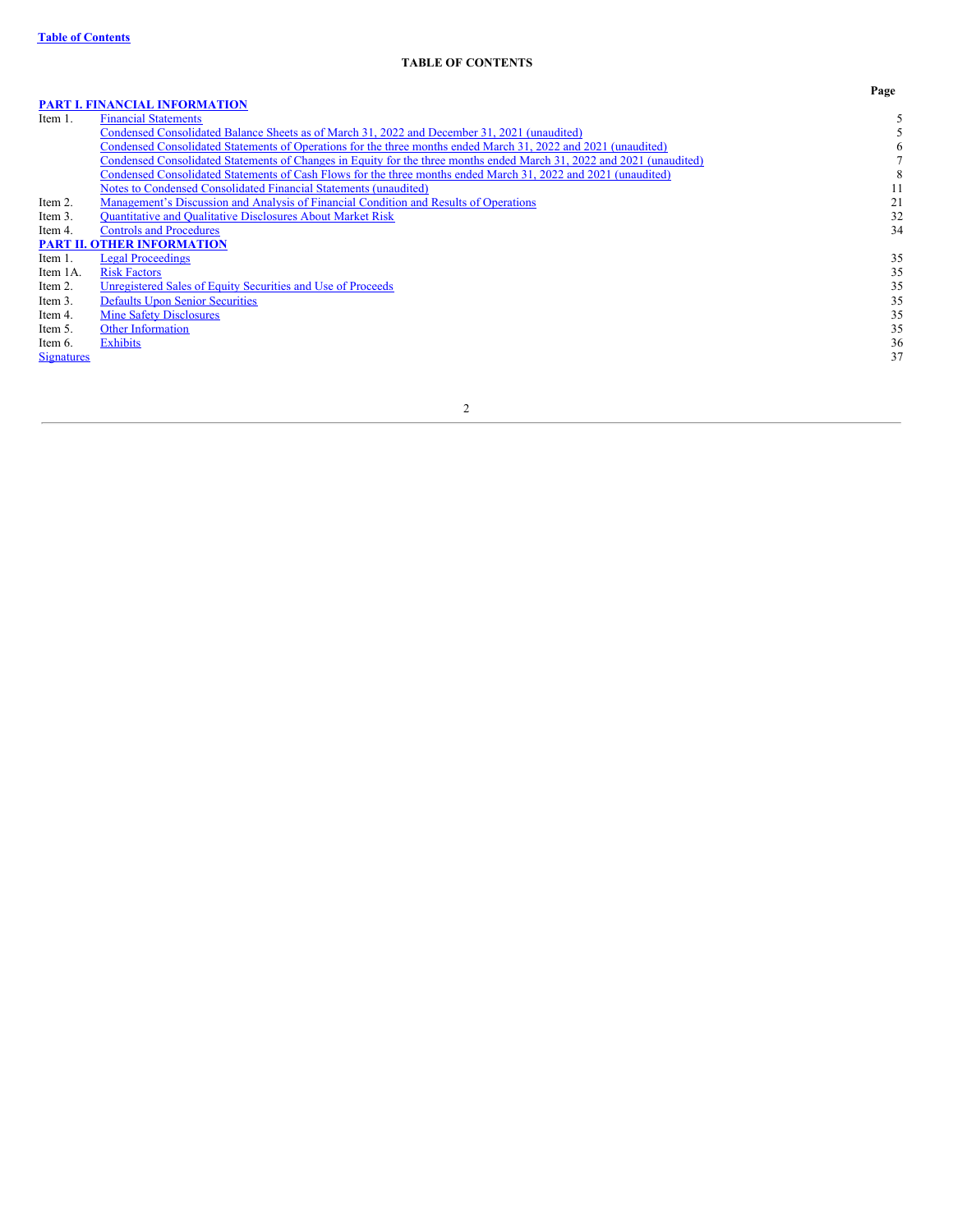### **TABLE OF CONTENTS**

## <span id="page-1-0"></span>**PART I. FINANCIAL [INFORMATION](#page-4-0)**

| Item 1.           | <b>Financial Statements</b>                                                                                           |    |
|-------------------|-----------------------------------------------------------------------------------------------------------------------|----|
|                   | Condensed Consolidated Balance Sheets as of March 31, 2022 and December 31, 2021 (unaudited)                          |    |
|                   | Condensed Consolidated Statements of Operations for the three months ended March 31, 2022 and 2021 (unaudited)        |    |
|                   | Condensed Consolidated Statements of Changes in Equity for the three months ended March 31, 2022 and 2021 (unaudited) |    |
|                   | Condensed Consolidated Statements of Cash Flows for the three months ended March 31, 2022 and 2021 (unaudited)        | 8  |
|                   | Notes to Condensed Consolidated Financial Statements (unaudited)                                                      | 11 |
| Item 2.           | Management's Discussion and Analysis of Financial Condition and Results of Operations                                 | 21 |
| Item 3.           | <b>Ouantitative and Qualitative Disclosures About Market Risk</b>                                                     | 32 |
| Item 4.           | <b>Controls and Procedures</b>                                                                                        | 34 |
|                   | <b>PART II. OTHER INFORMATION</b>                                                                                     |    |
| Item 1.           | <b>Legal Proceedings</b>                                                                                              | 35 |
| Item 1A.          | <b>Risk Factors</b>                                                                                                   | 35 |
| Item 2.           | Unregistered Sales of Equity Securities and Use of Proceeds                                                           | 35 |
| Item 3.           | <b>Defaults Upon Senior Securities</b>                                                                                | 35 |
| Item 4.           | <b>Mine Safety Disclosures</b>                                                                                        | 35 |
| Item 5.           | <b>Other Information</b>                                                                                              | 35 |
| Item 6.           | <b>Exhibits</b>                                                                                                       | 36 |
| <b>Signatures</b> |                                                                                                                       | 37 |
|                   |                                                                                                                       |    |

**Page**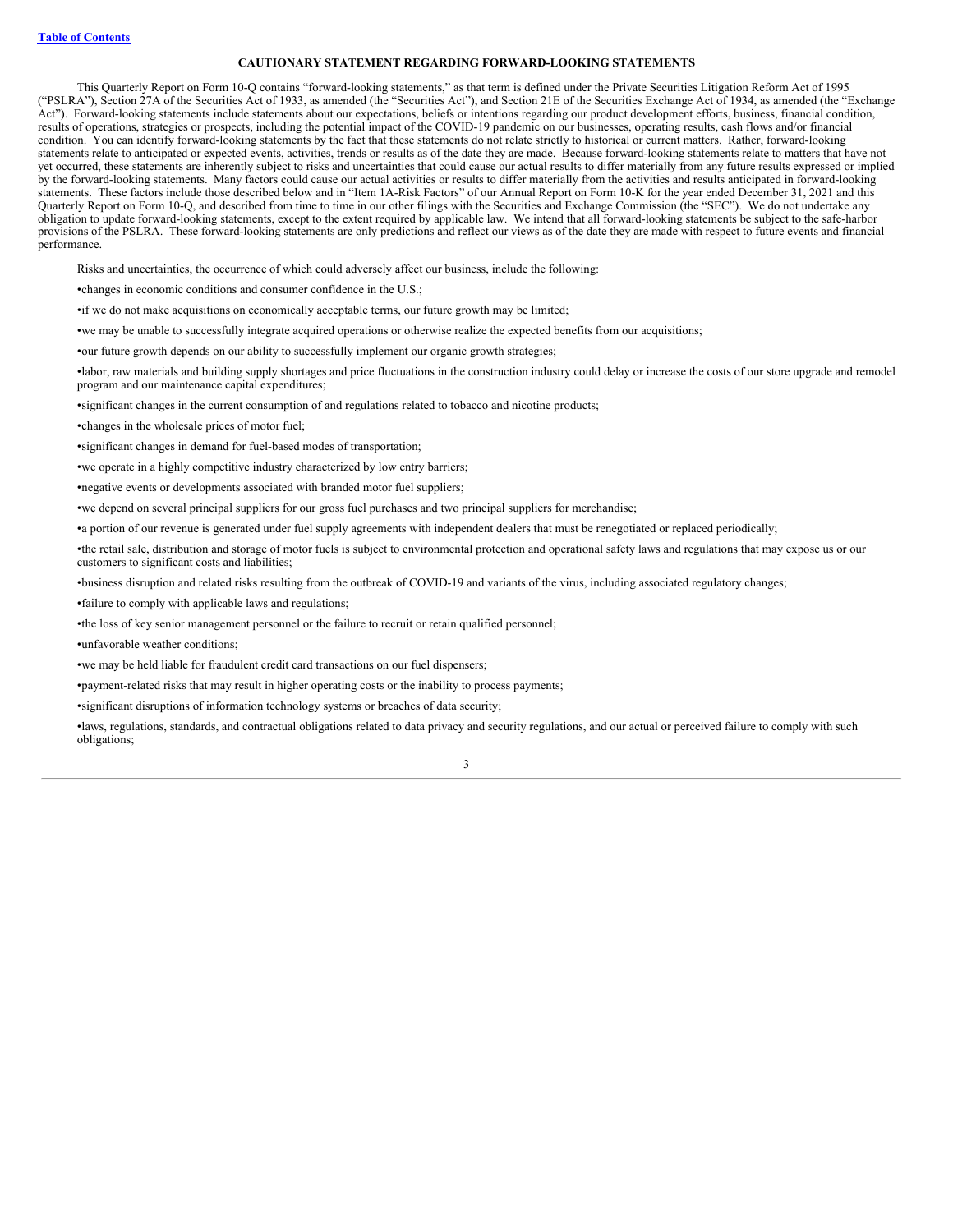### **CAUTIONARY STATEMENT REGARDING FORWARD-LOOKING STATEMENTS**

This Quarterly Report on Form 10-Q contains "forward-looking statements," as that term is defined under the Private Securities Litigation Reform Act of 1995 ("PSLRA"), Section 27A of the Securities Act of 1933, as amended (the "Securities Act"), and Section 21E of the Securities Exchange Act of 1934, as amended (the "Exchange Act"). Forward-looking statements include statements about our expectations, beliefs or intentions regarding our product development efforts, business, financial condition, results of operations, strategies or prospects, including the potential impact of the COVID-19 pandemic on our businesses, operating results, cash flows and/or financial condition. You can identify forward-looking statements by the fact that these statements do not relate strictly to historical or current matters. Rather, forward-looking statements relate to anticipated or expected events, activities, trends or results as of the date they are made. Because forward-looking statements relate to matters that have not yet occurred, these statements are inherently subject to risks and uncertainties that could cause our actual results to differ materially from any future results expressed or implied by the forward-looking statements. Many factors could cause our actual activities or results to differ materially from the activities and results anticipated in forward-looking statements. These factors include those described below and in "Item 1A-Risk Factors" of our Annual Report on Form 10-K for the year ended December 31, 2021 and this Quarterly Report on Form 10-Q, and described from time to time in our other filings with the Securities and Exchange Commission (the "SEC"). We do not undertake any obligation to update forward-looking statements, except to the extent required by applicable law. We intend that all forward-looking statements be subject to the safe-harbor provisions of the PSLRA. These forward-looking statements are only predictions and reflect our views as of the date they are made with respect to future events and financial performance.

Risks and uncertainties, the occurrence of which could adversely affect our business, include the following:

•changes in economic conditions and consumer confidence in the U.S.;

•if we do not make acquisitions on economically acceptable terms, our future growth may be limited;

•we may be unable to successfully integrate acquired operations or otherwise realize the expected benefits from our acquisitions;

•our future growth depends on our ability to successfully implement our organic growth strategies;

•labor, raw materials and building supply shortages and price fluctuations in the construction industry could delay or increase the costs of our store upgrade and remodel program and our maintenance capital expenditures;

•significant changes in the current consumption of and regulations related to tobacco and nicotine products;

•changes in the wholesale prices of motor fuel;

•significant changes in demand for fuel-based modes of transportation;

•we operate in a highly competitive industry characterized by low entry barriers;

•negative events or developments associated with branded motor fuel suppliers;

•we depend on several principal suppliers for our gross fuel purchases and two principal suppliers for merchandise;

•a portion of our revenue is generated under fuel supply agreements with independent dealers that must be renegotiated or replaced periodically;

•the retail sale, distribution and storage of motor fuels is subject to environmental protection and operational safety laws and regulations that may expose us or our customers to significant costs and liabilities;

•business disruption and related risks resulting from the outbreak of COVID-19 and variants of the virus, including associated regulatory changes;

•failure to comply with applicable laws and regulations;

•the loss of key senior management personnel or the failure to recruit or retain qualified personnel;

•unfavorable weather conditions;

•we may be held liable for fraudulent credit card transactions on our fuel dispensers;

•payment-related risks that may result in higher operating costs or the inability to process payments;

•significant disruptions of information technology systems or breaches of data security;

•laws, regulations, standards, and contractual obligations related to data privacy and security regulations, and our actual or perceived failure to comply with such obligations;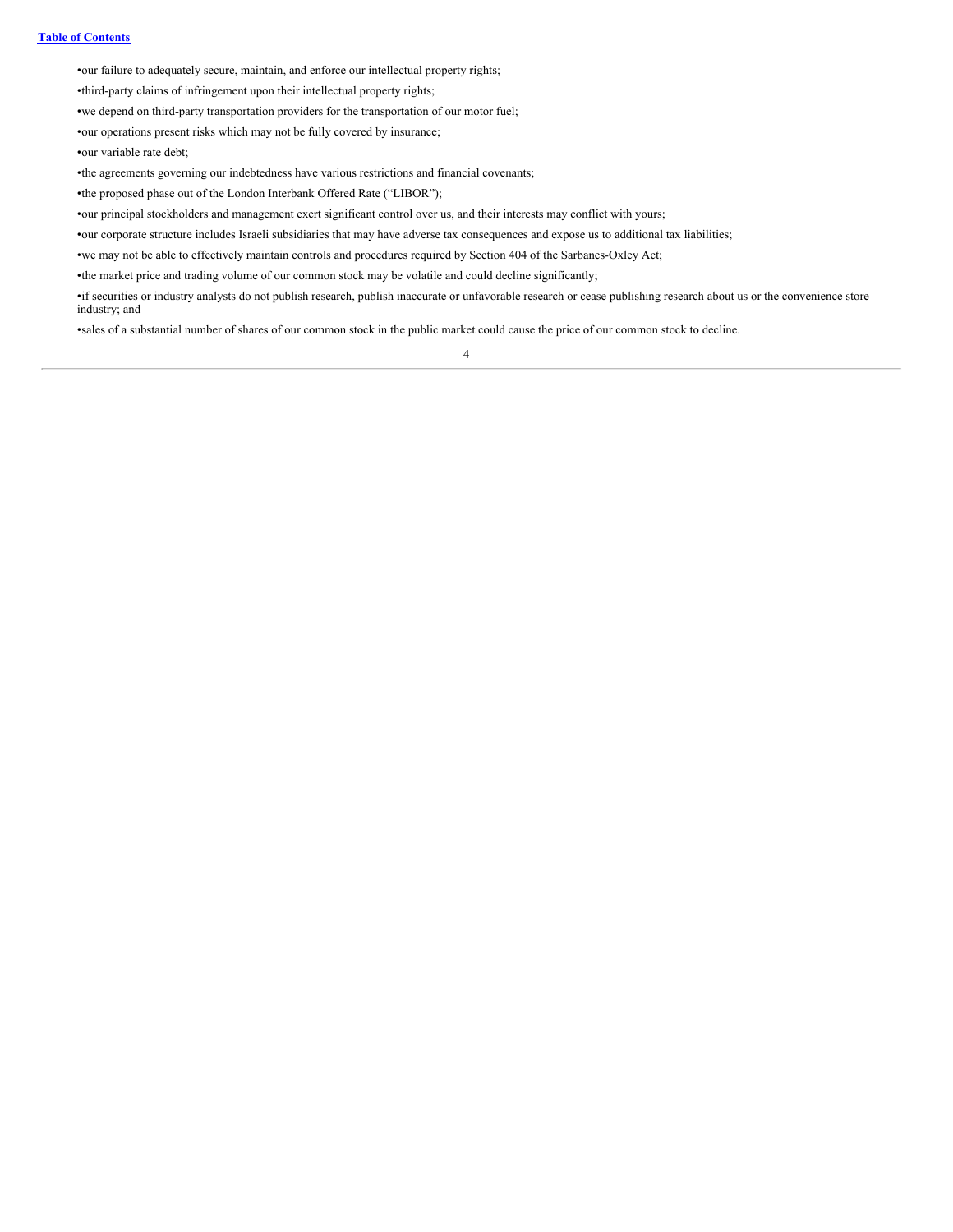•our failure to adequately secure, maintain, and enforce our intellectual property rights;

•third-party claims of infringement upon their intellectual property rights;

•we depend on third-party transportation providers for the transportation of our motor fuel;

•our operations present risks which may not be fully covered by insurance;

•our variable rate debt;

•the agreements governing our indebtedness have various restrictions and financial covenants;

•the proposed phase out of the London Interbank Offered Rate ("LIBOR");

•our principal stockholders and management exert significant control over us, and their interests may conflict with yours;

•our corporate structure includes Israeli subsidiaries that may have adverse tax consequences and expose us to additional tax liabilities;

•we may not be able to effectively maintain controls and procedures required by Section 404 of the Sarbanes-Oxley Act;

•the market price and trading volume of our common stock may be volatile and could decline significantly;

•if securities or industry analysts do not publish research, publish inaccurate or unfavorable research or cease publishing research about us or the convenience store industry; and

•sales of a substantial number of shares of our common stock in the public market could cause the price of our common stock to decline.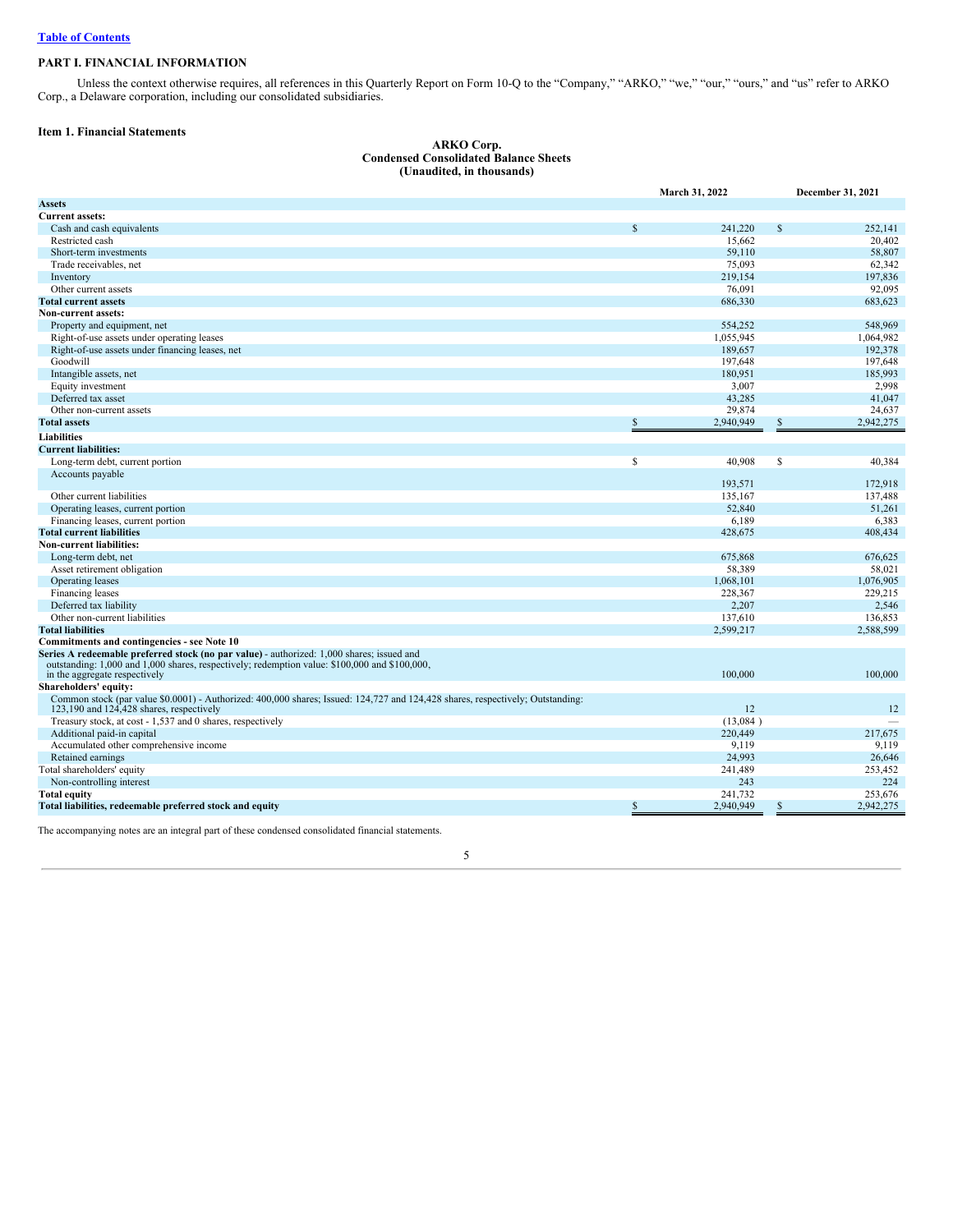### <span id="page-4-0"></span>**PART I. FINANCIAL INFORMATION**

Unless the context otherwise requires, all references in this Quarterly Report on Form 10-Q to the "Company," "ARKO," "we," "our," "ours," and "us" refer to ARKO Corp., a Delaware corporation, including our consolidated subsidiaries.

### <span id="page-4-2"></span><span id="page-4-1"></span>**Item 1. Financial Statements**

#### **ARKO Corp. Condensed Consolidated Balance Sheets (Unaudited, in thousands)**

|                                                                                                                                |          | March 31, 2022 |              | December 31, 2021 |
|--------------------------------------------------------------------------------------------------------------------------------|----------|----------------|--------------|-------------------|
| <b>Assets</b>                                                                                                                  |          |                |              |                   |
| <b>Current assets:</b>                                                                                                         |          |                |              |                   |
| Cash and cash equivalents                                                                                                      | <b>S</b> | 241.220        | $\mathbb{S}$ | 252.141           |
| Restricted cash                                                                                                                |          | 15.662         |              | 20,402            |
| Short-term investments                                                                                                         |          | 59.110         |              | 58,807            |
| Trade receivables, net                                                                                                         |          | 75,093         |              | 62,342            |
| Inventory                                                                                                                      |          | 219,154        |              | 197,836           |
| Other current assets                                                                                                           |          | 76,091         |              | 92,095            |
| <b>Total current assets</b>                                                                                                    |          | 686,330        |              | 683,623           |
| Non-current assets:                                                                                                            |          |                |              |                   |
| Property and equipment, net                                                                                                    |          | 554,252        |              | 548,969           |
| Right-of-use assets under operating leases                                                                                     |          | 1,055,945      |              | 1,064,982         |
| Right-of-use assets under financing leases, net                                                                                |          | 189,657        |              | 192,378           |
| Goodwill                                                                                                                       |          | 197,648        |              | 197,648           |
| Intangible assets, net                                                                                                         |          | 180,951        |              | 185,993           |
| Equity investment                                                                                                              |          | 3,007          |              | 2,998             |
| Deferred tax asset                                                                                                             |          | 43.285         |              | 41,047            |
| Other non-current assets                                                                                                       |          | 29,874         |              | 24,637            |
| <b>Total assets</b>                                                                                                            | \$       | 2,940,949      | $\mathbb{S}$ | 2.942.275         |
|                                                                                                                                |          |                |              |                   |
| <b>Liabilities</b>                                                                                                             |          |                |              |                   |
| <b>Current liabilities:</b>                                                                                                    |          |                |              |                   |
| Long-term debt, current portion                                                                                                | S        | 40,908         | $\mathbb{S}$ | 40,384            |
| Accounts payable                                                                                                               |          |                |              |                   |
|                                                                                                                                |          | 193,571        |              | 172,918           |
| Other current liabilities                                                                                                      |          | 135,167        |              | 137,488           |
| Operating leases, current portion                                                                                              |          | 52,840         |              | 51,261            |
| Financing leases, current portion                                                                                              |          | 6,189          |              | 6,383             |
| <b>Total current liabilities</b>                                                                                               |          | 428,675        |              | 408,434           |
| <b>Non-current liabilities:</b>                                                                                                |          |                |              |                   |
| Long-term debt, net                                                                                                            |          | 675,868        |              | 676,625           |
| Asset retirement obligation                                                                                                    |          | 58,389         |              | 58,021            |
| Operating leases                                                                                                               |          | 1,068,101      |              | 1,076,905         |
| Financing leases                                                                                                               |          | 228,367        |              | 229,215           |
| Deferred tax liability                                                                                                         |          | 2,207          |              | 2,546             |
| Other non-current liabilities                                                                                                  |          | 137,610        |              | 136,853           |
| <b>Total liabilities</b>                                                                                                       |          | 2,599,217      |              | 2,588,599         |
| Commitments and contingencies - see Note 10                                                                                    |          |                |              |                   |
| Series A redeemable preferred stock (no par value) - authorized: 1,000 shares; issued and                                      |          |                |              |                   |
| outstanding: 1,000 and 1,000 shares, respectively; redemption value: \$100,000 and \$100,000,<br>in the aggregate respectively |          | 100,000        |              | 100,000           |
| Shareholders' equity:                                                                                                          |          |                |              |                   |
| Common stock (par value \$0.0001) - Authorized: 400,000 shares; Issued: 124,727 and 124,428 shares, respectively; Outstanding: |          |                |              |                   |
| 123,190 and 124,428 shares, respectively                                                                                       |          | 12             |              | 12                |
| Treasury stock, at cost - 1,537 and 0 shares, respectively                                                                     |          | (13,084)       |              |                   |
| Additional paid-in capital                                                                                                     |          | 220,449        |              | 217,675           |
| Accumulated other comprehensive income                                                                                         |          | 9.119          |              | 9.119             |
| Retained earnings                                                                                                              |          | 24,993         |              | 26,646            |
| Total shareholders' equity                                                                                                     |          | 241,489        |              | 253,452           |
| Non-controlling interest                                                                                                       |          | 243            |              | 224               |
| <b>Total equity</b>                                                                                                            |          | 241.732        |              | 253,676           |
| Total liabilities, redeemable preferred stock and equity                                                                       | \$       | 2.940.949      | $\mathbb{S}$ | 2.942.275         |

The accompanying notes are an integral part of these condensed consolidated financial statements.

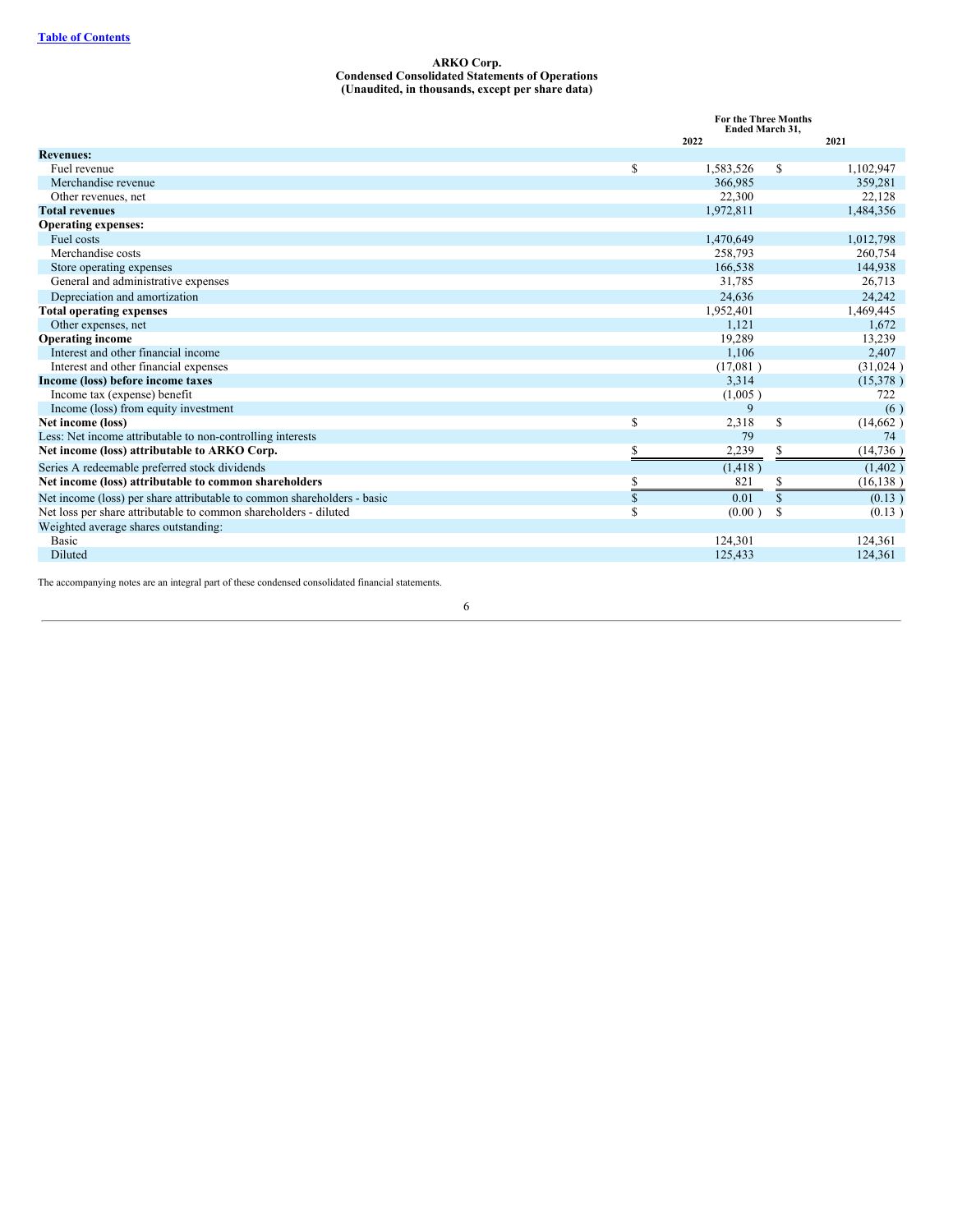#### **ARKO Corp. Condensed Consolidated Statements of Operations (Unaudited, in thousands, except per share data)**

<span id="page-5-0"></span>

|                                                                         |    | For the Three Months<br><b>Ended March 31.</b> |               |           |  |
|-------------------------------------------------------------------------|----|------------------------------------------------|---------------|-----------|--|
|                                                                         |    | 2022                                           |               | 2021      |  |
| <b>Revenues:</b>                                                        |    |                                                |               |           |  |
| Fuel revenue                                                            | S  | 1,583,526                                      | \$            | 1,102,947 |  |
| Merchandise revenue                                                     |    | 366,985                                        |               | 359,281   |  |
| Other revenues, net                                                     |    | 22,300                                         |               | 22,128    |  |
| <b>Total revenues</b>                                                   |    | 1,972,811                                      |               | 1,484,356 |  |
| <b>Operating expenses:</b>                                              |    |                                                |               |           |  |
| Fuel costs                                                              |    | 1,470,649                                      |               | 1,012,798 |  |
| Merchandise costs                                                       |    | 258,793                                        |               | 260,754   |  |
| Store operating expenses                                                |    | 166.538                                        |               | 144,938   |  |
| General and administrative expenses                                     |    | 31,785                                         |               | 26,713    |  |
| Depreciation and amortization                                           |    | 24,636                                         |               | 24,242    |  |
| <b>Total operating expenses</b>                                         |    | 1,952,401                                      |               | 1,469,445 |  |
| Other expenses, net                                                     |    | 1.121                                          |               | 1,672     |  |
| <b>Operating income</b>                                                 |    | 19,289                                         |               | 13,239    |  |
| Interest and other financial income                                     |    | 1.106                                          |               | 2,407     |  |
| Interest and other financial expenses                                   |    | (17,081)                                       |               | (31,024)  |  |
| Income (loss) before income taxes                                       |    | 3,314                                          |               | (15,378)  |  |
| Income tax (expense) benefit                                            |    | (1,005)                                        |               | 722       |  |
| Income (loss) from equity investment                                    |    | 9                                              |               | (6)       |  |
| Net income (loss)                                                       | \$ | 2,318                                          | \$            | (14, 662) |  |
| Less: Net income attributable to non-controlling interests              |    | 79                                             |               | 74        |  |
| Net income (loss) attributable to ARKO Corp.                            | \$ | 2,239                                          | \$            | (14,736)  |  |
| Series A redeemable preferred stock dividends                           |    | (1, 418)                                       |               | (1,402)   |  |
| Net income (loss) attributable to common shareholders                   | S  | 821                                            | S             | (16, 138) |  |
| Net income (loss) per share attributable to common shareholders - basic | \$ | 0.01                                           | \$            | (0.13)    |  |
| Net loss per share attributable to common shareholders - diluted        | \$ | (0.00)                                         | <sup>\$</sup> | (0.13)    |  |
| Weighted average shares outstanding:                                    |    |                                                |               |           |  |
| Basic                                                                   |    | 124,301                                        |               | 124,361   |  |
| Diluted                                                                 |    | 125.433                                        |               | 124.361   |  |

The accompanying notes are an integral part of these condensed consolidated financial statements.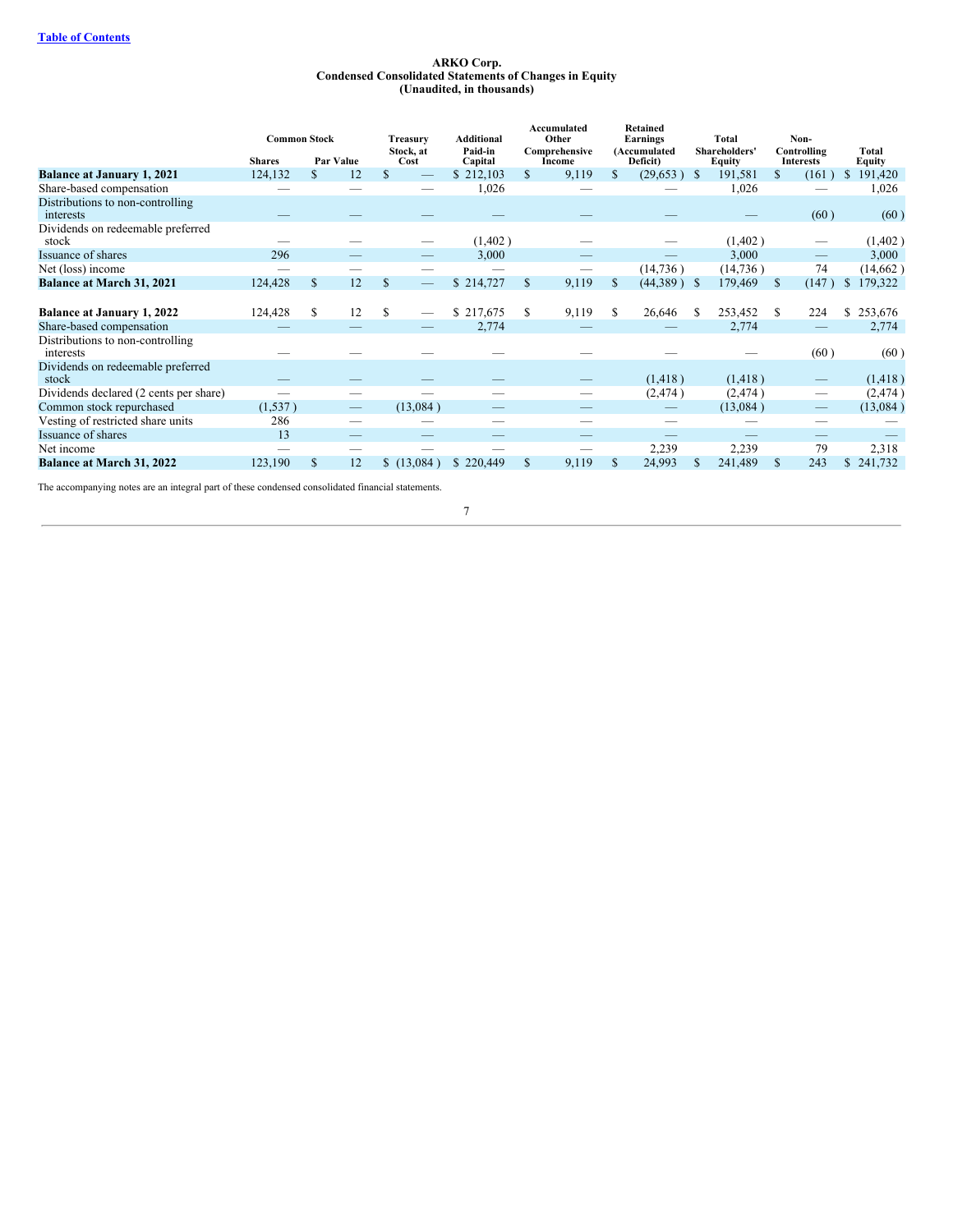#### **ARKO Corp. Condensed Consolidated Statements of Changes in Equity (Unaudited, in thousands)**

<span id="page-6-0"></span>

|                                               | <b>Common Stock</b> |               |           | Treasury     |                   | <b>Additional</b>  | Accumulated<br>Other |                         | <b>Retained</b><br>Earnings |                          | Total |                         | Non-     |                                 |               |                        |
|-----------------------------------------------|---------------------|---------------|-----------|--------------|-------------------|--------------------|----------------------|-------------------------|-----------------------------|--------------------------|-------|-------------------------|----------|---------------------------------|---------------|------------------------|
|                                               | <b>Shares</b>       |               | Par Value |              | Stock, at<br>Cost | Paid-in<br>Capital |                      | Comprehensive<br>Income |                             | (Accumulated<br>Deficit) |       | Shareholders'<br>Equity |          | Controlling<br><b>Interests</b> |               | Total<br><b>Equity</b> |
| <b>Balance at January 1, 2021</b>             | 124,132             |               | 12        | \$           |                   | \$212,103          | \$                   | 9,119                   |                             | (29,653)                 | -8    | 191,581                 | <b>S</b> | (161)                           | S             | 191,420                |
| Share-based compensation                      |                     |               |           |              |                   | 1,026              |                      |                         |                             |                          |       | 1,026                   |          |                                 |               | 1,026                  |
| Distributions to non-controlling<br>interests |                     |               |           |              |                   |                    |                      |                         |                             |                          |       |                         |          | (60)                            |               | (60)                   |
| Dividends on redeemable preferred<br>stock    |                     |               |           |              |                   | (1, 402)           |                      |                         |                             |                          |       | (1,402)                 |          | $\hspace{0.1mm}-\hspace{0.1mm}$ |               | (1,402)                |
| Issuance of shares                            | 296                 |               |           |              |                   | 3,000              |                      | _                       |                             |                          |       | 3,000                   |          | $\hspace{0.1mm}-\hspace{0.1mm}$ |               | 3,000                  |
| Net (loss) income                             |                     |               |           |              |                   |                    |                      |                         |                             | (14, 736)                |       | (14, 736)               |          | 74                              |               | (14, 662)              |
| Balance at March 31, 2021                     | 124,428             | <sup>\$</sup> | 12        | $\mathbf{s}$ |                   | \$214,727          | $\mathbb{S}$         | 9,119                   | <b>S</b>                    | $(44,389)$ \$            |       | 179,469                 | -S       | (147)                           | <sup>\$</sup> | 179,322                |
|                                               |                     |               |           |              |                   |                    |                      |                         |                             |                          |       |                         |          |                                 |               |                        |
| <b>Balance at January 1, 2022</b>             | 124,428             | \$.           | 12        | \$           |                   | \$217,675          | S                    | 9,119                   | £.                          | 26,646                   | -S    | 253,452                 | -S       | 224                             | S             | 253,676                |
| Share-based compensation                      |                     |               |           |              |                   | 2,774              |                      |                         |                             |                          |       | 2,774                   |          |                                 |               | 2,774                  |
| Distributions to non-controlling<br>interests |                     |               |           |              |                   |                    |                      |                         |                             |                          |       |                         |          | (60)                            |               | (60)                   |
| Dividends on redeemable preferred<br>stock    |                     |               |           |              |                   |                    |                      |                         |                             | (1, 418)                 |       | (1, 418)                |          |                                 |               | (1, 418)               |
| Dividends declared (2 cents per share)        |                     |               |           |              |                   |                    |                      |                         |                             | (2, 474)                 |       | (2, 474)                |          |                                 |               | (2, 474)               |
| Common stock repurchased                      | (1, 537)            |               |           |              | (13,084)          |                    |                      |                         |                             |                          |       | (13,084)                |          |                                 |               | (13,084)               |
| Vesting of restricted share units             | 286                 |               |           |              |                   |                    |                      |                         |                             |                          |       |                         |          |                                 |               |                        |
| Issuance of shares                            | 13                  |               |           |              |                   |                    |                      |                         |                             |                          |       |                         |          |                                 |               |                        |
| Net income                                    |                     |               |           |              |                   |                    |                      |                         |                             | 2,239                    |       | 2,239                   |          | 79                              |               | 2,318                  |
| Balance at March 31, 2022                     | 123,190             |               | 12        |              | \$(13,084)        | \$220,449          | \$                   | 9,119                   |                             | 24,993                   |       | 241,489                 |          | 243                             |               | 241,732                |

The accompanying notes are an integral part of these condensed consolidated financial statements.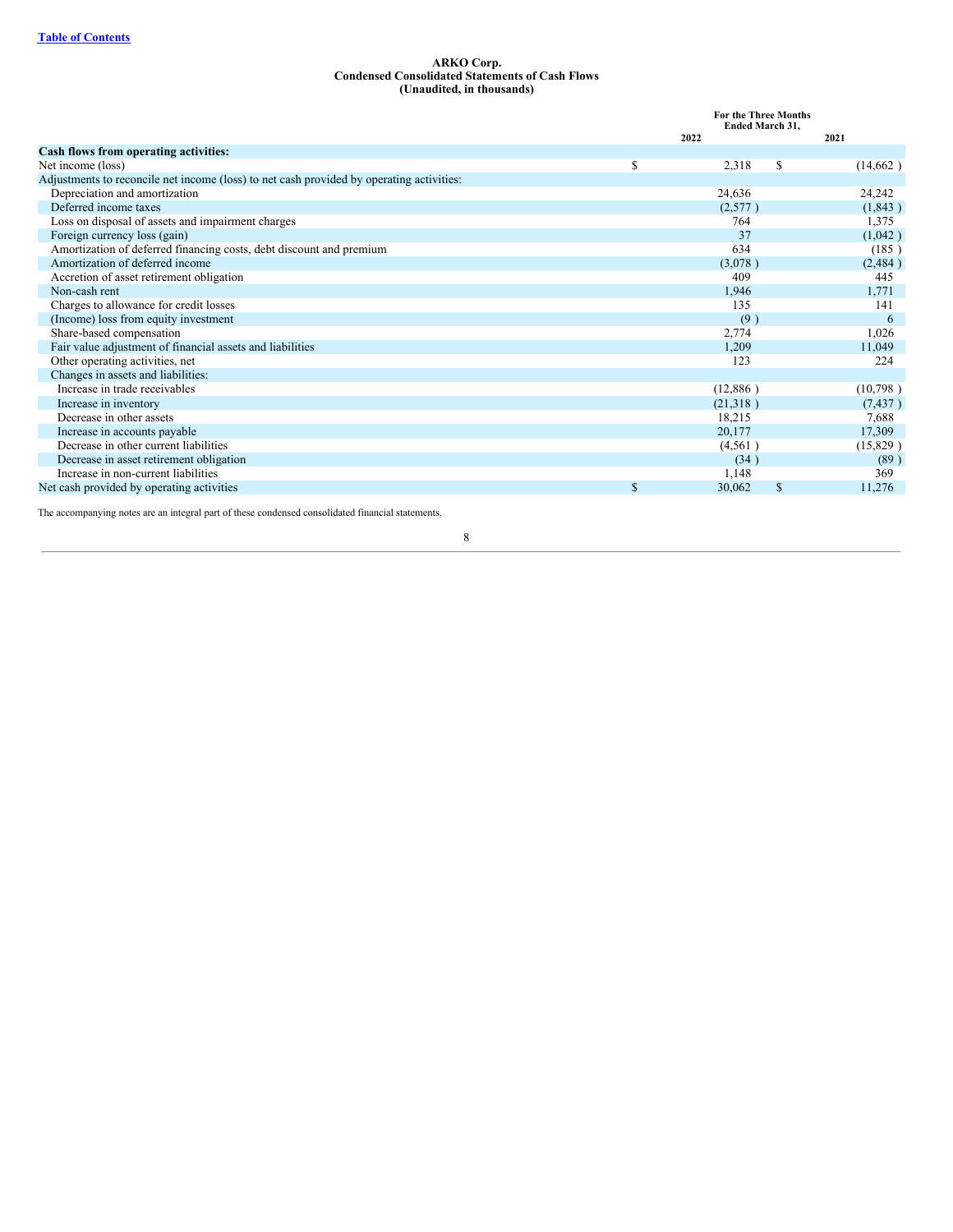#### **ARKO Corp. Condensed Consolidated Statements of Cash Flows (Unaudited, in thousands)**

<span id="page-7-0"></span>

|                                                                                          | <b>For the Three Months</b><br><b>Ended March 31.</b> |          |  |
|------------------------------------------------------------------------------------------|-------------------------------------------------------|----------|--|
|                                                                                          | 2022                                                  | 2021     |  |
| Cash flows from operating activities:                                                    |                                                       |          |  |
| Net income (loss)                                                                        | \$<br>\$<br>2,318                                     | (14,662) |  |
| Adjustments to reconcile net income (loss) to net cash provided by operating activities: |                                                       |          |  |
| Depreciation and amortization                                                            | 24,636                                                | 24,242   |  |
| Deferred income taxes                                                                    | (2,577)                                               | (1,843)  |  |
| Loss on disposal of assets and impairment charges                                        | 764                                                   | 1,375    |  |
| Foreign currency loss (gain)                                                             | 37                                                    | (1,042)  |  |
| Amortization of deferred financing costs, debt discount and premium                      | 634                                                   | (185)    |  |
| Amortization of deferred income                                                          | (3,078)                                               | (2,484)  |  |
| Accretion of asset retirement obligation                                                 | 409                                                   | 445      |  |
| Non-cash rent                                                                            | 1,946                                                 | 1.771    |  |
| Charges to allowance for credit losses                                                   | 135                                                   | 141      |  |
| (Income) loss from equity investment                                                     | (9)                                                   | 6        |  |
| Share-based compensation                                                                 | 2,774                                                 | 1,026    |  |
| Fair value adjustment of financial assets and liabilities                                | 1,209                                                 | 11,049   |  |
| Other operating activities, net                                                          | 123                                                   | 224      |  |
| Changes in assets and liabilities:                                                       |                                                       |          |  |
| Increase in trade receivables                                                            | (12,886)                                              | (10,798) |  |
| Increase in inventory                                                                    | (21,318)                                              | (7, 437) |  |
| Decrease in other assets                                                                 | 18,215                                                | 7,688    |  |
| Increase in accounts payable                                                             | 20,177                                                | 17,309   |  |
| Decrease in other current liabilities                                                    | (4,561)                                               | (15,829) |  |
| Decrease in asset retirement obligation                                                  | (34)                                                  | (89)     |  |
| Increase in non-current liabilities                                                      | 1,148                                                 | 369      |  |
| Net cash provided by operating activities                                                | \$<br>\$<br>30,062                                    | 11,276   |  |
|                                                                                          |                                                       |          |  |

The accompanying notes are an integral part of these condensed consolidated financial statements.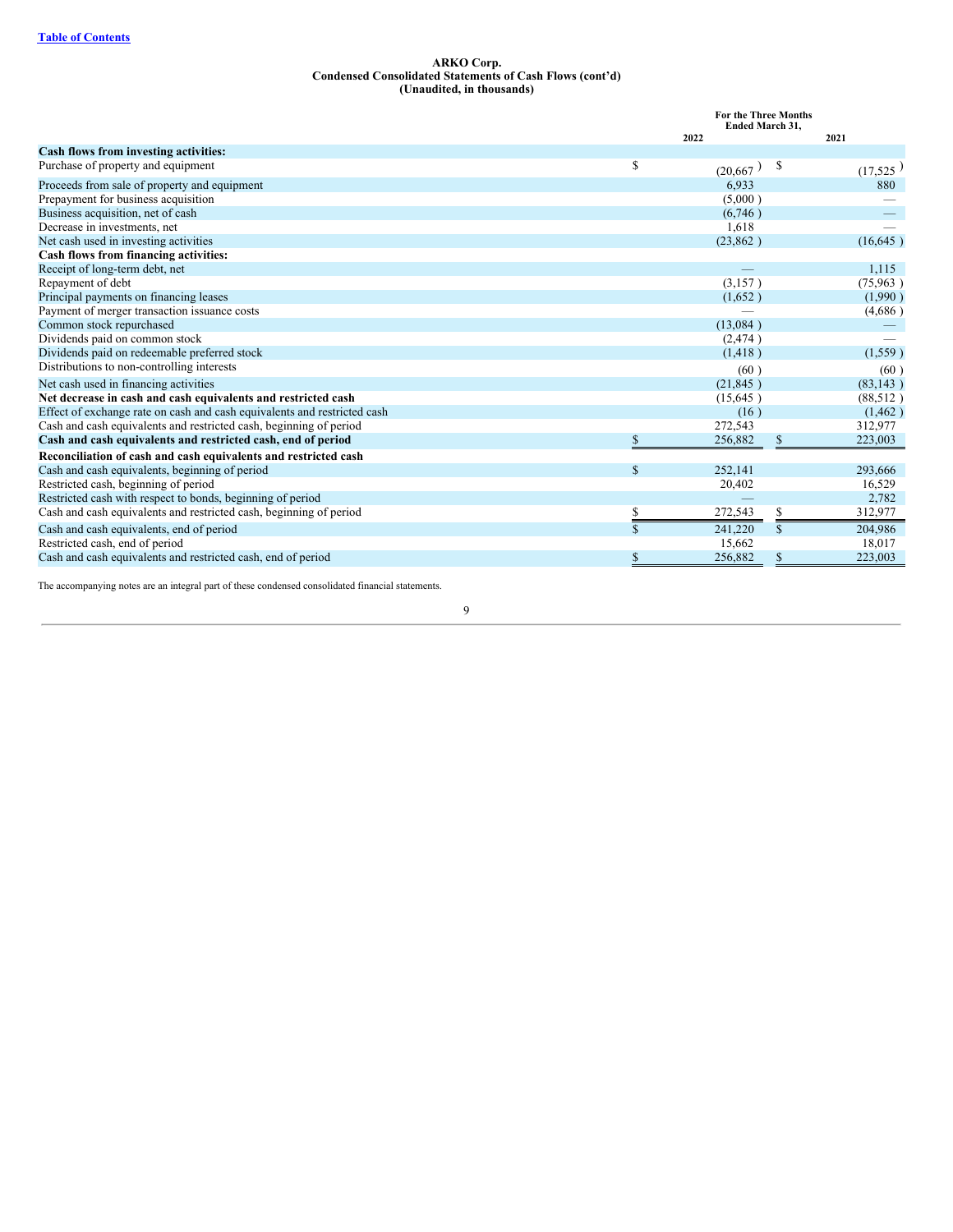#### **ARKO Corp. Condensed Consolidated Statements of Cash Flows (cont'd) (Unaudited, in thousands)**

|                                                                          |                    | <b>For the Three Months</b><br>Ended March 31, |    |           |
|--------------------------------------------------------------------------|--------------------|------------------------------------------------|----|-----------|
|                                                                          |                    | 2022                                           |    | 2021      |
| Cash flows from investing activities:                                    |                    |                                                |    |           |
| Purchase of property and equipment                                       | \$                 | (20, 667)                                      |    | (17,525)  |
| Proceeds from sale of property and equipment                             |                    | 6,933                                          |    | 880       |
| Prepayment for business acquisition                                      |                    | (5,000)                                        |    |           |
| Business acquisition, net of cash                                        |                    | (6,746)                                        |    |           |
| Decrease in investments, net                                             |                    | 1,618                                          |    |           |
| Net cash used in investing activities                                    |                    | (23, 862)                                      |    | (16, 645) |
| Cash flows from financing activities:                                    |                    |                                                |    |           |
| Receipt of long-term debt, net                                           |                    |                                                |    | 1,115     |
| Repayment of debt                                                        |                    | (3,157)                                        |    | (75,963)  |
| Principal payments on financing leases                                   |                    | (1,652)                                        |    | (1,990)   |
| Payment of merger transaction issuance costs                             |                    |                                                |    | (4,686)   |
| Common stock repurchased                                                 |                    | (13,084)                                       |    |           |
| Dividends paid on common stock                                           |                    | (2, 474)                                       |    |           |
| Dividends paid on redeemable preferred stock                             |                    | (1, 418)                                       |    | (1,559)   |
| Distributions to non-controlling interests                               |                    | (60)                                           |    | (60)      |
| Net cash used in financing activities                                    |                    | (21, 845)                                      |    | (83, 143) |
| Net decrease in cash and cash equivalents and restricted cash            |                    | (15, 645)                                      |    | (88, 512) |
| Effect of exchange rate on cash and cash equivalents and restricted cash |                    | (16)                                           |    | (1, 462)  |
| Cash and cash equivalents and restricted cash, beginning of period       |                    | 272,543                                        |    | 312,977   |
| Cash and cash equivalents and restricted cash, end of period             | \$                 | 256,882                                        |    | 223,003   |
| Reconciliation of cash and cash equivalents and restricted cash          |                    |                                                |    |           |
| Cash and cash equivalents, beginning of period                           | $\mathbf{s}$       | 252,141                                        |    | 293,666   |
| Restricted cash, beginning of period                                     |                    | 20,402                                         |    | 16,529    |
| Restricted cash with respect to bonds, beginning of period               |                    |                                                |    | 2,782     |
| Cash and cash equivalents and restricted cash, beginning of period       | \$                 | 272,543                                        | \$ | 312,977   |
| Cash and cash equivalents, end of period                                 | $\mathbf{\hat{S}}$ | 241,220                                        | \$ | 204,986   |
| Restricted cash, end of period                                           |                    | 15,662                                         |    | 18,017    |
| Cash and cash equivalents and restricted cash, end of period             | \$                 | 256,882                                        | \$ | 223,003   |

The accompanying notes are an integral part of these condensed consolidated financial statements.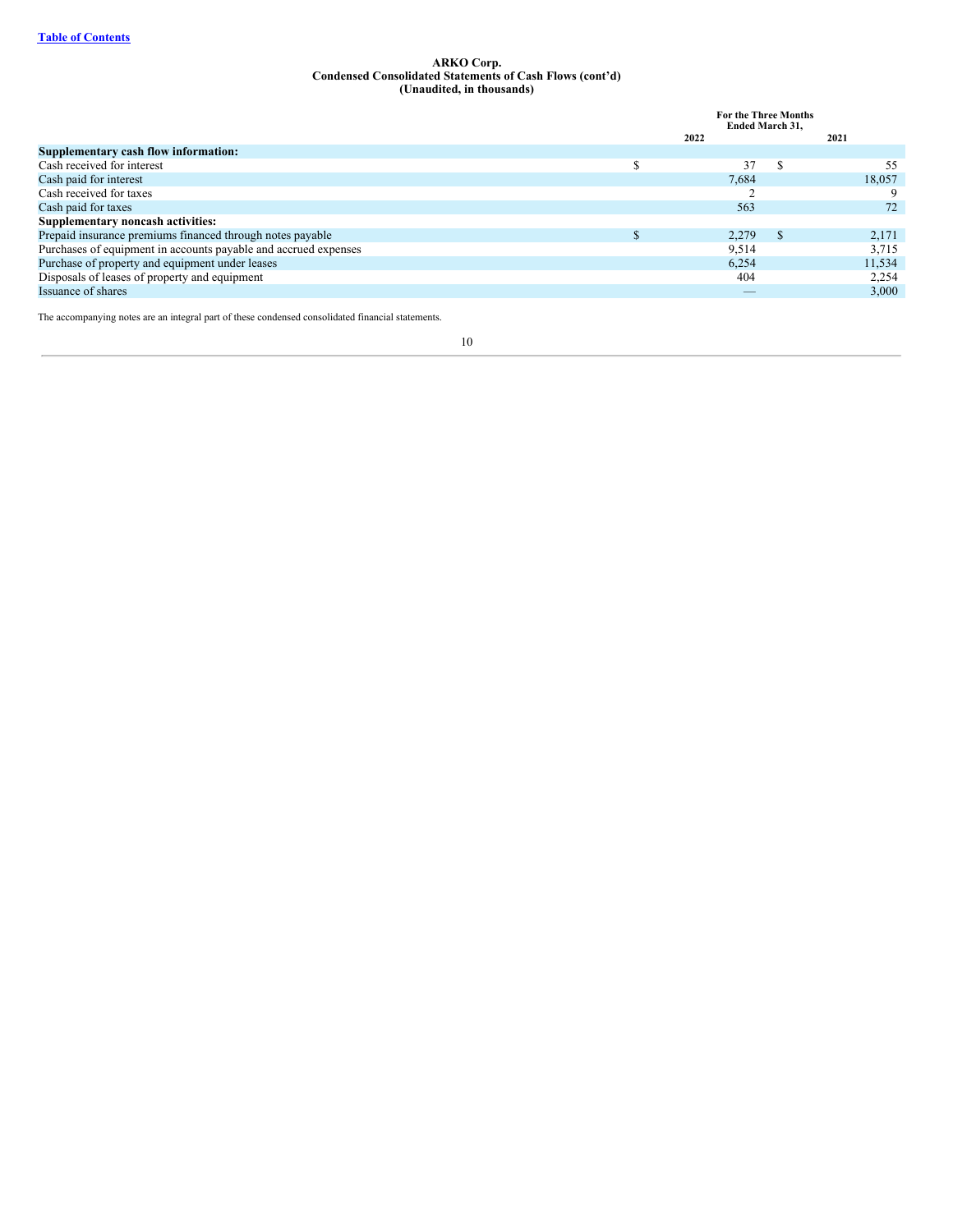#### **ARKO Corp. Condensed Consolidated Statements of Cash Flows (cont'd) (Unaudited, in thousands)**

|                                                                 | <b>For the Three Months</b><br>Ended March 31, |              |        |  |
|-----------------------------------------------------------------|------------------------------------------------|--------------|--------|--|
|                                                                 | 2022                                           |              | 2021   |  |
| Supplementary cash flow information:                            |                                                |              |        |  |
| Cash received for interest                                      | 37                                             | S            | 55     |  |
| Cash paid for interest                                          | 7.684                                          |              | 18.057 |  |
| Cash received for taxes                                         |                                                |              | 9      |  |
| Cash paid for taxes                                             | 563                                            |              | 72     |  |
| Supplementary noncash activities:                               |                                                |              |        |  |
| Prepaid insurance premiums financed through notes payable       | 2.279                                          | <sup>S</sup> | 2,171  |  |
| Purchases of equipment in accounts payable and accrued expenses | 9,514                                          |              | 3,715  |  |
| Purchase of property and equipment under leases                 | 6,254                                          |              | 11,534 |  |
| Disposals of leases of property and equipment                   | 404                                            |              | 2,254  |  |
| Issuance of shares                                              |                                                |              | 3,000  |  |
|                                                                 |                                                |              |        |  |

The accompanying notes are an integral part of these condensed consolidated financial statements.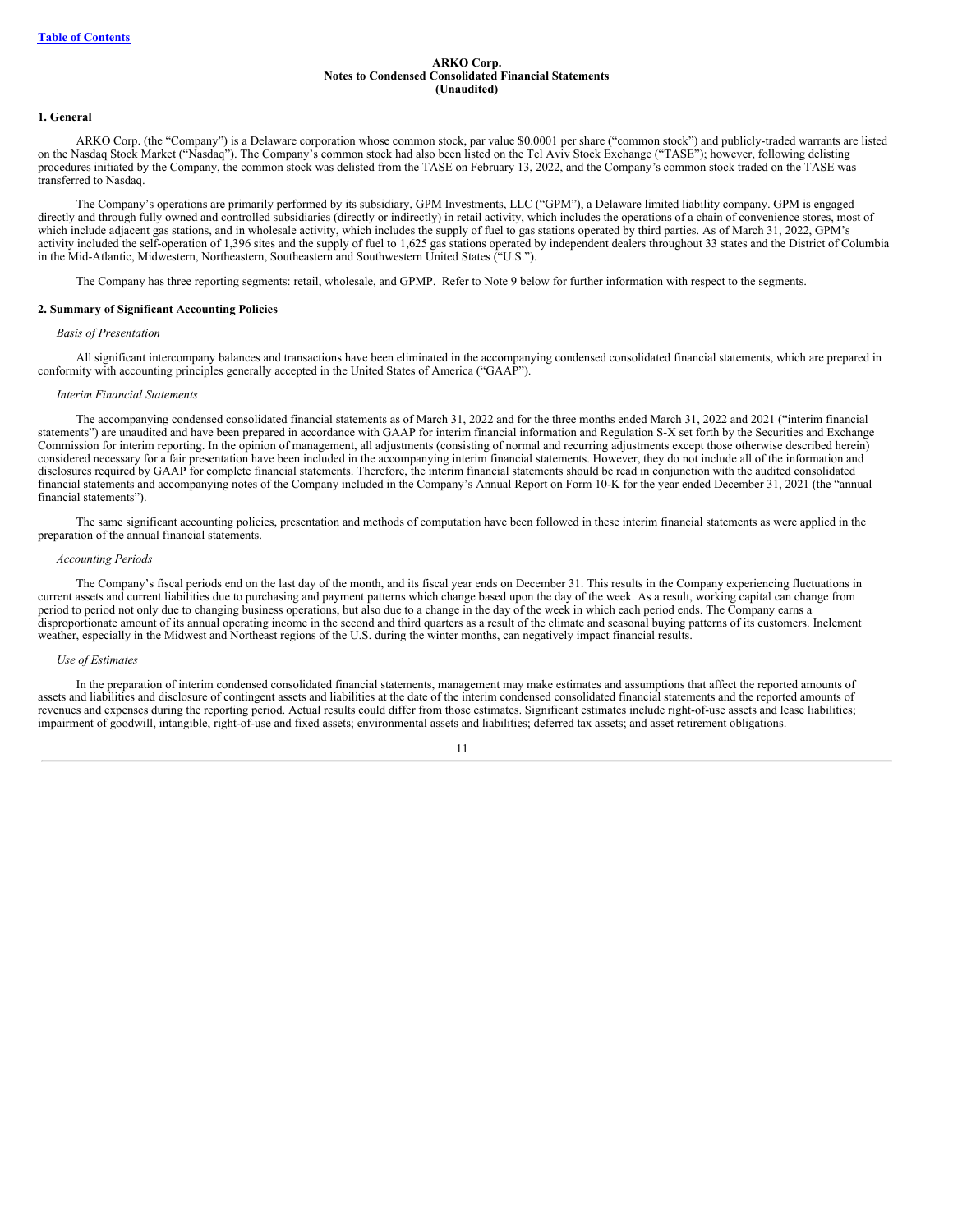#### **ARKO Corp. Notes to Condensed Consolidated Financial Statements (Unaudited)**

### <span id="page-10-0"></span>**1. General**

ARKO Corp. (the "Company") is a Delaware corporation whose common stock, par value \$0.0001 per share ("common stock") and publicly-traded warrants are listed on the Nasdaq Stock Market ("Nasdaq"). The Company's common stock had also been listed on the Tel Aviv Stock Exchange ("TASE"); however, following delisting procedures initiated by the Company, the common stock was delisted from the TASE on February 13, 2022, and the Company's common stock traded on the TASE was transferred to Nasdaq.

The Company's operations are primarily performed by its subsidiary, GPM Investments, LLC ("GPM"), a Delaware limited liability company. GPM is engaged directly and through fully owned and controlled subsidiaries (directly or indirectly) in retail activity, which includes the operations of a chain of convenience stores, most of which include adjacent gas stations, and in wholesale activity, which includes the supply of fuel to gas stations operated by third parties. As of March 31, 2022, GPM's activity included the self-operation of 1,396 sites and the supply of fuel to 1,625 gas stations operated by independent dealers throughout 33 states and the District of Columbia in the Mid-Atlantic, Midwestern, Northeastern, Southeastern and Southwestern United States ("U.S.").

The Company has three reporting segments: retail, wholesale, and GPMP. Refer to Note 9 below for further information with respect to the segments.

### **2. Summary of Significant Accounting Policies**

### *Basis of Presentation*

All significant intercompany balances and transactions have been eliminated in the accompanying condensed consolidated financial statements, which are prepared in conformity with accounting principles generally accepted in the United States of America ("GAAP").

#### *Interim Financial Statements*

The accompanying condensed consolidated financial statements as of March 31, 2022 and for the three months ended March 31, 2022 and 2021 ("interim financial statements") are unaudited and have been prepared in accordance with GAAP for interim financial information and Regulation S-X set forth by the Securities and Exchange Commission for interim reporting. In the opinion of management, all adjustments (consisting of normal and recurring adjustments except those otherwise described herein) considered necessary for a fair presentation have been included in the accompanying interim financial statements. However, they do not include all of the information and disclosures required by GAAP for complete financial statements. Therefore, the interim financial statements should be read in conjunction with the audited consolidated financial statements and accompanying notes of the Company included in the Company's Annual Report on Form 10-K for the year ended December 31, 2021 (the "annual financial statements").

The same significant accounting policies, presentation and methods of computation have been followed in these interim financial statements as were applied in the preparation of the annual financial statements.

### *Accounting Periods*

The Company's fiscal periods end on the last day of the month, and its fiscal year ends on December 31. This results in the Company experiencing fluctuations in current assets and current liabilities due to purchasing and payment patterns which change based upon the day of the week. As a result, working capital can change from period to period not only due to changing business operations, but also due to a change in the day of the week in which each period ends. The Company earns a disproportionate amount of its annual operating income in the second and third quarters as a result of the climate and seasonal buying patterns of its customers. Inclement weather, especially in the Midwest and Northeast regions of the U.S. during the winter months, can negatively impact financial results.

#### *Use of Estimates*

In the preparation of interim condensed consolidated financial statements, management may make estimates and assumptions that affect the reported amounts of assets and liabilities and disclosure of contingent assets and liabilities at the date of the interim condensed consolidated financial statements and the reported amounts of revenues and expenses during the reporting period. Actual results could differ from those estimates. Significant estimates include right-of-use assets and lease liabilities; impairment of goodwill, intangible, right-of-use and fixed assets; environmental assets and liabilities; deferred tax assets; and asset retirement obligations.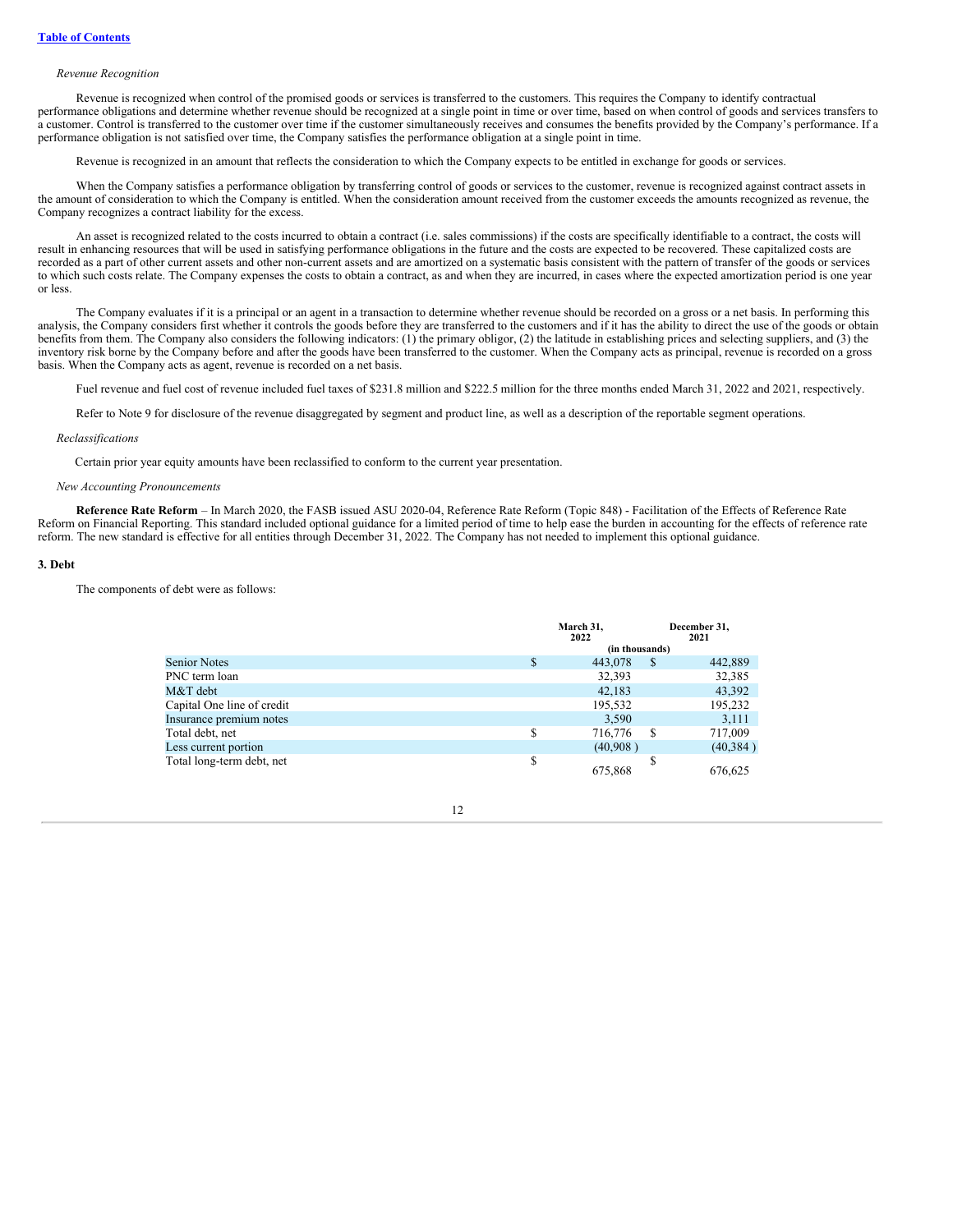### *Revenue Recognition*

Revenue is recognized when control of the promised goods or services is transferred to the customers. This requires the Company to identify contractual performance obligations and determine whether revenue should be recognized at a single point in time or over time, based on when control of goods and services transfers to a customer. Control is transferred to the customer over time if the customer simultaneously receives and consumes the benefits provided by the Company's performance. If a performance obligation is not satisfied over time, the Company satisfies the performance obligation at a single point in time.

Revenue is recognized in an amount that reflects the consideration to which the Company expects to be entitled in exchange for goods or services.

When the Company satisfies a performance obligation by transferring control of goods or services to the customer, revenue is recognized against contract assets in the amount of consideration to which the Company is entitled. When the consideration amount received from the customer exceeds the amounts recognized as revenue, the Company recognizes a contract liability for the excess.

An asset is recognized related to the costs incurred to obtain a contract (i.e. sales commissions) if the costs are specifically identifiable to a contract, the costs will result in enhancing resources that will be used in satisfying performance obligations in the future and the costs are expected to be recovered. These capitalized costs are recorded as a part of other current assets and other non-current assets and are amortized on a systematic basis consistent with the pattern of transfer of the goods or services to which such costs relate. The Company expenses the costs to obtain a contract, as and when they are incurred, in cases where the expected amortization period is one year or less.

The Company evaluates if it is a principal or an agent in a transaction to determine whether revenue should be recorded on a gross or a net basis. In performing this analysis, the Company considers first whether it controls the goods before they are transferred to the customers and if it has the ability to direct the use of the goods or obtain benefits from them. The Company also considers the following indicators: (1) the primary obligor, (2) the latitude in establishing prices and selecting suppliers, and (3) the inventory risk borne by the Company before and after the goods have been transferred to the customer. When the Company acts as principal, revenue is recorded on a gross basis. When the Company acts as agent, revenue is recorded on a net basis.

Fuel revenue and fuel cost of revenue included fuel taxes of \$231.8 million and \$222.5 million for the three months ended March 31, 2022 and 2021, respectively.

Refer to Note 9 for disclosure of the revenue disaggregated by segment and product line, as well as a description of the reportable segment operations.

### *Reclassifications*

Certain prior year equity amounts have been reclassified to conform to the current year presentation.

### *New Accounting Pronouncements*

**Reference Rate Reform** – In March 2020, the FASB issued ASU 2020-04, Reference Rate Reform (Topic 848) - Facilitation of the Effects of Reference Rate Reform on Financial Reporting. This standard included optional guidance for a limited period of time to help ease the burden in accounting for the effects of reference rate reform. The new standard is effective for all entities through December 31, 2022. The Company has not needed to implement this optional guidance.

### **3. Debt**

The components of debt were as follows:

|                            |    | March 31,<br>2022 |              | December 31,<br>2021 |  |
|----------------------------|----|-------------------|--------------|----------------------|--|
|                            |    | (in thousands)    |              |                      |  |
| <b>Senior Notes</b>        | \$ | 443,078           | <sup>S</sup> | 442,889              |  |
| PNC term loan              |    | 32,393            |              | 32,385               |  |
| M&T debt                   |    | 42,183            |              | 43,392               |  |
| Capital One line of credit |    | 195,532           |              | 195,232              |  |
| Insurance premium notes    |    | 3,590             |              | 3,111                |  |
| Total debt, net            | S  | 716,776           | S            | 717,009              |  |
| Less current portion       |    | (40,908)          |              | (40, 384)            |  |
| Total long-term debt, net  | \$ | 675.868           |              | 676.625              |  |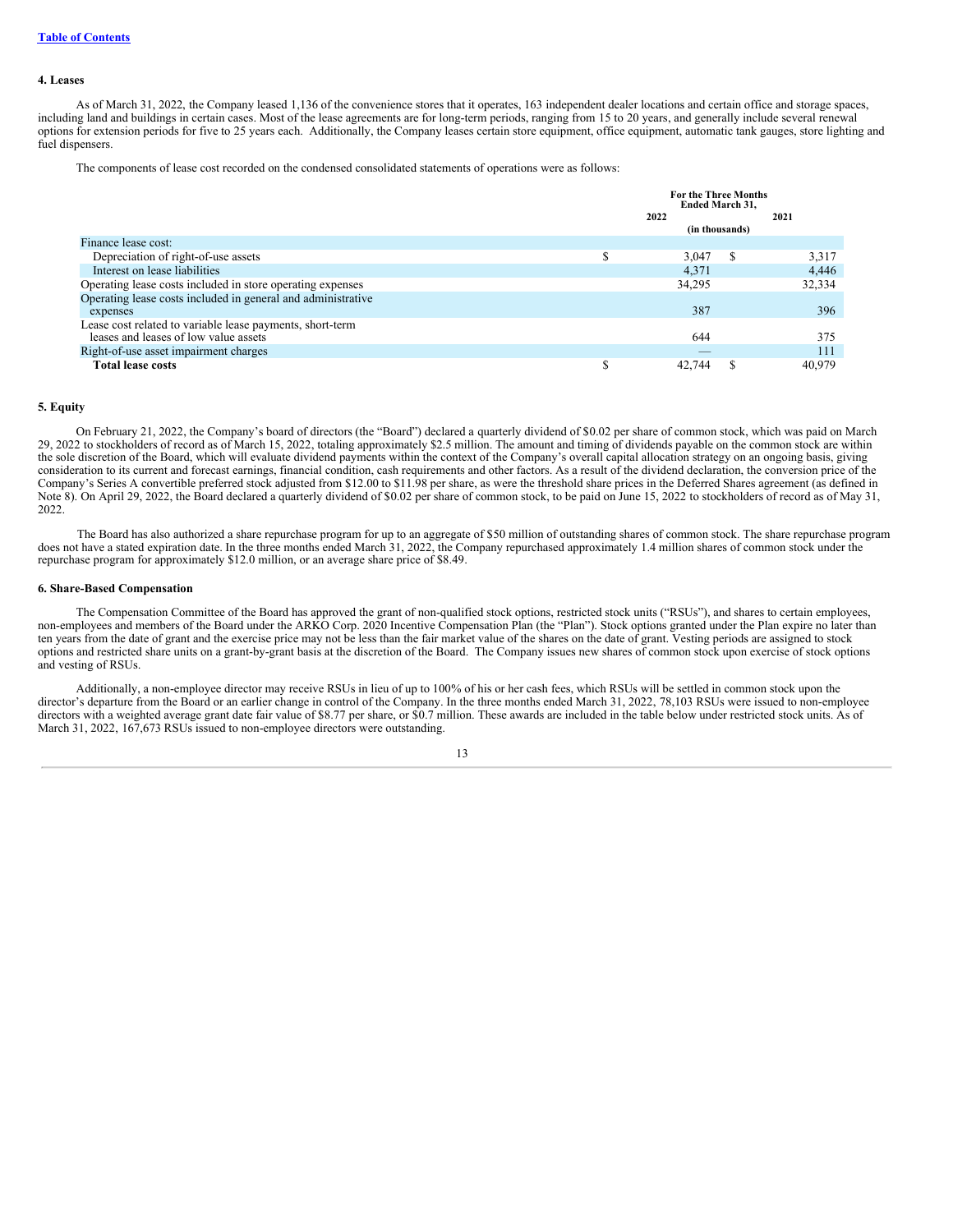### **4. Leases**

As of March 31, 2022, the Company leased 1,136 of the convenience stores that it operates, 163 independent dealer locations and certain office and storage spaces, including land and buildings in certain cases. Most of the lease agreements are for long-term periods, ranging from 15 to 20 years, and generally include several renewal options for extension periods for five to 25 years each. Additionally, the Company leases certain store equipment, office equipment, automatic tank gauges, store lighting and fuel dispensers.

The components of lease cost recorded on the condensed consolidated statements of operations were as follows:

|                                                                                                    | <b>For the Three Months</b><br><b>Ended March 31.</b><br>2022<br>(in thousands) |   | 2021   |
|----------------------------------------------------------------------------------------------------|---------------------------------------------------------------------------------|---|--------|
| Finance lease cost:                                                                                |                                                                                 |   |        |
| Depreciation of right-of-use assets                                                                | 3,047                                                                           | S | 3,317  |
| Interest on lease liabilities                                                                      | 4.371                                                                           |   | 4.446  |
| Operating lease costs included in store operating expenses                                         | 34,295                                                                          |   | 32,334 |
| Operating lease costs included in general and administrative<br>expenses                           | 387                                                                             |   | 396    |
| Lease cost related to variable lease payments, short-term<br>leases and leases of low value assets | 644                                                                             |   | 375    |
| Right-of-use asset impairment charges                                                              | _                                                                               |   | 111    |
| <b>Total lease costs</b>                                                                           | 42.744                                                                          |   | 40.979 |

### **5. Equity**

On February 21, 2022, the Company's board of directors (the "Board") declared a quarterly dividend of \$0.02 per share of common stock, which was paid on March 29, 2022 to stockholders of record as of March 15, 2022, totaling approximately \$2.5 million. The amount and timing of dividends payable on the common stock are within the sole discretion of the Board, which will evaluate dividend payments within the context of the Company's overall capital allocation strategy on an ongoing basis, giving consideration to its current and forecast earnings, financial condition, cash requirements and other factors. As a result of the dividend declaration, the conversion price of the Company's Series A convertible preferred stock adjusted from \$12.00 to \$11.98 per share, as were the threshold share prices in the Deferred Shares agreement (as defined in Note 8). On April 29, 2022, the Board declared a quarterly dividend of \$0.02 per share of common stock, to be paid on June 15, 2022 to stockholders of record as of May 31, 2022.

The Board has also authorized a share repurchase program for up to an aggregate of \$50 million of outstanding shares of common stock. The share repurchase program does not have a stated expiration date. In the three months ended March 31, 2022, the Company repurchased approximately 1.4 million shares of common stock under the repurchase program for approximately \$12.0 million, or an average share price of \$8.49.

### **6. Share-Based Compensation**

The Compensation Committee of the Board has approved the grant of non-qualified stock options, restricted stock units ("RSUs"), and shares to certain employees, non-employees and members of the Board under the ARKO Corp. 2020 Incentive Compensation Plan (the "Plan"). Stock options granted under the Plan expire no later than ten years from the date of grant and the exercise price may not be less than the fair market value of the shares on the date of grant. Vesting periods are assigned to stock options and restricted share units on a grant-by-grant basis at the discretion of the Board. The Company issues new shares of common stock upon exercise of stock options and vesting of RSUs.

Additionally, a non-employee director may receive RSUs in lieu of up to 100% of his or her cash fees, which RSUs will be settled in common stock upon the director's departure from the Board or an earlier change in control of the Company. In the three months ended March 31, 2022, 78,103 RSUs were issued to non-employee directors with a weighted average grant date fair value of \$8.77 per share, or \$0.7 million. These awards are included in the table below under restricted stock units. As of March 31, 2022, 167,673 RSUs issued to non-employee directors were outstanding.

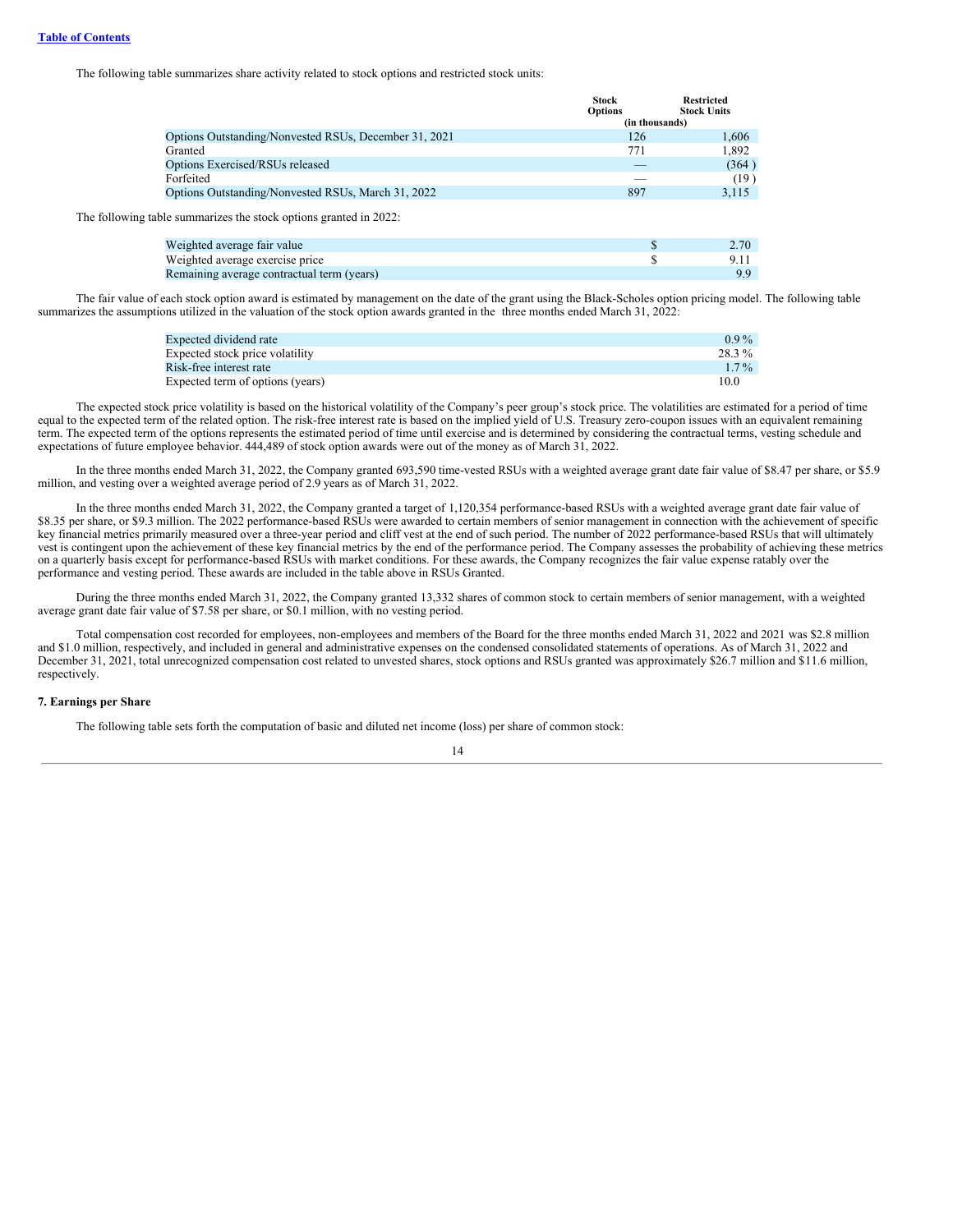The following table summarizes share activity related to stock options and restricted stock units:

|                                                                   | <b>Stock</b><br><b>Options</b> | <b>Restricted</b><br><b>Stock Units</b> |
|-------------------------------------------------------------------|--------------------------------|-----------------------------------------|
|                                                                   | (in thousands)                 |                                         |
| Options Outstanding/Nonvested RSUs, December 31, 2021             | 126                            | 1,606                                   |
| Granted                                                           | 771                            | 1,892                                   |
| Options Exercised/RSUs released                                   |                                | (364)                                   |
| Forfeited                                                         |                                | (19)                                    |
| Options Outstanding/Nonvested RSUs, March 31, 2022                | 897                            | 3,115                                   |
| The following table summarizes the stock options granted in 2022: |                                |                                         |
| Weighted average fair value                                       |                                | 2.70                                    |
| Weighted average exercise price                                   | S                              | 9.11                                    |
| Remaining average contractual term (years)                        |                                | 9.9                                     |

The fair value of each stock option award is estimated by management on the date of the grant using the Black-Scholes option pricing model. The following table summarizes the assumptions utilized in the valuation of the stock option awards granted in the three months ended March 31, 2022:

| Expected dividend rate           | $0.9\%$ |
|----------------------------------|---------|
| Expected stock price volatility  | 28.3 %  |
| Risk-free interest rate          | $1.7\%$ |
| Expected term of options (years) | 10.0    |

The expected stock price volatility is based on the historical volatility of the Company's peer group's stock price. The volatilities are estimated for a period of time equal to the expected term of the related option. The risk-free interest rate is based on the implied yield of U.S. Treasury zero-coupon issues with an equivalent remaining term. The expected term of the options represents the estimated period of time until exercise and is determined by considering the contractual terms, vesting schedule and expectations of future employee behavior. 444,489 of stock option awards were out of the money as of March 31, 2022.

In the three months ended March 31, 2022, the Company granted 693,590 time-vested RSUs with a weighted average grant date fair value of \$8.47 per share, or \$5.9 million, and vesting over a weighted average period of 2.9 years as of March 31, 2022.

In the three months ended March 31, 2022, the Company granted a target of 1,120,354 performance-based RSUs with a weighted average grant date fair value of \$8.35 per share, or \$9.3 million. The 2022 performance-based RSUs were awarded to certain members of senior management in connection with the achievement of specific key financial metrics primarily measured over a three-year period and cliff vest at the end of such period. The number of 2022 performance-based RSUs that will ultimately vest is contingent upon the achievement of these key financial metrics by the end of the performance period. The Company assesses the probability of achieving these metrics on a quarterly basis except for performance-based RSUs with market conditions. For these awards, the Company recognizes the fair value expense ratably over the performance and vesting period. These awards are included in the table above in RSUs Granted.

During the three months ended March 31, 2022, the Company granted 13,332 shares of common stock to certain members of senior management, with a weighted average grant date fair value of \$7.58 per share, or \$0.1 million, with no vesting period.

Total compensation cost recorded for employees, non-employees and members of the Board for the three months ended March 31, 2022 and 2021 was \$2.8 million and \$1.0 million, respectively, and included in general and administrative expenses on the condensed consolidated statements of operations. As of March 31, 2022 and December 31, 2021, total unrecognized compensation cost related to unvested shares, stock options and RSUs granted was approximately \$26.7 million and \$11.6 million, respectively.

### **7. Earnings per Share**

The following table sets forth the computation of basic and diluted net income (loss) per share of common stock: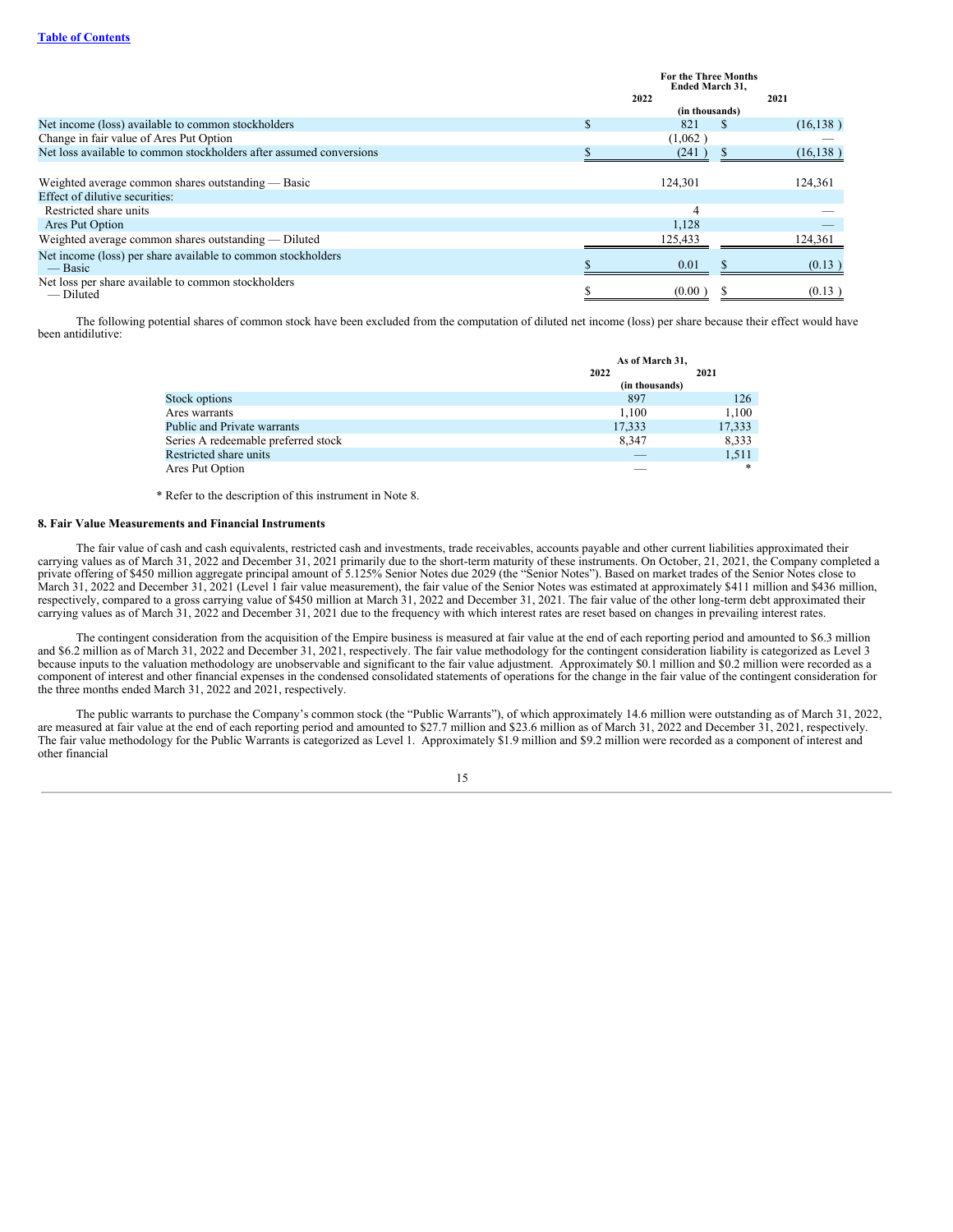|                                                                         | <b>For the Three Months</b><br>Ended March 31, |           |  |  |
|-------------------------------------------------------------------------|------------------------------------------------|-----------|--|--|
|                                                                         | 2022                                           | 2021      |  |  |
|                                                                         | (in thousands)                                 |           |  |  |
| Net income (loss) available to common stockholders                      | 821                                            | (16, 138) |  |  |
| Change in fair value of Ares Put Option                                 | (1,062)                                        |           |  |  |
| Net loss available to common stockholders after assumed conversions     | (241)                                          | (16, 138) |  |  |
|                                                                         |                                                |           |  |  |
| Weighted average common shares outstanding — Basic                      | 124.301                                        | 124,361   |  |  |
| Effect of dilutive securities:                                          |                                                |           |  |  |
| Restricted share units                                                  |                                                |           |  |  |
| Ares Put Option                                                         | 1,128                                          |           |  |  |
| Weighted average common shares outstanding — Diluted                    | 125,433                                        | 124,361   |  |  |
| Net income (loss) per share available to common stockholders<br>— Basic | 0.01                                           | (0.13)    |  |  |
| Net loss per share available to common stockholders<br>— Diluted        | (0.00)                                         | (0.13)    |  |  |

The following potential shares of common stock have been excluded from the computation of diluted net income (loss) per share because their effect would have been antidilutive:

|                                     |                | As of March 31, |  |  |
|-------------------------------------|----------------|-----------------|--|--|
|                                     | 2022           | 2021            |  |  |
|                                     | (in thousands) |                 |  |  |
| Stock options                       | 897            | 126             |  |  |
| Ares warrants                       | 1.100          | 1.100           |  |  |
| Public and Private warrants         | 17,333         | 17,333          |  |  |
| Series A redeemable preferred stock | 8.347          | 8,333           |  |  |
| Restricted share units              |                | 1,511           |  |  |
| Ares Put Option                     |                | $\ast$          |  |  |

\* Refer to the description of this instrument in Note 8.

### **8. Fair Value Measurements and Financial Instruments**

The fair value of cash and cash equivalents, restricted cash and investments, trade receivables, accounts payable and other current liabilities approximated their carrying values as of March 31, 2022 and December 31, 2021 primarily due to the short-term maturity of these instruments. On October, 21, 2021, the Company completed a private offering of \$450 million aggregate principal amount of 5.125% Senior Notes due 2029 (the "Senior Notes"). Based on market trades of the Senior Notes close to March 31, 2022 and December 31, 2021 (Level 1 fair value measurement), the fair value of the Senior Notes was estimated at approximately \$411 million and \$436 million, respectively, compared to a gross carrying value of \$450 million at March 31, 2022 and December 31, 2021. The fair value of the other long-term debt approximated their carrying values as of March 31, 2022 and December 31, 2021 due to the frequency with which interest rates are reset based on changes in prevailing interest rates.

The contingent consideration from the acquisition of the Empire business is measured at fair value at the end of each reporting period and amounted to \$6.3 million and \$6.2 million as of March 31, 2022 and December 31, 2021, respectively. The fair value methodology for the contingent consideration liability is categorized as Level 3 because inputs to the valuation methodology are unobservable and significant to the fair value adjustment. Approximately \$0.1 million and \$0.2 million were recorded as a component of interest and other financial expenses in the condensed consolidated statements of operations for the change in the fair value of the contingent consideration for the three months ended March 31, 2022 and 2021, respectively.

The public warrants to purchase the Company's common stock (the "Public Warrants"), of which approximately 14.6 million were outstanding as of March 31, 2022, are measured at fair value at the end of each reporting period and amounted to \$27.7 million and \$23.6 million as of March 31, 2022 and December 31, 2021, respectively. The fair value methodology for the Public Warrants is categorized as Level 1. Approximately \$1.9 million and \$9.2 million were recorded as a component of interest and other financial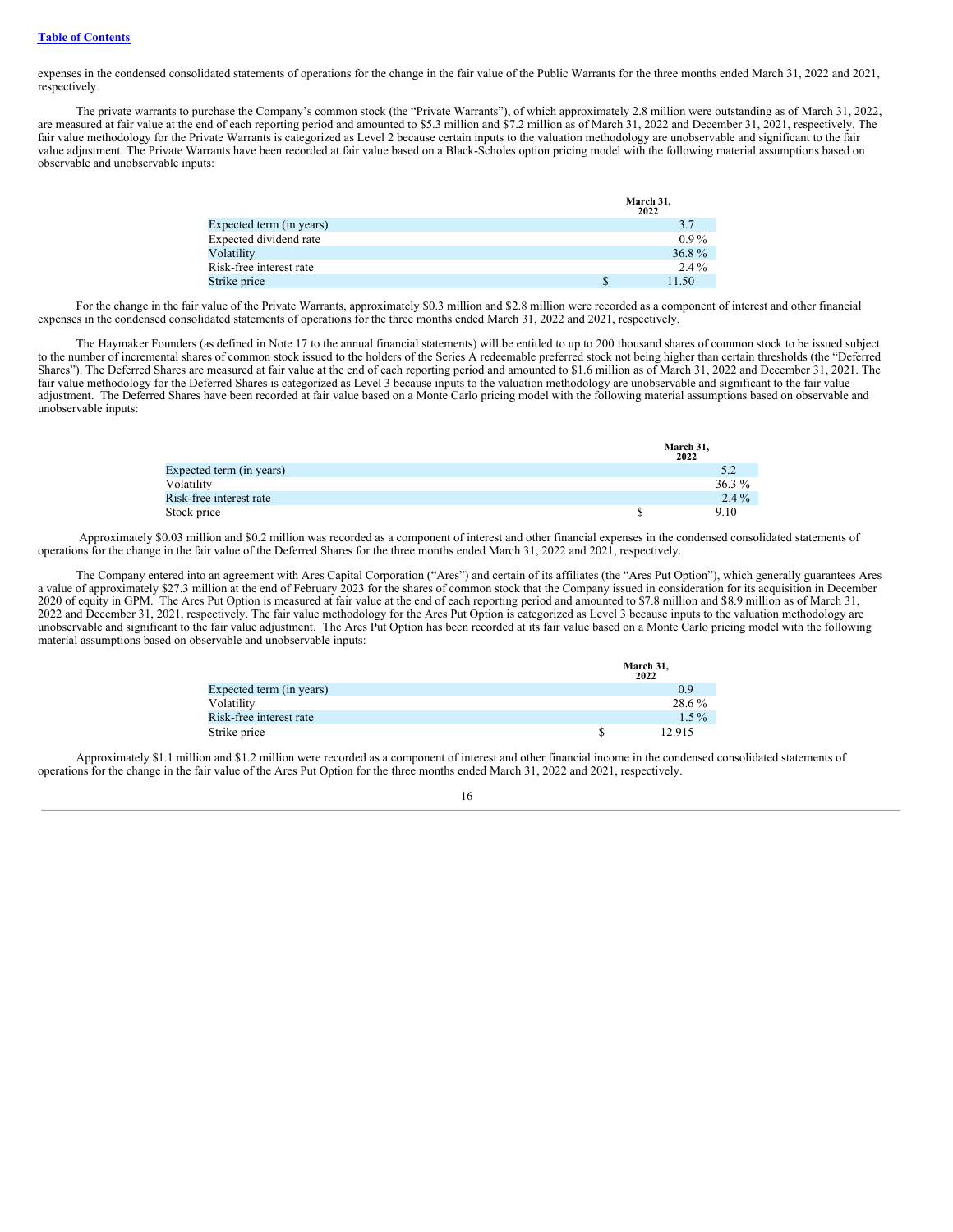expenses in the condensed consolidated statements of operations for the change in the fair value of the Public Warrants for the three months ended March 31, 2022 and 2021, respectively.

The private warrants to purchase the Company's common stock (the "Private Warrants"), of which approximately 2.8 million were outstanding as of March 31, 2022, are measured at fair value at the end of each reporting period and amounted to \$5.3 million and \$7.2 million as of March 31, 2022 and December 31, 2021, respectively. The fair value methodology for the Private Warrants is categorized as Level 2 because certain inputs to the valuation methodology are unobservable and significant to the fair value adjustment. The Private Warrants have been recorded at fair value based on a Black-Scholes option pricing model with the following material assumptions based on observable and unobservable inputs:

|                          | March 31,<br>2022 |         |
|--------------------------|-------------------|---------|
| Expected term (in years) |                   | 3.7     |
| Expected dividend rate   |                   | $0.9\%$ |
| Volatility               |                   | 36.8%   |
| Risk-free interest rate  |                   | $2.4\%$ |
| Strike price             |                   | 11.50   |

For the change in the fair value of the Private Warrants, approximately \$0.3 million and \$2.8 million were recorded as a component of interest and other financial expenses in the condensed consolidated statements of operations for the three months ended March 31, 2022 and 2021, respectively.

The Haymaker Founders (as defined in Note 17 to the annual financial statements) will be entitled to up to 200 thousand shares of common stock to be issued subject to the number of incremental shares of common stock issued to the holders of the Series A redeemable preferred stock not being higher than certain thresholds (the "Deferred Shares"). The Deferred Shares are measured at fair value at the end of each reporting period and amounted to \$1.6 million as of March 31, 2022 and December 31, 2021. The fair value methodology for the Deferred Shares is categorized as Level 3 because inputs to the valuation methodology are unobservable and significant to the fair value adjustment. The Deferred Shares have been recorded at fair value based on a Monte Carlo pricing model with the following material assumptions based on observable and unobservable inputs:

|                          | March 31,<br>2022 |         |
|--------------------------|-------------------|---------|
| Expected term (in years) |                   | 5.2     |
| Volatility               |                   | 36.3 %  |
| Risk-free interest rate  |                   | $2.4\%$ |
| Stock price              |                   | 9.10    |

Approximately \$0.03 million and \$0.2 million was recorded as a component of interest and other financial expenses in the condensed consolidated statements of operations for the change in the fair value of the Deferred Shares for the three months ended March 31, 2022 and 2021, respectively.

The Company entered into an agreement with Ares Capital Corporation ("Ares") and certain of its affiliates (the "Ares Put Option"), which generally guarantees Ares a value of approximately \$27.3 million at the end of February 2023 for the shares of common stock that the Company issued in consideration for its acquisition in December 2020 of equity in GPM. The Ares Put Option is measured at fair value at the end of each reporting period and amounted to \$7.8 million and \$8.9 million as of March 31, 2022 and December 31, 2021, respectively. The fair value methodology for the Ares Put Option is categorized as Level 3 because inputs to the valuation methodology are unobservable and significant to the fair value adjustment. The Ares Put Option has been recorded at its fair value based on a Monte Carlo pricing model with the following material assumptions based on observable and unobservable inputs:

|                          | March 31,<br>2022 |         |
|--------------------------|-------------------|---------|
| Expected term (in years) |                   | 0.9     |
| Volatility               |                   | 28.6 %  |
| Risk-free interest rate  |                   | $1.5\%$ |
| Strike price             |                   | 12.915  |

Approximately \$1.1 million and \$1.2 million were recorded as a component of interest and other financial income in the condensed consolidated statements of operations for the change in the fair value of the Ares Put Option for the three months ended March 31, 2022 and 2021, respectively.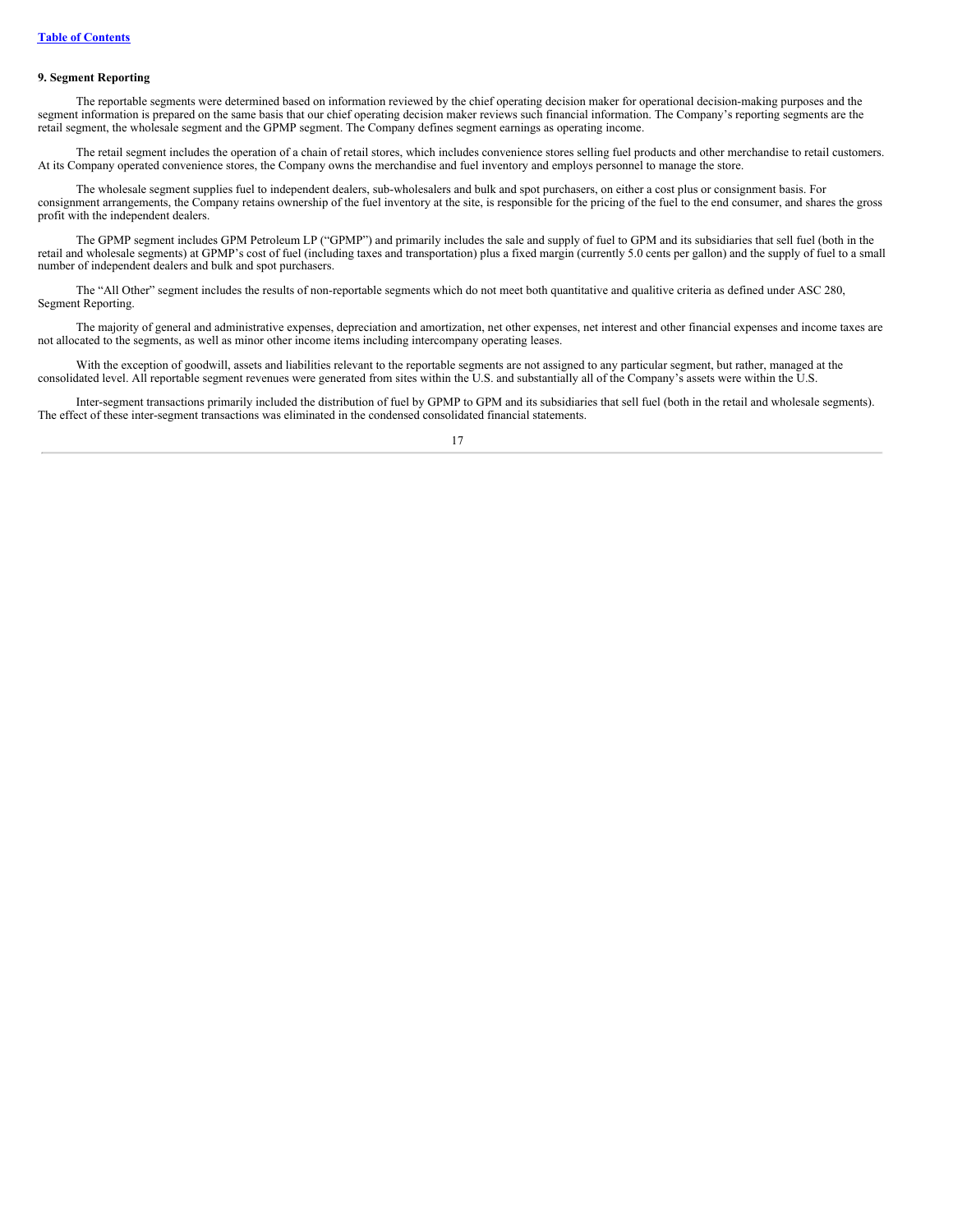### **9. Segment Reporting**

The reportable segments were determined based on information reviewed by the chief operating decision maker for operational decision-making purposes and the segment information is prepared on the same basis that our chief operating decision maker reviews such financial information. The Company's reporting segments are the retail segment, the wholesale segment and the GPMP segment. The Company defines segment earnings as operating income.

The retail segment includes the operation of a chain of retail stores, which includes convenience stores selling fuel products and other merchandise to retail customers. At its Company operated convenience stores, the Company owns the merchandise and fuel inventory and employs personnel to manage the store.

The wholesale segment supplies fuel to independent dealers, sub-wholesalers and bulk and spot purchasers, on either a cost plus or consignment basis. For consignment arrangements, the Company retains ownership of the fuel inventory at the site, is responsible for the pricing of the fuel to the end consumer, and shares the gross profit with the independent dealers.

The GPMP segment includes GPM Petroleum LP ("GPMP") and primarily includes the sale and supply of fuel to GPM and its subsidiaries that sell fuel (both in the retail and wholesale segments) at GPMP's cost of fuel (including taxes and transportation) plus a fixed margin (currently 5.0 cents per gallon) and the supply of fuel to a small number of independent dealers and bulk and spot purchasers.

The "All Other" segment includes the results of non-reportable segments which do not meet both quantitative and qualitive criteria as defined under ASC 280, Segment Reporting.

The majority of general and administrative expenses, depreciation and amortization, net other expenses, net interest and other financial expenses and income taxes are not allocated to the segments, as well as minor other income items including intercompany operating leases.

With the exception of goodwill, assets and liabilities relevant to the reportable segments are not assigned to any particular segment, but rather, managed at the consolidated level. All reportable segment revenues were generated from sites within the U.S. and substantially all of the Company's assets were within the U.S.

Inter-segment transactions primarily included the distribution of fuel by GPMP to GPM and its subsidiaries that sell fuel (both in the retail and wholesale segments). The effect of these inter-segment transactions was eliminated in the condensed consolidated financial statements.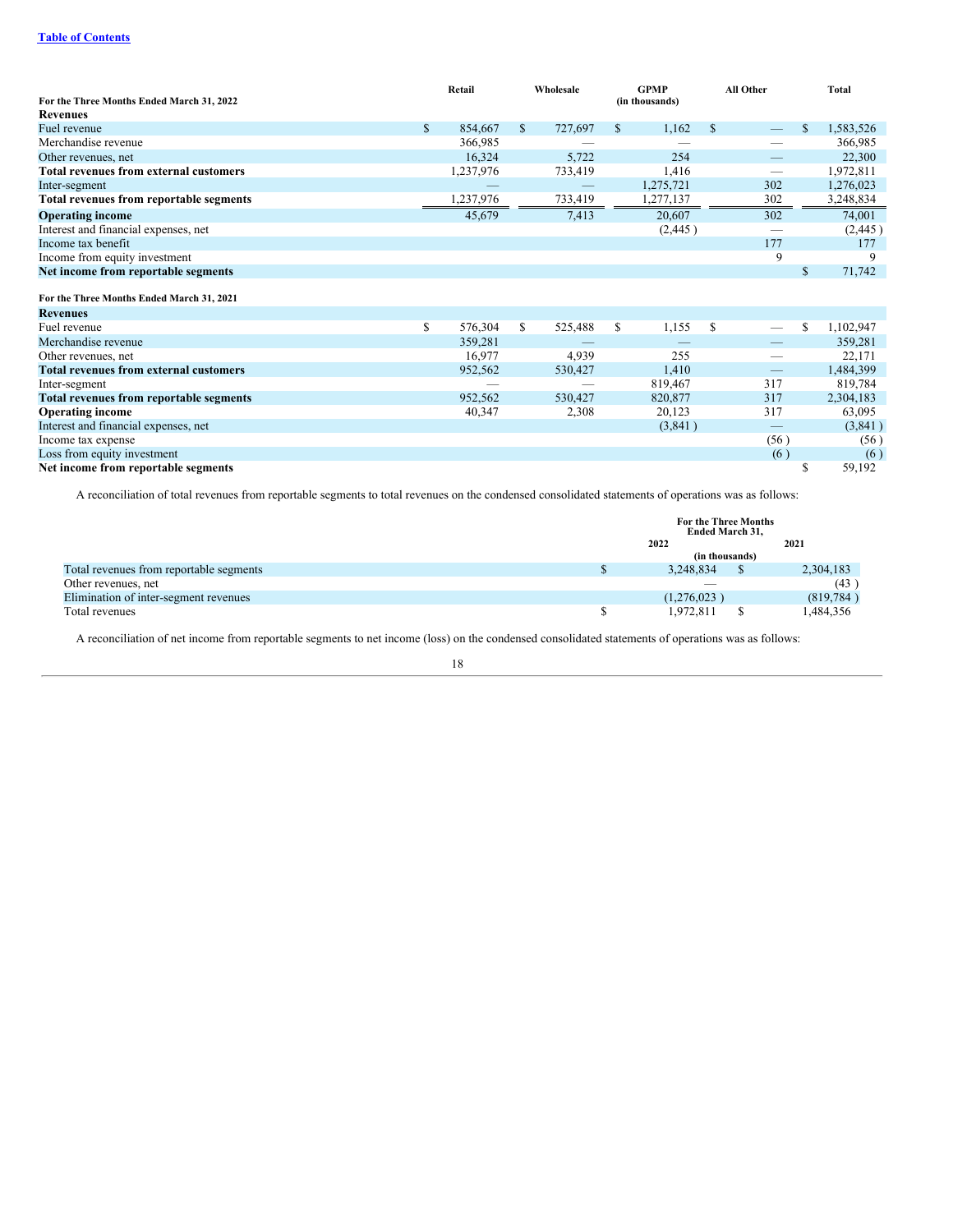### **Table of [Contents](#page-1-0)**

|                                                          |              | Retail    |               | Wholesale                |              | <b>GPMP</b>    |               | <b>All Other</b>                |   | <b>Total</b> |
|----------------------------------------------------------|--------------|-----------|---------------|--------------------------|--------------|----------------|---------------|---------------------------------|---|--------------|
| For the Three Months Ended March 31, 2022                |              |           |               |                          |              | (in thousands) |               |                                 |   |              |
| <b>Revenues</b><br>Fuel revenue                          | $\mathbb{S}$ | 854,667   | <sup>\$</sup> | 727,697                  | <sup>S</sup> | 1,162          | <sup>\$</sup> |                                 | S | 1,583,526    |
| Merchandise revenue                                      |              | 366,985   |               |                          |              |                |               |                                 |   | 366,985      |
| Other revenues, net                                      |              | 16.324    |               | 5,722                    |              | 254            |               |                                 |   | 22,300       |
| <b>Total revenues from external customers</b>            |              |           |               |                          |              | 1,416          |               |                                 |   | 1,972,811    |
|                                                          |              | 1,237,976 |               | 733,419                  |              | 1,275,721      |               | 302                             |   | 1,276,023    |
| Inter-segment<br>Total revenues from reportable segments |              | 1,237,976 |               | 733,419                  |              | 1,277,137      |               | 302                             |   | 3,248,834    |
|                                                          |              |           |               |                          |              |                |               |                                 |   |              |
| <b>Operating income</b>                                  |              | 45,679    |               | 7.413                    |              | 20,607         |               | 302                             |   | 74,001       |
| Interest and financial expenses, net                     |              |           |               |                          |              | (2, 445)       |               | --                              |   | (2, 445)     |
| Income tax benefit                                       |              |           |               |                          |              |                |               | 177                             |   | 177          |
| Income from equity investment                            |              |           |               |                          |              |                |               | 9                               |   | 9            |
| Net income from reportable segments                      |              |           |               |                          |              |                |               |                                 | S | 71,742       |
|                                                          |              |           |               |                          |              |                |               |                                 |   |              |
| For the Three Months Ended March 31, 2021                |              |           |               |                          |              |                |               |                                 |   |              |
| <b>Revenues</b>                                          |              |           |               |                          |              |                |               |                                 |   |              |
| Fuel revenue                                             | \$           | 576,304   | <sup>\$</sup> | 525,488                  | \$           | 1,155          | S             | —                               | S | 1,102,947    |
| Merchandise revenue                                      |              | 359,281   |               |                          |              |                |               | $\qquad \qquad -$               |   | 359,281      |
| Other revenues, net                                      |              | 16,977    |               | 4,939                    |              | 255            |               |                                 |   | 22,171       |
| <b>Total revenues from external customers</b>            |              | 952,562   |               | 530,427                  |              | 1,410          |               | $\hspace{0.1mm}-\hspace{0.1mm}$ |   | 1,484,399    |
| Inter-segment                                            |              | _         |               | $\overline{\phantom{0}}$ |              | 819,467        |               | 317                             |   | 819,784      |
| Total revenues from reportable segments                  |              | 952,562   |               | 530,427                  |              | 820,877        |               | 317                             |   | 2,304,183    |
| <b>Operating income</b>                                  |              | 40,347    |               | 2,308                    |              | 20,123         |               | 317                             |   | 63,095       |
| Interest and financial expenses, net                     |              |           |               |                          |              | (3,841)        |               | $\overline{\phantom{m}}$        |   | (3,841)      |
| Income tax expense                                       |              |           |               |                          |              |                |               | (56)                            |   | (56)         |
| Loss from equity investment                              |              |           |               |                          |              |                |               | (6)                             |   | (6)          |
| Net income from reportable segments                      |              |           |               |                          |              |                |               |                                 | S | 59,192       |

A reconciliation of total revenues from reportable segments to total revenues on the condensed consolidated statements of operations was as follows:

|                                         | For the Three Months<br>Ended March 31, |  |            |
|-----------------------------------------|-----------------------------------------|--|------------|
|                                         | 2022                                    |  | 2021       |
|                                         | (in thousands)                          |  |            |
| Total revenues from reportable segments | 3,248,834                               |  | 2,304,183  |
| Other revenues, net                     | $\sim$                                  |  | (43)       |
| Elimination of inter-segment revenues   | (1,276,023)                             |  | (819, 784) |
| Total revenues                          | 1.972.811                               |  | .484,356   |

A reconciliation of net income from reportable segments to net income (loss) on the condensed consolidated statements of operations was as follows: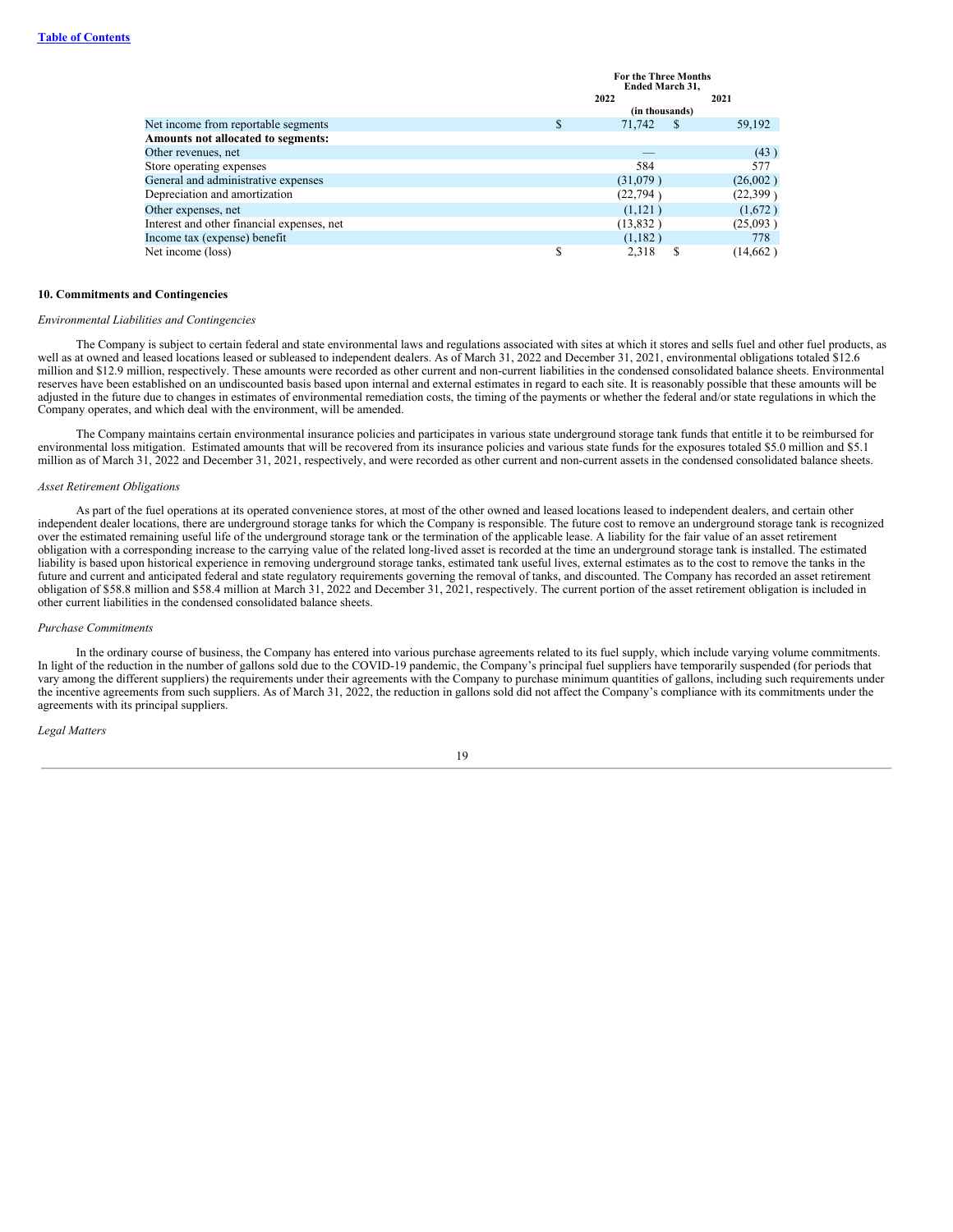|                                            |   | <b>For the Three Months</b><br><b>Ended March 31.</b> |  |          |  |
|--------------------------------------------|---|-------------------------------------------------------|--|----------|--|
|                                            |   | 2022                                                  |  |          |  |
|                                            |   | (in thousands)                                        |  |          |  |
| Net income from reportable segments        | S | 71,742                                                |  | 59,192   |  |
| Amounts not allocated to segments:         |   |                                                       |  |          |  |
| Other revenues, net                        |   |                                                       |  | (43)     |  |
| Store operating expenses                   |   | 584                                                   |  | 577      |  |
| General and administrative expenses        |   | (31,079)                                              |  | (26,002) |  |
| Depreciation and amortization              |   | (22,794)                                              |  | (22,399) |  |
| Other expenses, net                        |   | (1,121)                                               |  | (1,672)  |  |
| Interest and other financial expenses, net |   | (13,832)                                              |  | (25,093) |  |
| Income tax (expense) benefit               |   | (1,182)                                               |  | 778      |  |
| Net income (loss)                          |   | 2.318                                                 |  | (14,662) |  |

#### **10. Commitments and Contingencies**

#### *Environmental Liabilities and Contingencies*

The Company is subject to certain federal and state environmental laws and regulations associated with sites at which it stores and sells fuel and other fuel products, as well as at owned and leased locations leased or subleased to independent dealers. As of March 31, 2022 and December 31, 2021, environmental obligations totaled \$12.6 million and \$12.9 million, respectively. These amounts were recorded as other current and non-current liabilities in the condensed consolidated balance sheets. Environmental reserves have been established on an undiscounted basis based upon internal and external estimates in regard to each site. It is reasonably possible that these amounts will be adjusted in the future due to changes in estimates of environmental remediation costs, the timing of the payments or whether the federal and/or state regulations in which the Company operates, and which deal with the environment, will be amended.

The Company maintains certain environmental insurance policies and participates in various state underground storage tank funds that entitle it to be reimbursed for environmental loss mitigation. Estimated amounts that will be recovered from its insurance policies and various state funds for the exposures totaled \$5.0 million and \$5.1 million as of March 31, 2022 and December 31, 2021, respectively, and were recorded as other current and non-current assets in the condensed consolidated balance sheets.

### *Asset Retirement Obligations*

As part of the fuel operations at its operated convenience stores, at most of the other owned and leased locations leased to independent dealers, and certain other independent dealer locations, there are underground storage tanks for which the Company is responsible. The future cost to remove an underground storage tank is recognized over the estimated remaining useful life of the underground storage tank or the termination of the applicable lease. A liability for the fair value of an asset retirement obligation with a corresponding increase to the carrying value of the related long-lived asset is recorded at the time an underground storage tank is installed. The estimated liability is based upon historical experience in removing underground storage tanks, estimated tank useful lives, external estimates as to the cost to remove the tanks in the future and current and anticipated federal and state regulatory requirements governing the removal of tanks, and discounted. The Company has recorded an asset retirement obligation of \$58.8 million and \$58.4 million at March 31, 2022 and December 31, 2021, respectively. The current portion of the asset retirement obligation is included in other current liabilities in the condensed consolidated balance sheets.

#### *Purchase Commitments*

In the ordinary course of business, the Company has entered into various purchase agreements related to its fuel supply, which include varying volume commitments. In light of the reduction in the number of gallons sold due to the COVID-19 pandemic, the Company's principal fuel suppliers have temporarily suspended (for periods that vary among the different suppliers) the requirements under their agreements with the Company to purchase minimum quantities of gallons, including such requirements under the incentive agreements from such suppliers. As of March 31, 2022, the reduction in gallons sold did not affect the Company's compliance with its commitments under the agreements with its principal suppliers.

#### *Legal Matters*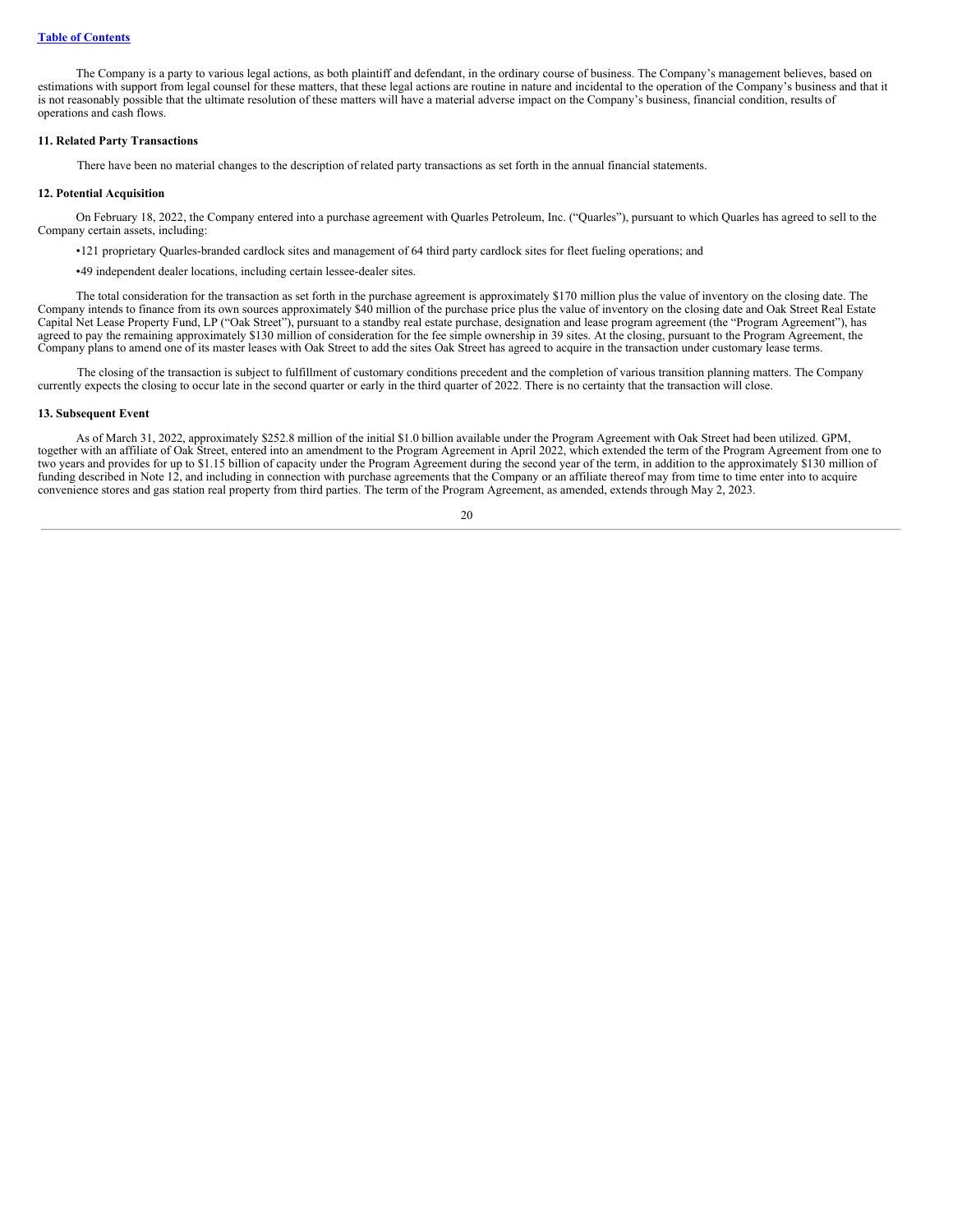### **Table of [Contents](#page-1-0)**

The Company is a party to various legal actions, as both plaintiff and defendant, in the ordinary course of business. The Company's management believes, based on estimations with support from legal counsel for these matters, that these legal actions are routine in nature and incidental to the operation of the Company's business and that it is not reasonably possible that the ultimate resolution of these matters will have a material adverse impact on the Company's business, financial condition, results of operations and cash flows.

### **11. Related Party Transactions**

There have been no material changes to the description of related party transactions as set forth in the annual financial statements.

#### **12. Potential Acquisition**

On February 18, 2022, the Company entered into a purchase agreement with Quarles Petroleum, Inc. ("Quarles"), pursuant to which Quarles has agreed to sell to the Company certain assets, including:

- •121 proprietary Quarles-branded cardlock sites and management of 64 third party cardlock sites for fleet fueling operations; and
- •49 independent dealer locations, including certain lessee-dealer sites.

The total consideration for the transaction as set forth in the purchase agreement is approximately \$170 million plus the value of inventory on the closing date. The Company intends to finance from its own sources approximately \$40 million of the purchase price plus the value of inventory on the closing date and Oak Street Real Estate Capital Net Lease Property Fund, LP ("Oak Street"), pursuant to a standby real estate purchase, designation and lease program agreement (the "Program Agreement"), has agreed to pay the remaining approximately \$130 million of consideration for the fee simple ownership in 39 sites. At the closing, pursuant to the Program Agreement, the Company plans to amend one of its master leases with Oak Street to add the sites Oak Street has agreed to acquire in the transaction under customary lease terms.

The closing of the transaction is subject to fulfillment of customary conditions precedent and the completion of various transition planning matters. The Company currently expects the closing to occur late in the second quarter or early in the third quarter of 2022. There is no certainty that the transaction will close.

### **13. Subsequent Event**

As of March 31, 2022, approximately \$252.8 million of the initial \$1.0 billion available under the Program Agreement with Oak Street had been utilized. GPM, together with an affiliate of Oak Street, entered into an amendment to the Program Agreement in April 2022, which extended the term of the Program Agreement from one to two years and provides for up to \$1.15 billion of capacity under the Program Agreement during the second year of the term, in addition to the approximately \$130 million of funding described in Note 12, and including in connection with purchase agreements that the Company or an affiliate thereof may from time to time enter into to acquire convenience stores and gas station real property from third parties. The term of the Program Agreement, as amended, extends through May 2, 2023.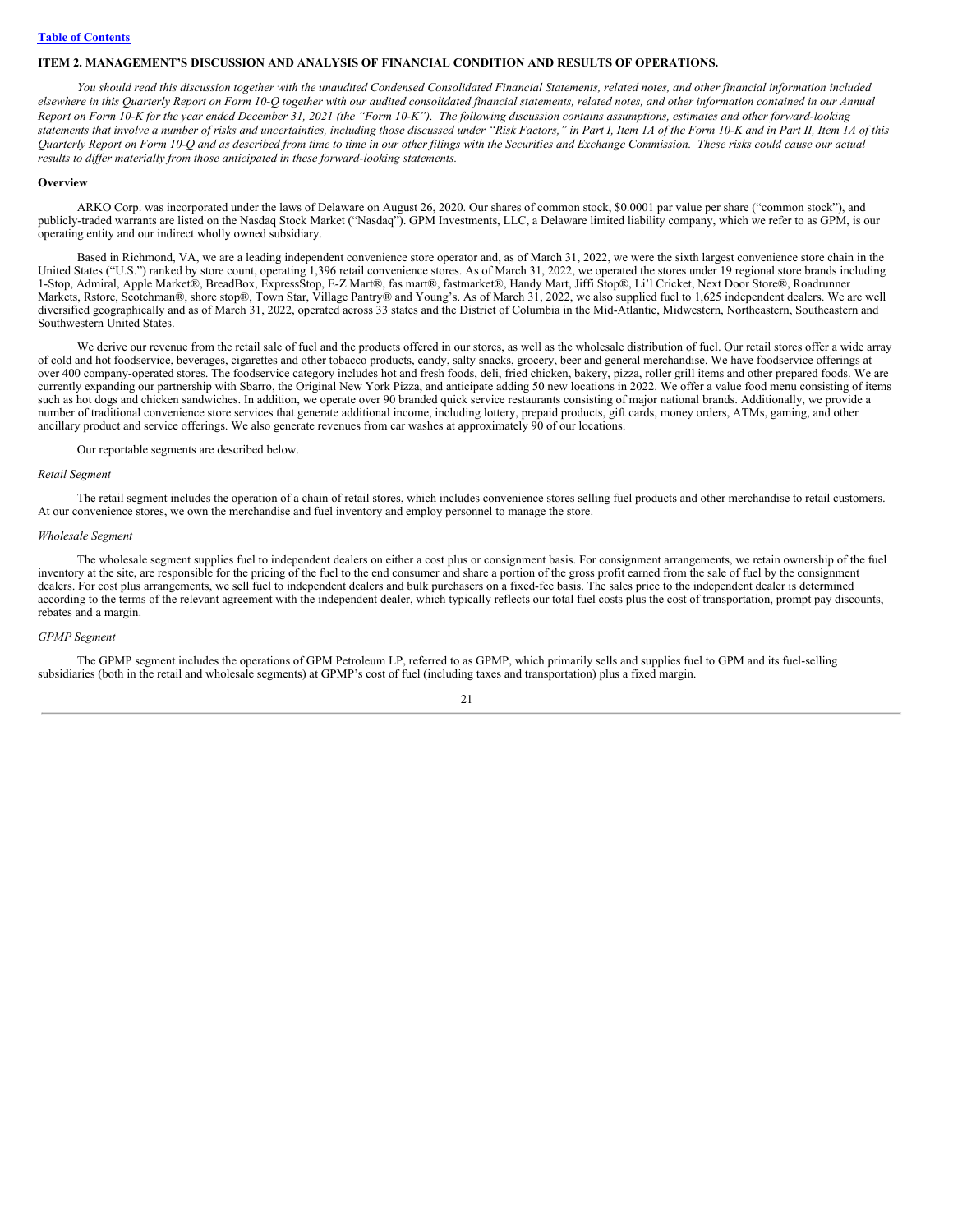### <span id="page-20-0"></span>**ITEM 2. MANAGEMENT'S DISCUSSION AND ANALYSIS OF FINANCIAL CONDITION AND RESULTS OF OPERATIONS.**

You should read this discussion together with the unaudited Condensed Consolidated Financial Statements, related notes, and other financial information included elsewhere in this Quarterly Report on Form 10-Q together with our audited consolidated financial statements, related notes, and other information contained in our Annual Report on Form 10-K for the year ended December 31, 2021 (the "Form 10-K"). The following discussion contains assumptions, estimates and other forward-looking statements that involve a number of risks and uncertainties, including those discussed under "Risk Factors," in Part I, Item 1A of the Form 10-K and in Part II, Item 1A of this Quarterly Report on Form 10-Q and as described from time to time in our other filings with the Securities and Exchange Commission. These risks could cause our actual *results to dif er materially from those anticipated in these forward-looking statements.*

#### **Overview**

ARKO Corp. was incorporated under the laws of Delaware on August 26, 2020. Our shares of common stock, \$0.0001 par value per share ("common stock"), and publicly-traded warrants are listed on the Nasdaq Stock Market ("Nasdaq"). GPM Investments, LLC, a Delaware limited liability company, which we refer to as GPM, is our operating entity and our indirect wholly owned subsidiary.

Based in Richmond, VA, we are a leading independent convenience store operator and, as of March 31, 2022, we were the sixth largest convenience store chain in the United States ("U.S.") ranked by store count, operating 1,396 retail convenience stores. As of March 31, 2022, we operated the stores under 19 regional store brands including 1-Stop, Admiral, Apple Market®, BreadBox, ExpressStop, E-Z Mart®, fas mart®, fastmarket®, Handy Mart, Jiffi Stop®, Li'l Cricket, Next Door Store®, Roadrunner Markets, Rstore, Scotchman®, shore stop®, Town Star, Village Pantry® and Young's. As of March 31, 2022, we also supplied fuel to 1,625 independent dealers. We are well diversified geographically and as of March 31, 2022, operated across 33 states and the District of Columbia in the Mid-Atlantic, Midwestern, Northeastern, Southeastern and Southwestern United States.

We derive our revenue from the retail sale of fuel and the products offered in our stores, as well as the wholesale distribution of fuel. Our retail stores offer a wide array of cold and hot foodservice, beverages, cigarettes and other tobacco products, candy, salty snacks, grocery, beer and general merchandise. We have foodservice offerings at over 400 company-operated stores. The foodservice category includes hot and fresh foods, deli, fried chicken, bakery, pizza, roller grill items and other prepared foods. We are currently expanding our partnership with Sbarro, the Original New York Pizza, and anticipate adding 50 new locations in 2022. We offer a value food menu consisting of items such as hot dogs and chicken sandwiches. In addition, we operate over 90 branded quick service restaurants consisting of major national brands. Additionally, we provide a number of traditional convenience store services that generate additional income, including lottery, prepaid products, gift cards, money orders, ATMs, gaming, and other ancillary product and service offerings. We also generate revenues from car washes at approximately 90 of our locations.

Our reportable segments are described below.

### *Retail Segment*

The retail segment includes the operation of a chain of retail stores, which includes convenience stores selling fuel products and other merchandise to retail customers. At our convenience stores, we own the merchandise and fuel inventory and employ personnel to manage the store.

#### *Wholesale Segment*

The wholesale segment supplies fuel to independent dealers on either a cost plus or consignment basis. For consignment arrangements, we retain ownership of the fuel inventory at the site, are responsible for the pricing of the fuel to the end consumer and share a portion of the gross profit earned from the sale of fuel by the consignment dealers. For cost plus arrangements, we sell fuel to independent dealers and bulk purchasers on a fixed-fee basis. The sales price to the independent dealer is determined according to the terms of the relevant agreement with the independent dealer, which typically reflects our total fuel costs plus the cost of transportation, prompt pay discounts, rebates and a margin.

#### *GPMP Segment*

The GPMP segment includes the operations of GPM Petroleum LP, referred to as GPMP, which primarily sells and supplies fuel to GPM and its fuel-selling subsidiaries (both in the retail and wholesale segments) at GPMP's cost of fuel (including taxes and transportation) plus a fixed margin.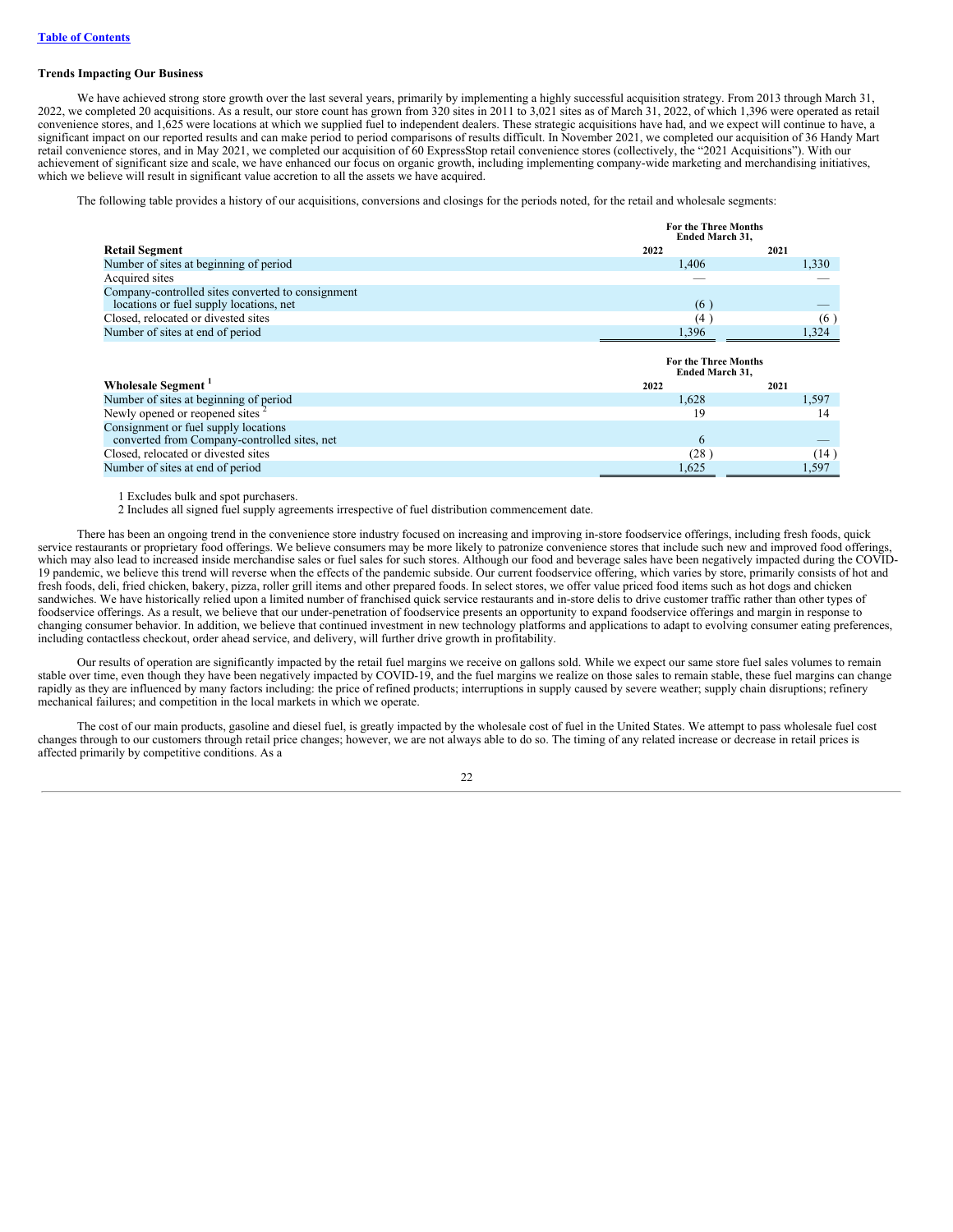### **Trends Impacting Our Business**

We have achieved strong store growth over the last several years, primarily by implementing a highly successful acquisition strategy. From 2013 through March 31, 2022, we completed 20 acquisitions. As a result, our store count has grown from 320 sites in 2011 to 3,021 sites as of March 31, 2022, of which 1,396 were operated as retail convenience stores, and 1,625 were locations at which we supplied fuel to independent dealers. These strategic acquisitions have had, and we expect will continue to have, a significant impact on our reported results and can make period to period comparisons of results difficult. In November 2021, we completed our acquisition of 36 Handy Mart retail convenience stores, and in May 2021, we completed our acquisition of 60 ExpressStop retail convenience stores (collectively, the "2021 Acquisitions"). With our achievement of significant size and scale, we have enhanced our focus on organic growth, including implementing company-wide marketing and merchandising initiatives, which we believe will result in significant value accretion to all the assets we have acquired.

The following table provides a history of our acquisitions, conversions and closings for the periods noted, for the retail and wholesale segments:

|                                                                                              | For the Three Months<br>Ended March 31, |       |
|----------------------------------------------------------------------------------------------|-----------------------------------------|-------|
| <b>Retail Segment</b>                                                                        | 2022                                    | 2021  |
| Number of sites at beginning of period                                                       | 1,406                                   | 1,330 |
| Acquired sites                                                                               |                                         |       |
| Company-controlled sites converted to consignment<br>locations or fuel supply locations, net | (6)                                     |       |
| Closed, relocated or divested sites                                                          | (4)                                     | (6)   |
| Number of sites at end of period                                                             | 1.396                                   | 1.324 |
|                                                                                              |                                         |       |

|                                                                                      | For the Three Months<br>Ended March 31, |       |
|--------------------------------------------------------------------------------------|-----------------------------------------|-------|
| Wholesale Segment <sup>1</sup>                                                       | 2022                                    | 2021  |
| Number of sites at beginning of period                                               | 1.628                                   | 1,597 |
| Newly opened or reopened sites <sup>2</sup>                                          | 19                                      |       |
| Consignment or fuel supply locations<br>converted from Company-controlled sites, net | $\mathfrak b$                           |       |
| Closed, relocated or divested sites                                                  | (28)                                    | (14)  |
| Number of sites at end of period                                                     | 1.625                                   | 1.597 |

1 Excludes bulk and spot purchasers.

2 Includes all signed fuel supply agreements irrespective of fuel distribution commencement date.

There has been an ongoing trend in the convenience store industry focused on increasing and improving in-store foodservice offerings, including fresh foods, quick service restaurants or proprietary food offerings. We believe consumers may be more likely to patronize convenience stores that include such new and improved food offerings, which may also lead to increased inside merchandise sales or fuel sales for such stores. Although our food and beverage sales have been negatively impacted during the COVID-19 pandemic, we believe this trend will reverse when the effects of the pandemic subside. Our current foodservice offering, which varies by store, primarily consists of hot and fresh foods, deli, fried chicken, bakery, pizza, roller grill items and other prepared foods. In select stores, we offer value priced food items such as hot dogs and chicken sandwiches. We have historically relied upon a limited number of franchised quick service restaurants and in-store delis to drive customer traffic rather than other types of foodservice offerings. As a result, we believe that our under-penetration of foodservice presents an opportunity to expand foodservice offerings and margin in response to changing consumer behavior. In addition, we believe that continued investment in new technology platforms and applications to adapt to evolving consumer eating preferences, including contactless checkout, order ahead service, and delivery, will further drive growth in profitability.

Our results of operation are significantly impacted by the retail fuel margins we receive on gallons sold. While we expect our same store fuel sales volumes to remain stable over time, even though they have been negatively impacted by COVID-19, and the fuel margins we realize on those sales to remain stable, these fuel margins can change rapidly as they are influenced by many factors including: the price of refined products; interruptions in supply caused by severe weather; supply chain disruptions; refinery mechanical failures; and competition in the local markets in which we operate.

The cost of our main products, gasoline and diesel fuel, is greatly impacted by the wholesale cost of fuel in the United States. We attempt to pass wholesale fuel cost changes through to our customers through retail price changes; however, we are not always able to do so. The timing of any related increase or decrease in retail prices is affected primarily by competitive conditions. As a

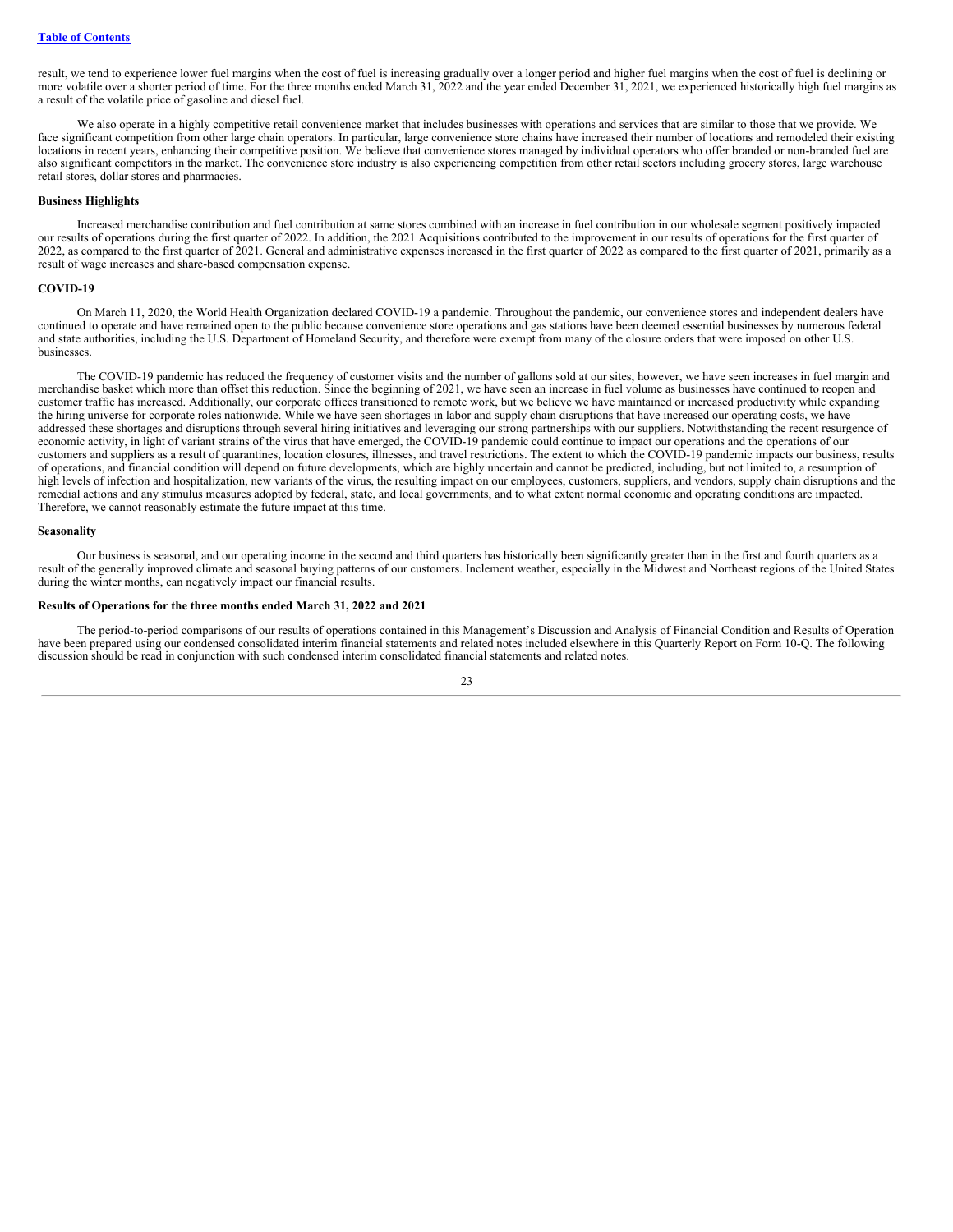result, we tend to experience lower fuel margins when the cost of fuel is increasing gradually over a longer period and higher fuel margins when the cost of fuel is declining or more volatile over a shorter period of time. For the three months ended March 31, 2022 and the year ended December 31, 2021, we experienced historically high fuel margins as a result of the volatile price of gasoline and diesel fuel.

We also operate in a highly competitive retail convenience market that includes businesses with operations and services that are similar to those that we provide. We face significant competition from other large chain operators. In particular, large convenience store chains have increased their number of locations and remodeled their existing locations in recent years, enhancing their competitive position. We believe that convenience stores managed by individual operators who offer branded or non-branded fuel are also significant competitors in the market. The convenience store industry is also experiencing competition from other retail sectors including grocery stores, large warehouse retail stores, dollar stores and pharmacies.

### **Business Highlights**

Increased merchandise contribution and fuel contribution at same stores combined with an increase in fuel contribution in our wholesale segment positively impacted our results of operations during the first quarter of 2022. In addition, the 2021 Acquisitions contributed to the improvement in our results of operations for the first quarter of 2022, as compared to the first quarter of 2021. General and administrative expenses increased in the first quarter of 2022 as compared to the first quarter of 2021, primarily as a result of wage increases and share-based compensation expense.

#### **COVID-19**

On March 11, 2020, the World Health Organization declared COVID-19 a pandemic. Throughout the pandemic, our convenience stores and independent dealers have continued to operate and have remained open to the public because convenience store operations and gas stations have been deemed essential businesses by numerous federal and state authorities, including the U.S. Department of Homeland Security, and therefore were exempt from many of the closure orders that were imposed on other U.S. businesses.

The COVID-19 pandemic has reduced the frequency of customer visits and the number of gallons sold at our sites, however, we have seen increases in fuel margin and merchandise basket which more than offset this reduction. Since the beginning of 2021, we have seen an increase in fuel volume as businesses have continued to reopen and customer traffic has increased. Additionally, our corporate offices transitioned to remote work, but we believe we have maintained or increased productivity while expanding the hiring universe for corporate roles nationwide. While we have seen shortages in labor and supply chain disruptions that have increased our operating costs, we have addressed these shortages and disruptions through several hiring initiatives and leveraging our strong partnerships with our suppliers. Notwithstanding the recent resurgence of economic activity, in light of variant strains of the virus that have emerged, the COVID-19 pandemic could continue to impact our operations and the operations of our customers and suppliers as a result of quarantines, location closures, illnesses, and travel restrictions. The extent to which the COVID-19 pandemic impacts our business, results of operations, and financial condition will depend on future developments, which are highly uncertain and cannot be predicted, including, but not limited to, a resumption of high levels of infection and hospitalization, new variants of the virus, the resulting impact on our employees, customers, suppliers, and vendors, supply chain disruptions and the remedial actions and any stimulus measures adopted by federal, state, and local governments, and to what extent normal economic and operating conditions are impacted. Therefore, we cannot reasonably estimate the future impact at this time.

#### **Seasonality**

Our business is seasonal, and our operating income in the second and third quarters has historically been significantly greater than in the first and fourth quarters as a result of the generally improved climate and seasonal buying patterns of our customers. Inclement weather, especially in the Midwest and Northeast regions of the United States during the winter months, can negatively impact our financial results.

### **Results of Operations for the three months ended March 31, 2022 and 2021**

The period-to-period comparisons of our results of operations contained in this Management's Discussion and Analysis of Financial Condition and Results of Operation have been prepared using our condensed consolidated interim financial statements and related notes included elsewhere in this Quarterly Report on Form 10-Q. The following discussion should be read in conjunction with such condensed interim consolidated financial statements and related notes.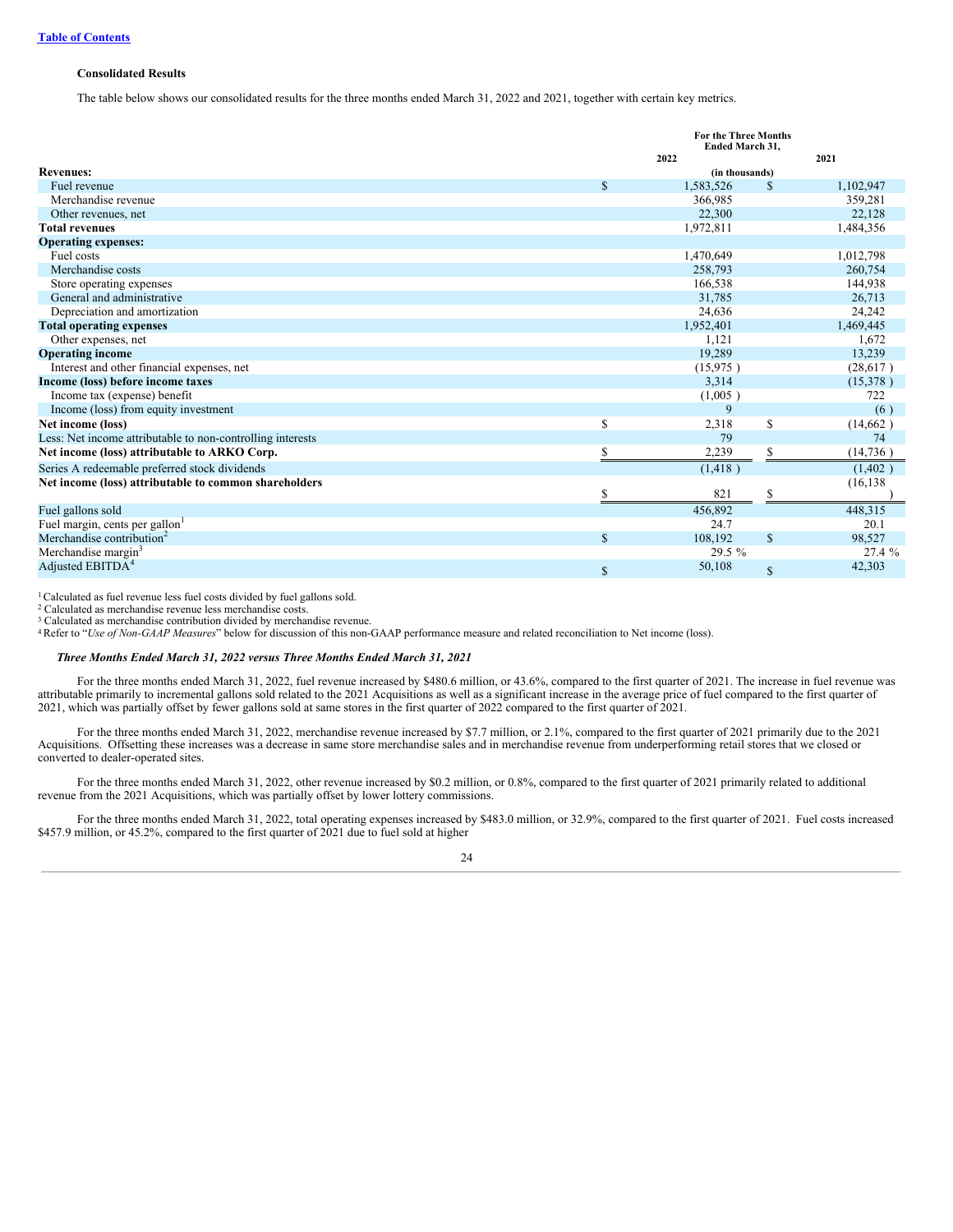### **Consolidated Results**

The table below shows our consolidated results for the three months ended March 31, 2022 and 2021, together with certain key metrics.

|                                                            |              | <b>For the Three Months</b><br><b>Ended March 31.</b> |              |           |
|------------------------------------------------------------|--------------|-------------------------------------------------------|--------------|-----------|
|                                                            |              | 2022                                                  |              | 2021      |
| <b>Revenues:</b>                                           |              | (in thousands)                                        |              |           |
| Fuel revenue                                               | $\mathbb{S}$ | 1,583,526                                             | \$           | 1,102,947 |
| Merchandise revenue                                        |              | 366,985                                               |              | 359,281   |
| Other revenues, net                                        |              | 22,300                                                |              | 22,128    |
| <b>Total revenues</b>                                      |              | 1,972,811                                             |              | 1,484,356 |
| <b>Operating expenses:</b>                                 |              |                                                       |              |           |
| Fuel costs                                                 |              | 1,470,649                                             |              | 1,012,798 |
| Merchandise costs                                          |              | 258,793                                               |              | 260,754   |
| Store operating expenses                                   |              | 166,538                                               |              | 144,938   |
| General and administrative                                 |              | 31,785                                                |              | 26,713    |
| Depreciation and amortization                              |              | 24,636                                                |              | 24,242    |
| <b>Total operating expenses</b>                            |              | 1,952,401                                             |              | 1,469,445 |
| Other expenses, net                                        |              | 1,121                                                 |              | 1,672     |
| <b>Operating income</b>                                    |              | 19.289                                                |              | 13,239    |
| Interest and other financial expenses, net                 |              | (15,975)                                              |              | (28,617)  |
| Income (loss) before income taxes                          |              | 3,314                                                 |              | (15,378)  |
| Income tax (expense) benefit                               |              | (1,005)                                               |              | 722       |
| Income (loss) from equity investment                       |              | 9                                                     |              | (6)       |
| Net income (loss)                                          | S            | 2,318                                                 | \$           | (14, 662) |
| Less: Net income attributable to non-controlling interests |              | 79                                                    |              | 74        |
| Net income (loss) attributable to ARKO Corp.               |              | 2,239                                                 | S            | (14, 736) |
| Series A redeemable preferred stock dividends              |              | (1, 418)                                              |              | (1, 402)  |
| Net income (loss) attributable to common shareholders      |              |                                                       |              | (16, 138) |
|                                                            |              | 821                                                   |              |           |
| Fuel gallons sold                                          |              | 456,892                                               |              | 448,315   |
| Fuel margin, cents per gallon                              |              | 24.7                                                  |              | 20.1      |
| Merchandise contribution <sup>2</sup>                      | $\mathbf{s}$ | 108,192                                               | \$           | 98,527    |
| Merchandise margin <sup>3</sup>                            |              | 29.5 %                                                |              | 27.4%     |
| Adjusted EBITDA <sup>4</sup>                               | \$           | 50,108                                                | $\mathbb{S}$ | 42,303    |

<sup>1</sup> Calculated as fuel revenue less fuel costs divided by fuel gallons sold. <sup>2</sup> Calculated as merchandise revenue less merchandise costs.

<sup>3</sup> Calculated as merchandise contribution divided by merchandise revenue.

<sup>4</sup> Refer to "*Use of Non-GAAP Measures*" below for discussion of this non-GAAP performance measure and related reconciliation to Net income (loss).

### *Three Months Ended March 31, 2022 versus Three Months Ended March 31, 2021*

For the three months ended March 31, 2022, fuel revenue increased by \$480.6 million, or 43.6%, compared to the first quarter of 2021. The increase in fuel revenue was attributable primarily to incremental gallons sold related to the 2021 Acquisitions as well as a significant increase in the average price of fuel compared to the first quarter of 2021, which was partially offset by fewer gallons sold at same stores in the first quarter of 2022 compared to the first quarter of 2021.

For the three months ended March 31, 2022, merchandise revenue increased by \$7.7 million, or 2.1%, compared to the first quarter of 2021 primarily due to the 2021 Acquisitions. Offsetting these increases was a decrease in same store merchandise sales and in merchandise revenue from underperforming retail stores that we closed or converted to dealer-operated sites.

For the three months ended March 31, 2022, other revenue increased by \$0.2 million, or 0.8%, compared to the first quarter of 2021 primarily related to additional revenue from the 2021 Acquisitions, which was partially offset by lower lottery commissions.

For the three months ended March 31, 2022, total operating expenses increased by \$483.0 million, or 32.9%, compared to the first quarter of 2021. Fuel costs increased \$457.9 million, or 45.2%, compared to the first quarter of 2021 due to fuel sold at higher

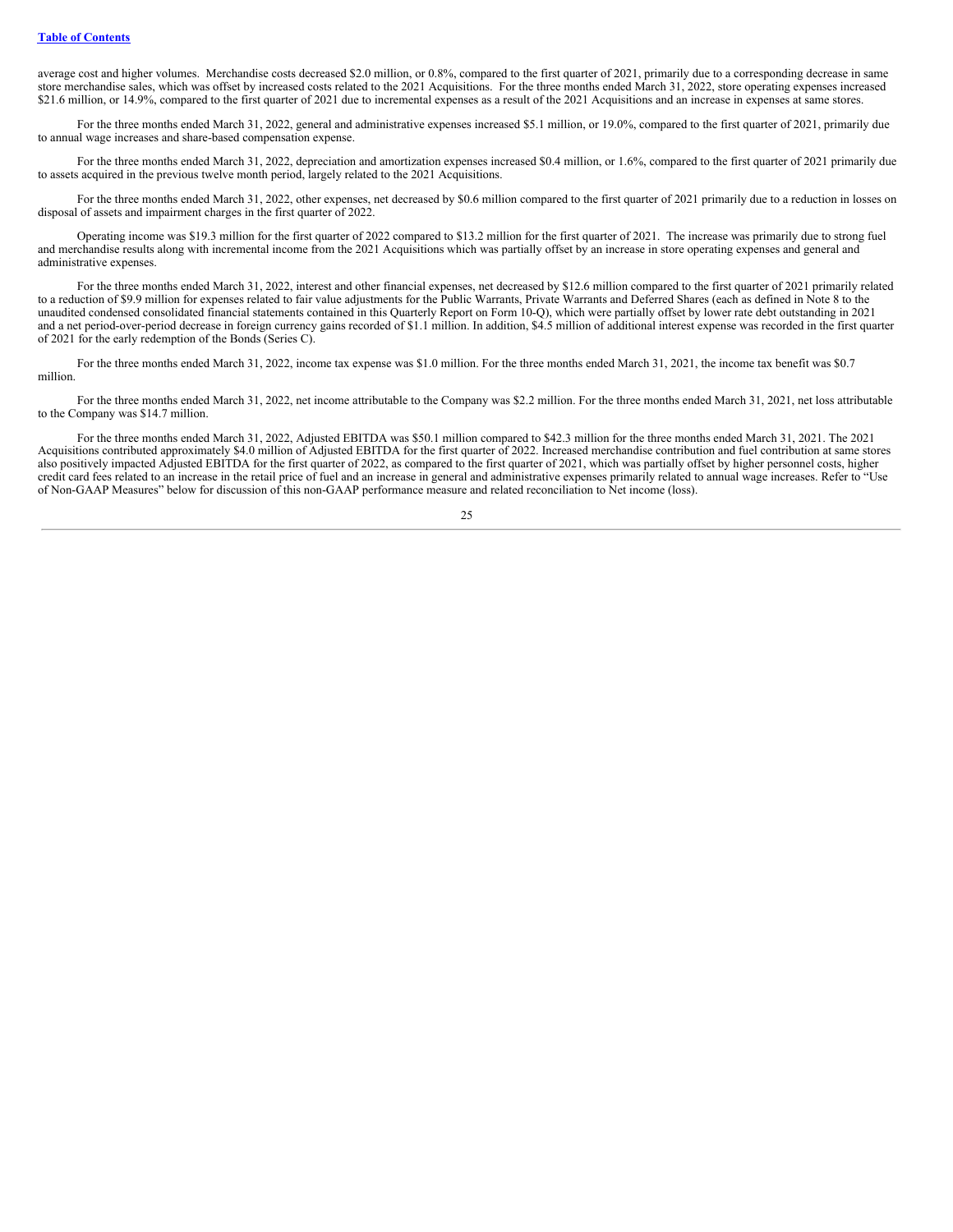average cost and higher volumes. Merchandise costs decreased \$2.0 million, or 0.8%, compared to the first quarter of 2021, primarily due to a corresponding decrease in same store merchandise sales, which was offset by increased costs related to the 2021 Acquisitions. For the three months ended March 31, 2022, store operating expenses increased \$21.6 million, or 14.9%, compared to the first quarter of 2021 due to incremental expenses as a result of the 2021 Acquisitions and an increase in expenses at same stores.

For the three months ended March 31, 2022, general and administrative expenses increased \$5.1 million, or 19.0%, compared to the first quarter of 2021, primarily due to annual wage increases and share-based compensation expense.

For the three months ended March 31, 2022, depreciation and amortization expenses increased \$0.4 million, or 1.6%, compared to the first quarter of 2021 primarily due to assets acquired in the previous twelve month period, largely related to the 2021 Acquisitions.

For the three months ended March 31, 2022, other expenses, net decreased by \$0.6 million compared to the first quarter of 2021 primarily due to a reduction in losses on disposal of assets and impairment charges in the first quarter of 2022.

Operating income was \$19.3 million for the first quarter of 2022 compared to \$13.2 million for the first quarter of 2021. The increase was primarily due to strong fuel and merchandise results along with incremental income from the 2021 Acquisitions which was partially offset by an increase in store operating expenses and general and administrative expenses.

For the three months ended March 31, 2022, interest and other financial expenses, net decreased by \$12.6 million compared to the first quarter of 2021 primarily related to a reduction of \$9.9 million for expenses related to fair value adjustments for the Public Warrants, Private Warrants and Deferred Shares (each as defined in Note 8 to the unaudited condensed consolidated financial statements contained in this Quarterly Report on Form 10-Q), which were partially offset by lower rate debt outstanding in 2021 and a net period-over-period decrease in foreign currency gains recorded of \$1.1 million. In addition, \$4.5 million of additional interest expense was recorded in the first quarter of 2021 for the early redemption of the Bonds (Series C).

For the three months ended March 31, 2022, income tax expense was \$1.0 million. For the three months ended March 31, 2021, the income tax benefit was \$0.7 million.

For the three months ended March 31, 2022, net income attributable to the Company was \$2.2 million. For the three months ended March 31, 2021, net loss attributable to the Company was \$14.7 million.

For the three months ended March 31, 2022, Adjusted EBITDA was \$50.1 million compared to \$42.3 million for the three months ended March 31, 2021. The 2021 Acquisitions contributed approximately \$4.0 million of Adjusted EBITDA for the first quarter of 2022. Increased merchandise contribution and fuel contribution at same stores also positively impacted Adjusted EBITDA for the first quarter of 2022, as compared to the first quarter of 2021, which was partially offset by higher personnel costs, higher credit card fees related to an increase in the retail price of fuel and an increase in general and administrative expenses primarily related to annual wage increases. Refer to "Use of Non-GAAP Measures" below for discussion of this non-GAAP performance measure and related reconciliation to Net income (loss).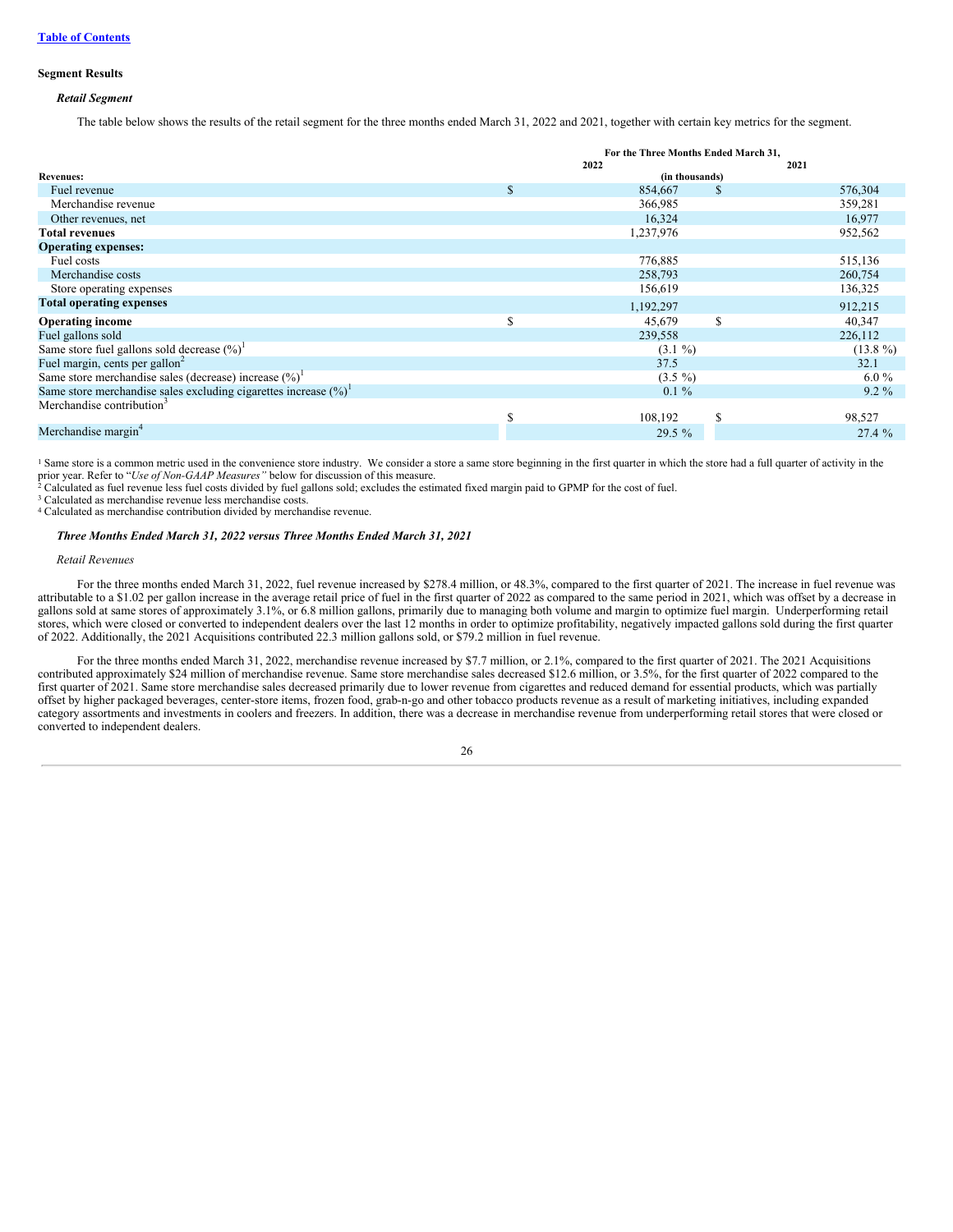### **Segment Results**

#### *Retail Segment*

The table below shows the results of the retail segment for the three months ended March 31, 2022 and 2021, together with certain key metrics for the segment.

|                                                                     |               | For the Three Months Ended March 31, |                          |  |  |
|---------------------------------------------------------------------|---------------|--------------------------------------|--------------------------|--|--|
|                                                                     |               | 2022                                 | 2021                     |  |  |
| <b>Revenues:</b>                                                    |               | (in thousands)                       |                          |  |  |
| Fuel revenue                                                        | <sup>\$</sup> | 854,667                              | 576,304<br><sup>\$</sup> |  |  |
| Merchandise revenue                                                 |               | 366,985                              | 359,281                  |  |  |
| Other revenues, net                                                 |               | 16,324                               | 16,977                   |  |  |
| <b>Total revenues</b>                                               |               | 1,237,976                            | 952,562                  |  |  |
| <b>Operating expenses:</b>                                          |               |                                      |                          |  |  |
| Fuel costs                                                          |               | 776,885                              | 515,136                  |  |  |
| Merchandise costs                                                   |               | 258,793                              | 260,754                  |  |  |
| Store operating expenses                                            |               | 156,619                              | 136,325                  |  |  |
| <b>Total operating expenses</b>                                     |               | 1,192,297                            | 912,215                  |  |  |
| <b>Operating income</b>                                             | S             | 45,679                               | <sup>\$</sup><br>40,347  |  |  |
| Fuel gallons sold                                                   |               | 239,558                              | 226,112                  |  |  |
| Same store fuel gallons sold decrease $(\%)^1$                      |               | $(3.1\%)$                            | $(13.8\%)$               |  |  |
| Fuel margin, cents per gallon <sup>2</sup>                          |               | 37.5                                 | 32.1                     |  |  |
| Same store merchandise sales (decrease) increase $(\%)^1$           |               | $(3.5\%)$                            | 6.0 $%$                  |  |  |
| Same store merchandise sales excluding cigarettes increase $(\%)^1$ |               | $0.1\%$                              | $9.2\%$                  |  |  |
| Merchandise contribution <sup>3</sup>                               |               |                                      |                          |  |  |
|                                                                     |               | 108,192                              | -S<br>98,527             |  |  |
| Merchandise margin <sup>4</sup>                                     |               | $29.5\%$                             | 27.4 %                   |  |  |

<sup>1</sup> Same store is a common metric used in the convenience store industry. We consider a store a same store beginning in the first quarter in which the store had a full quarter of activity in the prior year. Refer to "*Use of Non-GAAP Measures"* below for discussion of this measure.

<sup>2</sup> Calculated as fuel revenue less fuel costs divided by fuel gallons sold; excludes the estimated fixed margin paid to GPMP for the cost of fuel.

<sup>3</sup> Calculated as merchandise revenue less merchandise costs.

<sup>4</sup> Calculated as merchandise contribution divided by merchandise revenue.

### *Three Months Ended March 31, 2022 versus Three Months Ended March 31, 2021*

#### *Retail Revenues*

For the three months ended March 31, 2022, fuel revenue increased by \$278.4 million, or 48.3%, compared to the first quarter of 2021. The increase in fuel revenue was attributable to a \$1.02 per gallon increase in the average retail price of fuel in the first quarter of 2022 as compared to the same period in 2021, which was offset by a decrease in gallons sold at same stores of approximately 3.1%, or 6.8 million gallons, primarily due to managing both volume and margin to optimize fuel margin. Underperforming retail stores, which were closed or converted to independent dealers over the last 12 months in order to optimize profitability, negatively impacted gallons sold during the first quarter of 2022. Additionally, the 2021 Acquisitions contributed 22.3 million gallons sold, or \$79.2 million in fuel revenue.

For the three months ended March 31, 2022, merchandise revenue increased by \$7.7 million, or 2.1%, compared to the first quarter of 2021. The 2021 Acquisitions contributed approximately \$24 million of merchandise revenue. Same store merchandise sales decreased \$12.6 million, or 3.5%, for the first quarter of 2022 compared to the first quarter of 2021. Same store merchandise sales decreased primarily due to lower revenue from cigarettes and reduced demand for essential products, which was partially offset by higher packaged beverages, center-store items, frozen food, grab-n-go and other tobacco products revenue as a result of marketing initiatives, including expanded category assortments and investments in coolers and freezers. In addition, there was a decrease in merchandise revenue from underperforming retail stores that were closed or converted to independent dealers.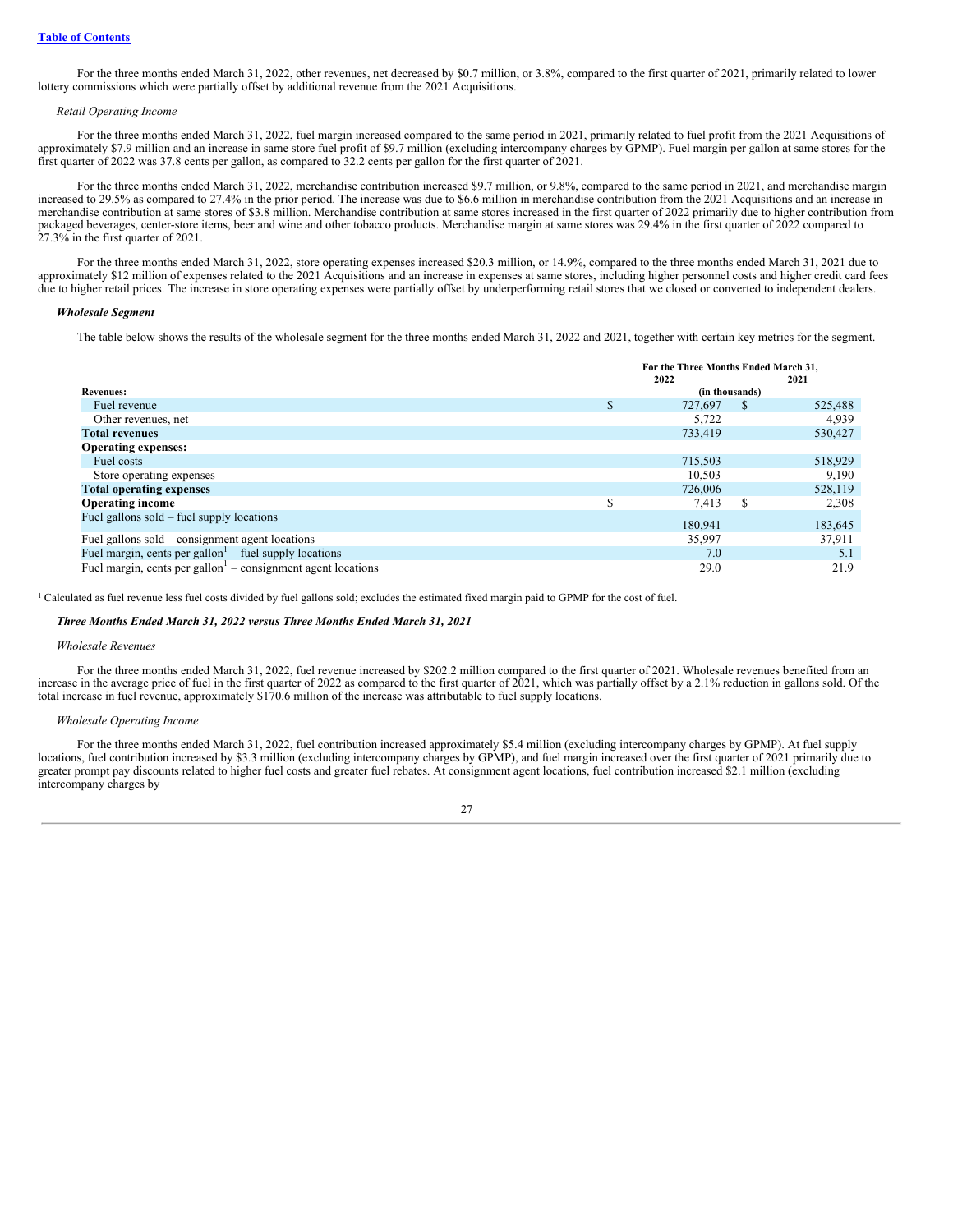For the three months ended March 31, 2022, other revenues, net decreased by \$0.7 million, or 3.8%, compared to the first quarter of 2021, primarily related to lower lottery commissions which were partially offset by additional revenue from the 2021 Acquisitions.

### *Retail Operating Income*

For the three months ended March 31, 2022, fuel margin increased compared to the same period in 2021, primarily related to fuel profit from the 2021 Acquisitions of approximately \$7.9 million and an increase in same store fuel profit of \$9.7 million (excluding intercompany charges by GPMP). Fuel margin per gallon at same stores for the first quarter of 2022 was 37.8 cents per gallon, as compared to 32.2 cents per gallon for the first quarter of 2021.

For the three months ended March 31, 2022, merchandise contribution increased \$9.7 million, or 9.8%, compared to the same period in 2021, and merchandise margin increased to 29.5% as compared to 27.4% in the prior period. The increase was due to \$6.6 million in merchandise contribution from the 2021 Acquisitions and an increase in merchandise contribution at same stores of \$3.8 million. Merchandise contribution at same stores increased in the first quarter of 2022 primarily due to higher contribution from packaged beverages, center-store items, beer and wine and other tobacco products. Merchandise margin at same stores was 29.4% in the first quarter of 2022 compared to 27.3% in the first quarter of 2021.

For the three months ended March 31, 2022, store operating expenses increased \$20.3 million, or 14.9%, compared to the three months ended March 31, 2021 due to approximately \$12 million of expenses related to the 2021 Acquisitions and an increase in expenses at same stores, including higher personnel costs and higher credit card fees due to higher retail prices. The increase in store operating expenses were partially offset by underperforming retail stores that we closed or converted to independent dealers.

#### *Wholesale Segment*

The table below shows the results of the wholesale segment for the three months ended March 31, 2022 and 2021, together with certain key metrics for the segment.

|                                                                                       |     | For the Three Months Ended March 31.<br>2022<br>2021 |    |         |
|---------------------------------------------------------------------------------------|-----|------------------------------------------------------|----|---------|
| <b>Revenues:</b>                                                                      |     | (in thousands)                                       |    |         |
| Fuel revenue                                                                          | \$. | 727,697                                              | -S | 525,488 |
| Other revenues, net                                                                   |     | 5,722                                                |    | 4,939   |
| <b>Total revenues</b>                                                                 |     | 733,419                                              |    | 530,427 |
| <b>Operating expenses:</b>                                                            |     |                                                      |    |         |
| Fuel costs                                                                            |     | 715,503                                              |    | 518,929 |
| Store operating expenses                                                              |     | 10,503                                               |    | 9,190   |
| <b>Total operating expenses</b>                                                       |     | 726,006                                              |    | 528,119 |
| <b>Operating income</b>                                                               | ъ   | 7,413                                                | S  | 2,308   |
| Fuel gallons $\text{ sold}$ – fuel supply locations                                   |     | 180,941                                              |    | 183,645 |
| Fuel gallons sold – consignment agent locations                                       |     | 35,997                                               |    | 37,911  |
| Fuel margin, cents per gallon $1$ – fuel supply locations                             |     | 7.0                                                  |    | 5.1     |
| Fuel margin, cents per gallon <sup><math>1</math></sup> – consignment agent locations |     | 29.0                                                 |    | 21.9    |

<sup>1</sup> Calculated as fuel revenue less fuel costs divided by fuel gallons sold; excludes the estimated fixed margin paid to GPMP for the cost of fuel.

#### *Three Months Ended March 31, 2022 versus Three Months Ended March 31, 2021*

#### *Wholesale Revenues*

For the three months ended March 31, 2022, fuel revenue increased by \$202.2 million compared to the first quarter of 2021. Wholesale revenues benefited from an increase in the average price of fuel in the first quarter of 2022 as compared to the first quarter of 2021, which was partially offset by a 2.1% reduction in gallons sold. Of the total increase in fuel revenue, approximately \$170.6 million of the increase was attributable to fuel supply locations.

#### *Wholesale Operating Income*

For the three months ended March 31, 2022, fuel contribution increased approximately \$5.4 million (excluding intercompany charges by GPMP). At fuel supply locations, fuel contribution increased by \$3.3 million (excluding intercompany charges by GPMP), and fuel margin increased over the first quarter of 2021 primarily due to greater prompt pay discounts related to higher fuel costs and greater fuel rebates. At consignment agent locations, fuel contribution increased \$2.1 million (excluding intercompany charges by

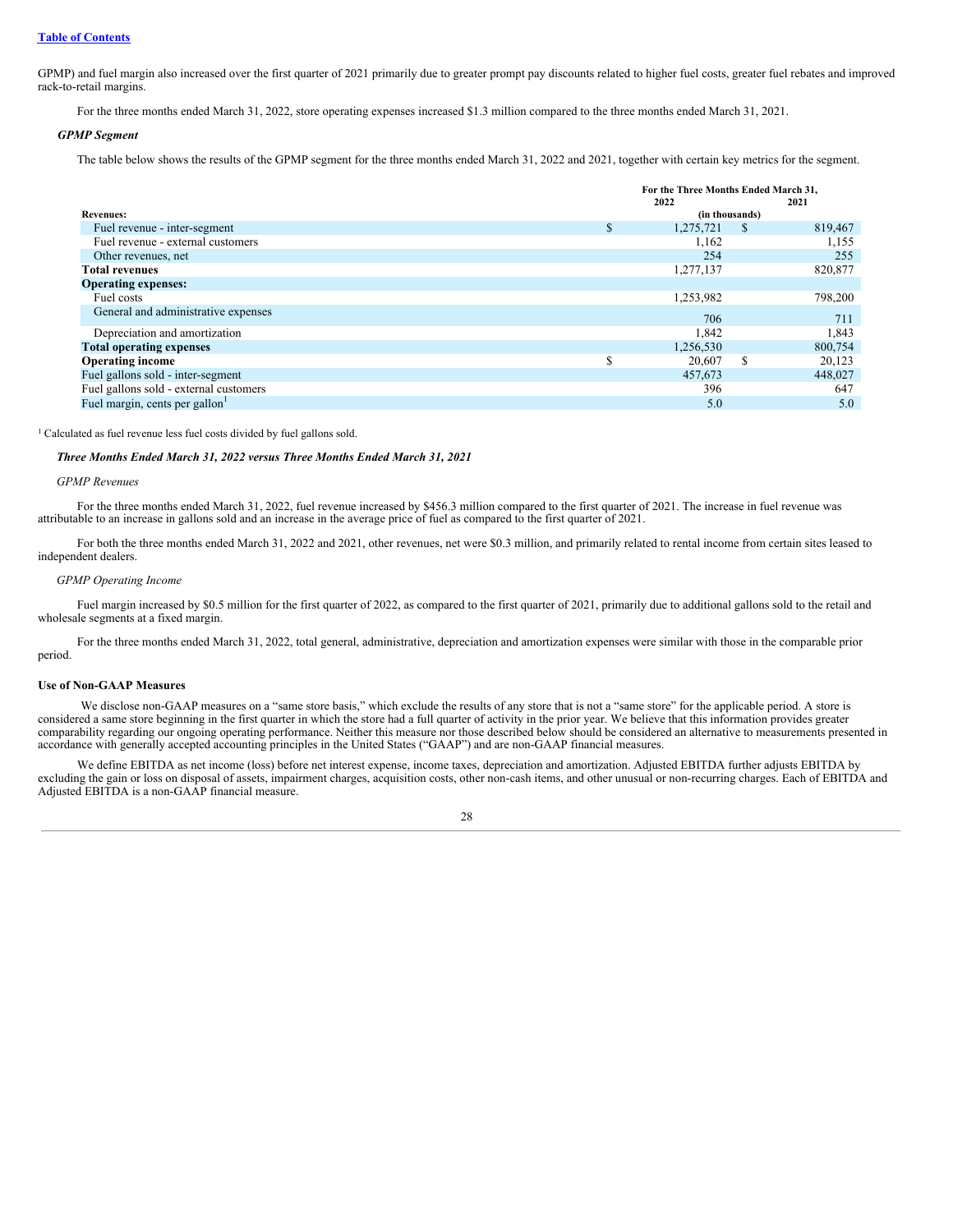GPMP) and fuel margin also increased over the first quarter of 2021 primarily due to greater prompt pay discounts related to higher fuel costs, greater fuel rebates and improved rack-to-retail margins.

For the three months ended March 31, 2022, store operating expenses increased \$1.3 million compared to the three months ended March 31, 2021.

### *GPMP Segment*

The table below shows the results of the GPMP segment for the three months ended March 31, 2022 and 2021, together with certain key metrics for the segment.

|                                            |         | For the Three Months Ended March 31,<br>2022<br>2021 |    |         |
|--------------------------------------------|---------|------------------------------------------------------|----|---------|
| <b>Revenues:</b>                           |         | (in thousands)                                       |    |         |
| Fuel revenue - inter-segment               | S       | 1,275,721                                            | -S | 819,467 |
| Fuel revenue - external customers          |         | 1,162                                                |    | 1,155   |
| Other revenues, net                        |         | 254                                                  |    | 255     |
| <b>Total revenues</b>                      |         | 1,277,137                                            |    | 820,877 |
| <b>Operating expenses:</b>                 |         |                                                      |    |         |
| Fuel costs                                 |         | 1,253,982                                            |    | 798,200 |
| General and administrative expenses        |         | 706                                                  |    | 711     |
| Depreciation and amortization              |         | 1,842                                                |    | 1,843   |
| <b>Total operating expenses</b>            |         | 1,256,530                                            |    | 800,754 |
| <b>Operating income</b>                    | ጦ<br>.ħ | 20,607                                               | S  | 20,123  |
| Fuel gallons sold - inter-segment          |         | 457,673                                              |    | 448,027 |
| Fuel gallons sold - external customers     |         | 396                                                  |    | 647     |
| Fuel margin, cents per gallon <sup>1</sup> |         | 5.0                                                  |    | 5.0     |

### <sup>1</sup> Calculated as fuel revenue less fuel costs divided by fuel gallons sold.

#### *Three Months Ended March 31, 2022 versus Three Months Ended March 31, 2021*

### *GPMP Revenues*

For the three months ended March 31, 2022, fuel revenue increased by \$456.3 million compared to the first quarter of 2021. The increase in fuel revenue was attributable to an increase in gallons sold and an increase in the average price of fuel as compared to the first quarter of 2021.

For both the three months ended March 31, 2022 and 2021, other revenues, net were \$0.3 million, and primarily related to rental income from certain sites leased to independent dealers.

### *GPMP Operating Income*

Fuel margin increased by \$0.5 million for the first quarter of 2022, as compared to the first quarter of 2021, primarily due to additional gallons sold to the retail and wholesale segments at a fixed margin.

For the three months ended March 31, 2022, total general, administrative, depreciation and amortization expenses were similar with those in the comparable prior period.

### **Use of Non-GAAP Measures**

We disclose non-GAAP measures on a "same store basis," which exclude the results of any store that is not a "same store" for the applicable period. A store is considered a same store beginning in the first quarter in which the store had a full quarter of activity in the prior year. We believe that this information provides greater comparability regarding our ongoing operating performance. Neither this measure nor those described below should be considered an alternative to measurements presented in accordance with generally accepted accounting principles in the United States ("GAAP") and are non-GAAP financial measures.

We define EBITDA as net income (loss) before net interest expense, income taxes, depreciation and amortization. Adjusted EBITDA further adjusts EBITDA by excluding the gain or loss on disposal of assets, impairment charges, acquisition costs, other non-cash items, and other unusual or non-recurring charges. Each of EBITDA and Adjusted EBITDA is a non-GAAP financial measure.

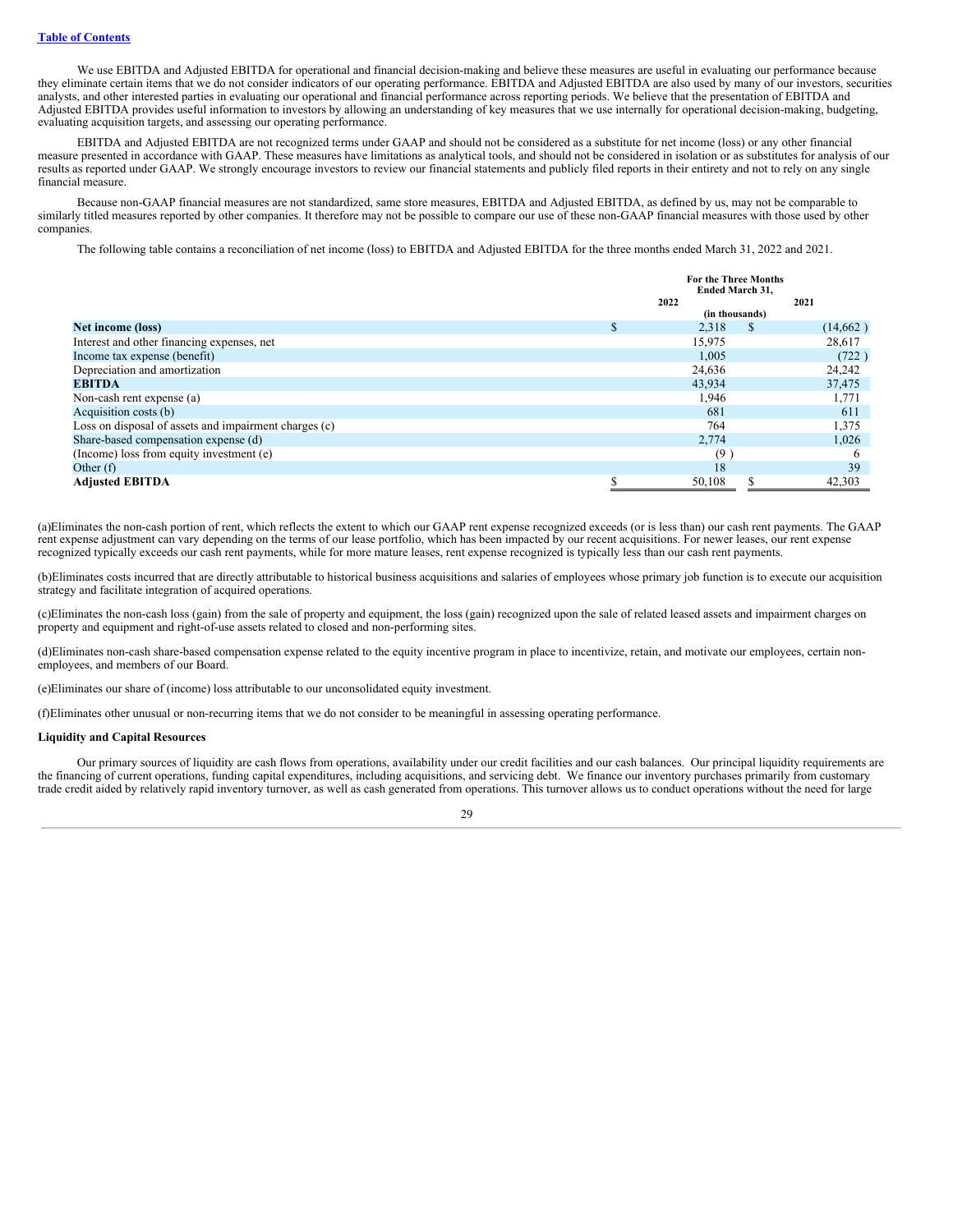We use EBITDA and Adjusted EBITDA for operational and financial decision-making and believe these measures are useful in evaluating our performance because they eliminate certain items that we do not consider indicators of our operating performance. EBITDA and Adjusted EBITDA are also used by many of our investors, securities analysts, and other interested parties in evaluating our operational and financial performance across reporting periods. We believe that the presentation of EBITDA and Adjusted EBITDA provides useful information to investors by allowing an understanding of key measures that we use internally for operational decision-making, budgeting, evaluating acquisition targets, and assessing our operating performance.

EBITDA and Adjusted EBITDA are not recognized terms under GAAP and should not be considered as a substitute for net income (loss) or any other financial measure presented in accordance with GAAP. These measures have limitations as analytical tools, and should not be considered in isolation or as substitutes for analysis of our results as reported under GAAP. We strongly encourage investors to review our financial statements and publicly filed reports in their entirety and not to rely on any single financial measure.

Because non-GAAP financial measures are not standardized, same store measures, EBITDA and Adjusted EBITDA, as defined by us, may not be comparable to similarly titled measures reported by other companies. It therefore may not be possible to compare our use of these non-GAAP financial measures with those used by other companies.

The following table contains a reconciliation of net income (loss) to EBITDA and Adjusted EBITDA for the three months ended March 31, 2022 and 2021.

|                                                       |      | <b>For the Three Months</b><br>Ended March 31, |    |          |
|-------------------------------------------------------|------|------------------------------------------------|----|----------|
|                                                       | 2022 |                                                |    | 2021     |
|                                                       |      | (in thousands)                                 |    |          |
| Net income (loss)                                     | S.   | 2,318                                          | -S | (14,662) |
| Interest and other financing expenses, net            |      | 15.975                                         |    | 28,617   |
| Income tax expense (benefit)                          |      | 1,005                                          |    | (722)    |
| Depreciation and amortization                         |      | 24,636                                         |    | 24,242   |
| <b>EBITDA</b>                                         |      | 43,934                                         |    | 37,475   |
| Non-cash rent expense (a)                             |      | 1,946                                          |    | 1,771    |
| Acquisition costs (b)                                 |      | 681                                            |    | 611      |
| Loss on disposal of assets and impairment charges (c) |      | 764                                            |    | 1,375    |
| Share-based compensation expense (d)                  |      | 2,774                                          |    | 1,026    |
| (Income) loss from equity investment (e)              |      | (9)                                            |    | $\sigma$ |
| Other $(f)$                                           |      | 18                                             |    | 39       |
| <b>Adjusted EBITDA</b>                                |      | 50,108                                         | S  | 42,303   |

(a)Eliminates the non-cash portion of rent, which reflects the extent to which our GAAP rent expense recognized exceeds (or is less than) our cash rent payments. The GAAP rent expense adjustment can vary depending on the terms of our lease portfolio, which has been impacted by our recent acquisitions. For newer leases, our rent expense recognized typically exceeds our cash rent payments, while for more mature leases, rent expense recognized is typically less than our cash rent payments.

(b)Eliminates costs incurred that are directly attributable to historical business acquisitions and salaries of employees whose primary job function is to execute our acquisition strategy and facilitate integration of acquired operations.

(c)Eliminates the non-cash loss (gain) from the sale of property and equipment, the loss (gain) recognized upon the sale of related leased assets and impairment charges on property and equipment and right-of-use assets related to closed and non-performing sites.

(d)Eliminates non-cash share-based compensation expense related to the equity incentive program in place to incentivize, retain, and motivate our employees, certain nonemployees, and members of our Board.

(e)Eliminates our share of (income) loss attributable to our unconsolidated equity investment.

(f)Eliminates other unusual or non-recurring items that we do not consider to be meaningful in assessing operating performance.

### **Liquidity and Capital Resources**

Our primary sources of liquidity are cash flows from operations, availability under our credit facilities and our cash balances. Our principal liquidity requirements are the financing of current operations, funding capital expenditures, including acquisitions, and servicing debt. We finance our inventory purchases primarily from customary trade credit aided by relatively rapid inventory turnover, as well as cash generated from operations. This turnover allows us to conduct operations without the need for large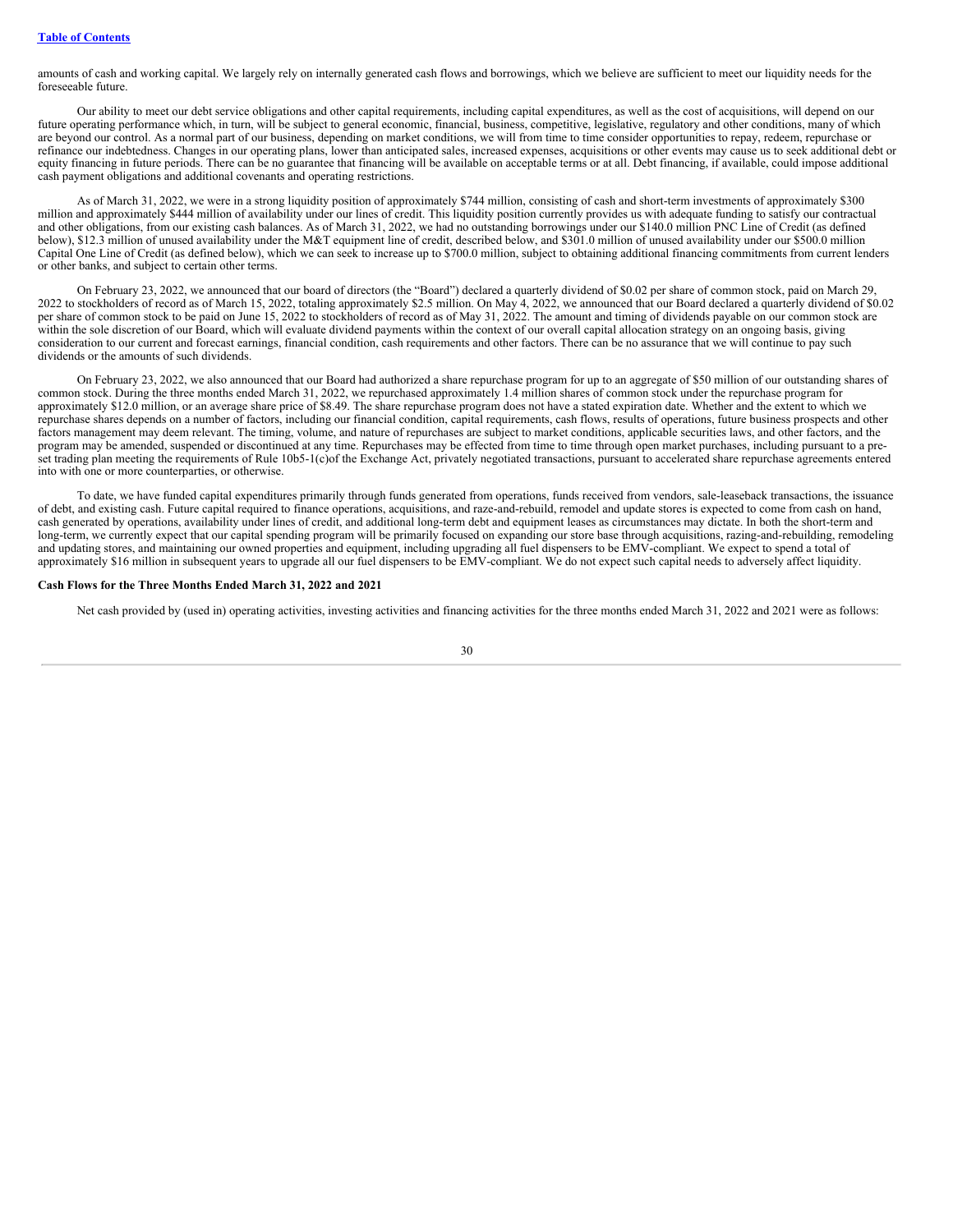amounts of cash and working capital. We largely rely on internally generated cash flows and borrowings, which we believe are sufficient to meet our liquidity needs for the foreseeable future.

Our ability to meet our debt service obligations and other capital requirements, including capital expenditures, as well as the cost of acquisitions, will depend on our future operating performance which, in turn, will be subject to general economic, financial, business, competitive, legislative, regulatory and other conditions, many of which are beyond our control. As a normal part of our business, depending on market conditions, we will from time to time consider opportunities to repay, redeem, repurchase or refinance our indebtedness. Changes in our operating plans, lower than anticipated sales, increased expenses, acquisitions or other events may cause us to seek additional debt or equity financing in future periods. There can be no guarantee that financing will be available on acceptable terms or at all. Debt financing, if available, could impose additional cash payment obligations and additional covenants and operating restrictions.

As of March 31, 2022, we were in a strong liquidity position of approximately \$744 million, consisting of cash and short-term investments of approximately \$300 million and approximately \$444 million of availability under our lines of credit. This liquidity position currently provides us with adequate funding to satisfy our contractual and other obligations, from our existing cash balances. As of March 31, 2022, we had no outstanding borrowings under our \$140.0 million PNC Line of Credit (as defined below), \$12.3 million of unused availability under the M&T equipment line of credit, described below, and \$301.0 million of unused availability under our \$500.0 million Capital One Line of Credit (as defined below), which we can seek to increase up to \$700.0 million, subject to obtaining additional financing commitments from current lenders or other banks, and subject to certain other terms.

On February 23, 2022, we announced that our board of directors (the "Board") declared a quarterly dividend of \$0.02 per share of common stock, paid on March 29, 2022 to stockholders of record as of March 15, 2022, totaling approximately \$2.5 million. On May 4, 2022, we announced that our Board declared a quarterly dividend of \$0.02 per share of common stock to be paid on June 15, 2022 to stockholders of record as of May 31, 2022. The amount and timing of dividends payable on our common stock are within the sole discretion of our Board, which will evaluate dividend payments within the context of our overall capital allocation strategy on an ongoing basis, giving consideration to our current and forecast earnings, financial condition, cash requirements and other factors. There can be no assurance that we will continue to pay such dividends or the amounts of such dividends.

On February 23, 2022, we also announced that our Board had authorized a share repurchase program for up to an aggregate of \$50 million of our outstanding shares of common stock. During the three months ended March 31, 2022, we repurchased approximately 1.4 million shares of common stock under the repurchase program for approximately \$12.0 million, or an average share price of \$8.49. The share repurchase program does not have a stated expiration date. Whether and the extent to which we repurchase shares depends on a number of factors, including our financial condition, capital requirements, cash flows, results of operations, future business prospects and other factors management may deem relevant. The timing, volume, and nature of repurchases are subject to market conditions, applicable securities laws, and other factors, and the program may be amended, suspended or discontinued at any time. Repurchases may be effected from time to time through open market purchases, including pursuant to a preset trading plan meeting the requirements of Rule 10b5-1(c)of the Exchange Act, privately negotiated transactions, pursuant to accelerated share repurchase agreements entered into with one or more counterparties, or otherwise.

To date, we have funded capital expenditures primarily through funds generated from operations, funds received from vendors, sale-leaseback transactions, the issuance of debt, and existing cash. Future capital required to finance operations, acquisitions, and raze-and-rebuild, remodel and update stores is expected to come from cash on hand, cash generated by operations, availability under lines of credit, and additional long-term debt and equipment leases as circumstances may dictate. In both the short-term and long-term, we currently expect that our capital spending program will be primarily focused on expanding our store base through acquisitions, razing-and-rebuilding, remodeling and updating stores, and maintaining our owned properties and equipment, including upgrading all fuel dispensers to be EMV-compliant. We expect to spend a total of approximately \$16 million in subsequent years to upgrade all our fuel dispensers to be EMV-compliant. We do not expect such capital needs to adversely affect liquidity.

#### **Cash Flows for the Three Months Ended March 31, 2022 and 2021**

Net cash provided by (used in) operating activities, investing activities and financing activities for the three months ended March 31, 2022 and 2021 were as follows: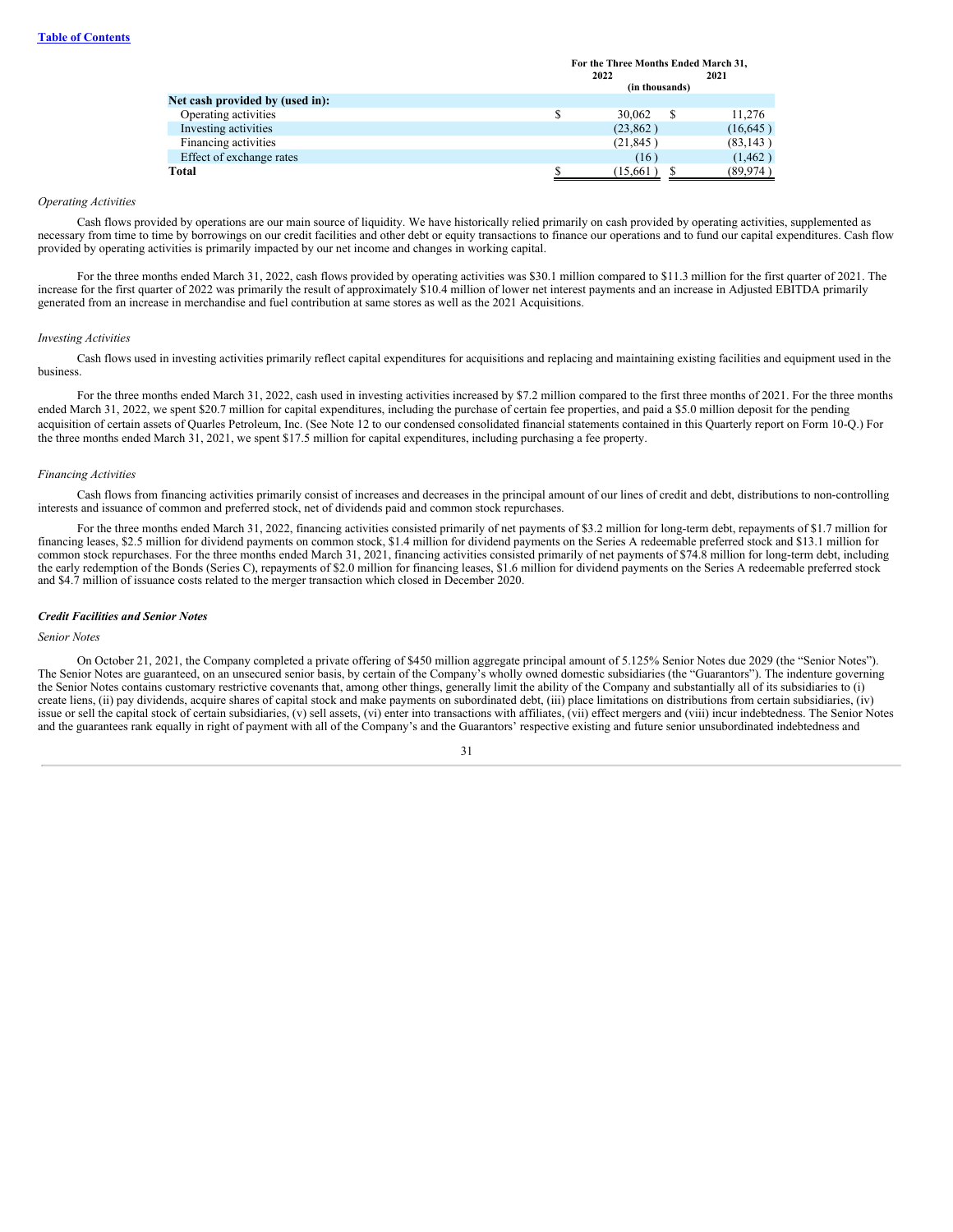|                                 |   | For the Three Months Ended March 31,<br>2022<br>2021 |             |  |
|---------------------------------|---|------------------------------------------------------|-------------|--|
| Net cash provided by (used in): |   | (in thousands)                                       |             |  |
| Operating activities            | S | 30,062                                               | S<br>11.276 |  |
| Investing activities            |   | (23, 862)                                            | (16, 645)   |  |
| Financing activities            |   | (21, 845)                                            | (83, 143)   |  |
| Effect of exchange rates        |   | (16)                                                 | (1, 462)    |  |
| Total                           |   | (15,661)                                             | (89, 974)   |  |

#### *Operating Activities*

Cash flows provided by operations are our main source of liquidity. We have historically relied primarily on cash provided by operating activities, supplemented as necessary from time to time by borrowings on our credit facilities and other debt or equity transactions to finance our operations and to fund our capital expenditures. Cash flow provided by operating activities is primarily impacted by our net income and changes in working capital.

For the three months ended March 31, 2022, cash flows provided by operating activities was \$30.1 million compared to \$11.3 million for the first quarter of 2021. The increase for the first quarter of 2022 was primarily the result of approximately \$10.4 million of lower net interest payments and an increase in Adjusted EBITDA primarily generated from an increase in merchandise and fuel contribution at same stores as well as the 2021 Acquisitions.

#### *Investing Activities*

Cash flows used in investing activities primarily reflect capital expenditures for acquisitions and replacing and maintaining existing facilities and equipment used in the business.

For the three months ended March 31, 2022, cash used in investing activities increased by \$7.2 million compared to the first three months of 2021. For the three months ended March 31, 2022, we spent \$20.7 million for capital expenditures, including the purchase of certain fee properties, and paid a \$5.0 million deposit for the pending acquisition of certain assets of Quarles Petroleum, Inc. (See Note 12 to our condensed consolidated financial statements contained in this Quarterly report on Form 10-Q.) For the three months ended March 31, 2021, we spent \$17.5 million for capital expenditures, including purchasing a fee property.

#### *Financing Activities*

Cash flows from financing activities primarily consist of increases and decreases in the principal amount of our lines of credit and debt, distributions to non-controlling interests and issuance of common and preferred stock, net of dividends paid and common stock repurchases.

For the three months ended March 31, 2022, financing activities consisted primarily of net payments of \$3.2 million for long-term debt, repayments of \$1.7 million for financing leases, \$2.5 million for dividend payments on common stock, \$1.4 million for dividend payments on the Series A redeemable preferred stock and \$13.1 million for common stock repurchases. For the three months ended March 31, 2021, financing activities consisted primarily of net payments of \$74.8 million for long-term debt, including the early redemption of the Bonds (Series C), repayments of \$2.0 million for financing leases, \$1.6 million for dividend payments on the Series A redeemable preferred stock and \$4.7 million of issuance costs related to the merger transaction which closed in December 2020.

### *Credit Facilities and Senior Notes*

#### *Senior Notes*

On October 21, 2021, the Company completed a private offering of \$450 million aggregate principal amount of 5.125% Senior Notes due 2029 (the "Senior Notes"). The Senior Notes are guaranteed, on an unsecured senior basis, by certain of the Company's wholly owned domestic subsidiaries (the "Guarantors"). The indenture governing the Senior Notes contains customary restrictive covenants that, among other things, generally limit the ability of the Company and substantially all of its subsidiaries to (i) create liens, (ii) pay dividends, acquire shares of capital stock and make payments on subordinated debt, (iii) place limitations on distributions from certain subsidiaries, (iv) issue or sell the capital stock of certain subsidiaries, (v) sell assets, (vi) enter into transactions with affiliates, (vii) effect mergers and (viii) incur indebtedness. The Senior Notes and the guarantees rank equally in right of payment with all of the Company's and the Guarantors' respective existing and future senior unsubordinated indebtedness and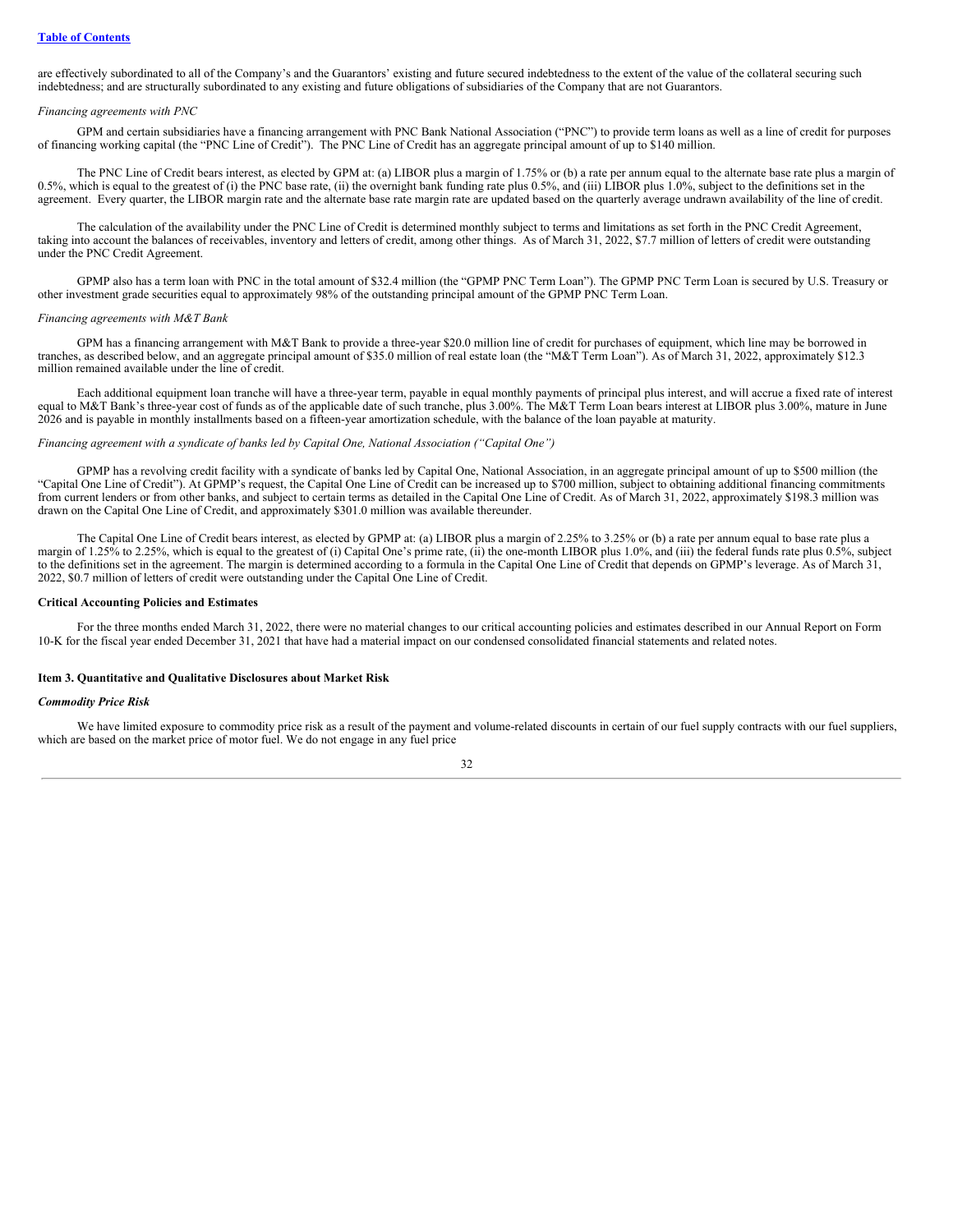are effectively subordinated to all of the Company's and the Guarantors' existing and future secured indebtedness to the extent of the value of the collateral securing such indebtedness; and are structurally subordinated to any existing and future obligations of subsidiaries of the Company that are not Guarantors.

### *Financing agreements with PNC*

GPM and certain subsidiaries have a financing arrangement with PNC Bank National Association ("PNC") to provide term loans as well as a line of credit for purposes of financing working capital (the "PNC Line of Credit"). The PNC Line of Credit has an aggregate principal amount of up to \$140 million.

The PNC Line of Credit bears interest, as elected by GPM at: (a) LIBOR plus a margin of 1.75% or (b) a rate per annum equal to the alternate base rate plus a margin of 0.5%, which is equal to the greatest of (i) the PNC base rate, (ii) the overnight bank funding rate plus 0.5%, and (iii) LIBOR plus 1.0%, subject to the definitions set in the agreement. Every quarter, the LIBOR margin rate and the alternate base rate margin rate are updated based on the quarterly average undrawn availability of the line of credit.

The calculation of the availability under the PNC Line of Credit is determined monthly subject to terms and limitations as set forth in the PNC Credit Agreement, taking into account the balances of receivables, inventory and letters of credit, among other things. As of March 31, 2022, \$7.7 million of letters of credit were outstanding under the PNC Credit Agreement.

GPMP also has a term loan with PNC in the total amount of \$32.4 million (the "GPMP PNC Term Loan"). The GPMP PNC Term Loan is secured by U.S. Treasury or other investment grade securities equal to approximately 98% of the outstanding principal amount of the GPMP PNC Term Loan.

### *Financing agreements with M&T Bank*

GPM has a financing arrangement with M&T Bank to provide a three-year \$20.0 million line of credit for purchases of equipment, which line may be borrowed in tranches, as described below, and an aggregate principal amount of \$35.0 million of real estate loan (the "M&T Term Loan"). As of March 31, 2022, approximately \$12.3 million remained available under the line of credit.

Each additional equipment loan tranche will have a three-year term, payable in equal monthly payments of principal plus interest, and will accrue a fixed rate of interest equal to M&T Bank's three-year cost of funds as of the applicable date of such tranche, plus 3.00%. The M&T Term Loan bears interest at LIBOR plus 3.00%, mature in June 2026 and is payable in monthly installments based on a fifteen-year amortization schedule, with the balance of the loan payable at maturity.

### *Financing agreement with a syndicate of banks led by Capital One, National Association ("Capital One")*

GPMP has a revolving credit facility with a syndicate of banks led by Capital One, National Association, in an aggregate principal amount of up to \$500 million (the "Capital One Line of Credit"). At GPMP's request, the Capital One Line of Credit can be increased up to \$700 million, subject to obtaining additional financing commitments from current lenders or from other banks, and subject to certain terms as detailed in the Capital One Line of Credit. As of March 31, 2022, approximately \$198.3 million was drawn on the Capital One Line of Credit, and approximately \$301.0 million was available thereunder.

The Capital One Line of Credit bears interest, as elected by GPMP at: (a) LIBOR plus a margin of 2.25% to 3.25% or (b) a rate per annum equal to base rate plus a margin of 1.25% to 2.25%, which is equal to the greatest of (i) Capital One's prime rate, (ii) the one-month LIBOR plus 1.0%, and (iii) the federal funds rate plus 0.5%, subject to the definitions set in the agreement. The margin is determined according to a formula in the Capital One Line of Credit that depends on GPMP's leverage. As of March 31, 2022, \$0.7 million of letters of credit were outstanding under the Capital One Line of Credit.

#### **Critical Accounting Policies and Estimates**

For the three months ended March 31, 2022, there were no material changes to our critical accounting policies and estimates described in our Annual Report on Form 10-K for the fiscal year ended December 31, 2021 that have had a material impact on our condensed consolidated financial statements and related notes.

### <span id="page-31-0"></span>**Item 3. Quantitative and Qualitative Disclosures about Market Risk**

### *Commodity Price Risk*

We have limited exposure to commodity price risk as a result of the payment and volume-related discounts in certain of our fuel supply contracts with our fuel suppliers, which are based on the market price of motor fuel. We do not engage in any fuel price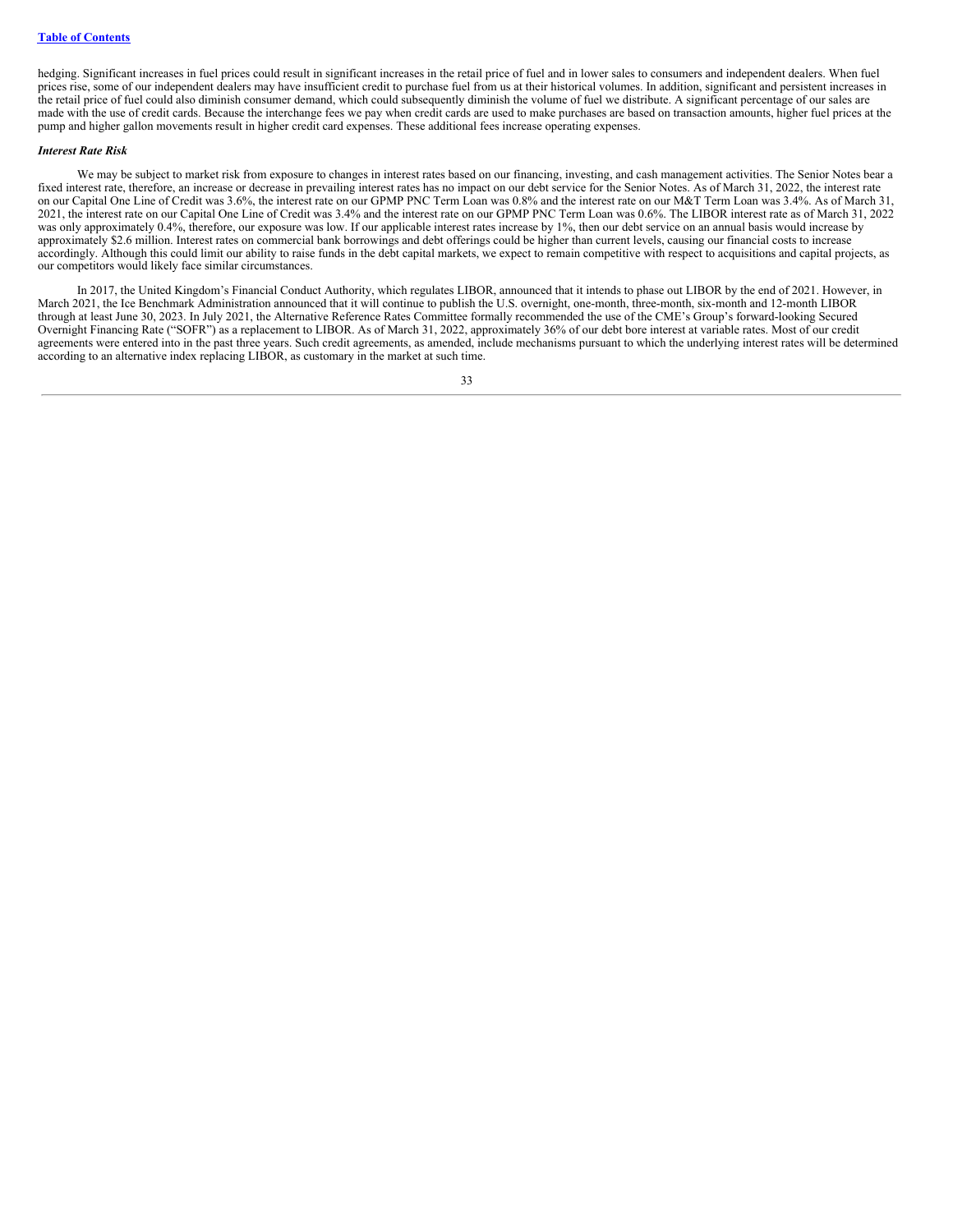hedging. Significant increases in fuel prices could result in significant increases in the retail price of fuel and in lower sales to consumers and independent dealers. When fuel prices rise, some of our independent dealers may have insufficient credit to purchase fuel from us at their historical volumes. In addition, significant and persistent increases in the retail price of fuel could also diminish consumer demand, which could subsequently diminish the volume of fuel we distribute. A significant percentage of our sales are made with the use of credit cards. Because the interchange fees we pay when credit cards are used to make purchases are based on transaction amounts, higher fuel prices at the pump and higher gallon movements result in higher credit card expenses. These additional fees increase operating expenses.

#### *Interest Rate Risk*

We may be subject to market risk from exposure to changes in interest rates based on our financing, investing, and cash management activities. The Senior Notes bear a fixed interest rate, therefore, an increase or decrease in prevailing interest rates has no impact on our debt service for the Senior Notes. As of March 31, 2022, the interest rate on our Capital One Line of Credit was 3.6%, the interest rate on our GPMP PNC Term Loan was 0.8% and the interest rate on our M&T Term Loan was 3.4%. As of March 31, 2021, the interest rate on our Capital One Line of Credit was 3.4% and the interest rate on our GPMP PNC Term Loan was 0.6%. The LIBOR interest rate as of March 31, 2022 was only approximately 0.4%, therefore, our exposure was low. If our applicable interest rates increase by 1%, then our debt service on an annual basis would increase by approximately \$2.6 million. Interest rates on commercial bank borrowings and debt offerings could be higher than current levels, causing our financial costs to increase accordingly. Although this could limit our ability to raise funds in the debt capital markets, we expect to remain competitive with respect to acquisitions and capital projects, as our competitors would likely face similar circumstances.

In 2017, the United Kingdom's Financial Conduct Authority, which regulates LIBOR, announced that it intends to phase out LIBOR by the end of 2021. However, in March 2021, the Ice Benchmark Administration announced that it will continue to publish the U.S. overnight, one-month, three-month, six-month and 12-month LIBOR through at least June 30, 2023. In July 2021, the Alternative Reference Rates Committee formally recommended the use of the CME's Group's forward-looking Secured Overnight Financing Rate ("SOFR") as a replacement to LIBOR. As of March 31, 2022, approximately 36% of our debt bore interest at variable rates. Most of our credit agreements were entered into in the past three years. Such credit agreements, as amended, include mechanisms pursuant to which the underlying interest rates will be determined according to an alternative index replacing LIBOR, as customary in the market at such time.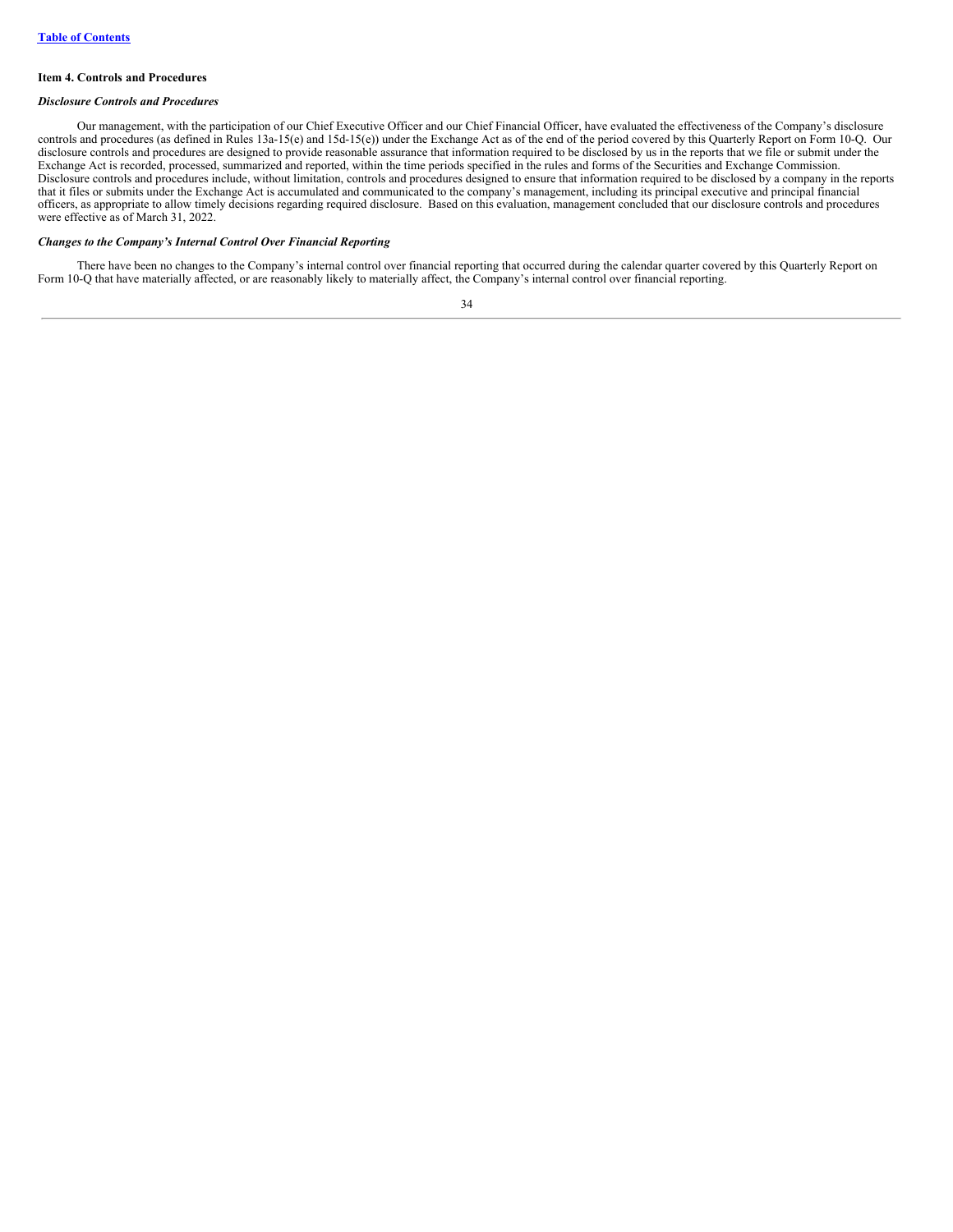### <span id="page-33-0"></span>**Item 4. Controls and Procedures**

### *Disclosure Controls and Procedures*

Our management, with the participation of our Chief Executive Officer and our Chief Financial Officer, have evaluated the effectiveness of the Company's disclosure controls and procedures (as defined in Rules 13a-15(e) and 15d-15(e)) under the Exchange Act as of the end of the period covered by this Quarterly Report on Form 10-Q. Our disclosure controls and procedures are designed to provide reasonable assurance that information required to be disclosed by us in the reports that we file or submit under the Exchange Act is recorded, processed, summarized and reported, within the time periods specified in the rules and forms of the Securities and Exchange Commission. Disclosure controls and procedures include, without limitation, controls and procedures designed to ensure that information required to be disclosed by a company in the reports that it files or submits under the Exchange Act is accumulated and communicated to the company's management, including its principal executive and principal financial officers, as appropriate to allow timely decisions regarding required disclosure. Based on this evaluation, management concluded that our disclosure controls and procedures were effective as of March 31, 2022.

### *Changes to the Company's Internal Control Over Financial Reporting*

There have been no changes to the Company's internal control over financial reporting that occurred during the calendar quarter covered by this Quarterly Report on Form 10-Q that have materially affected, or are reasonably likely to materially affect, the Company's internal control over financial reporting.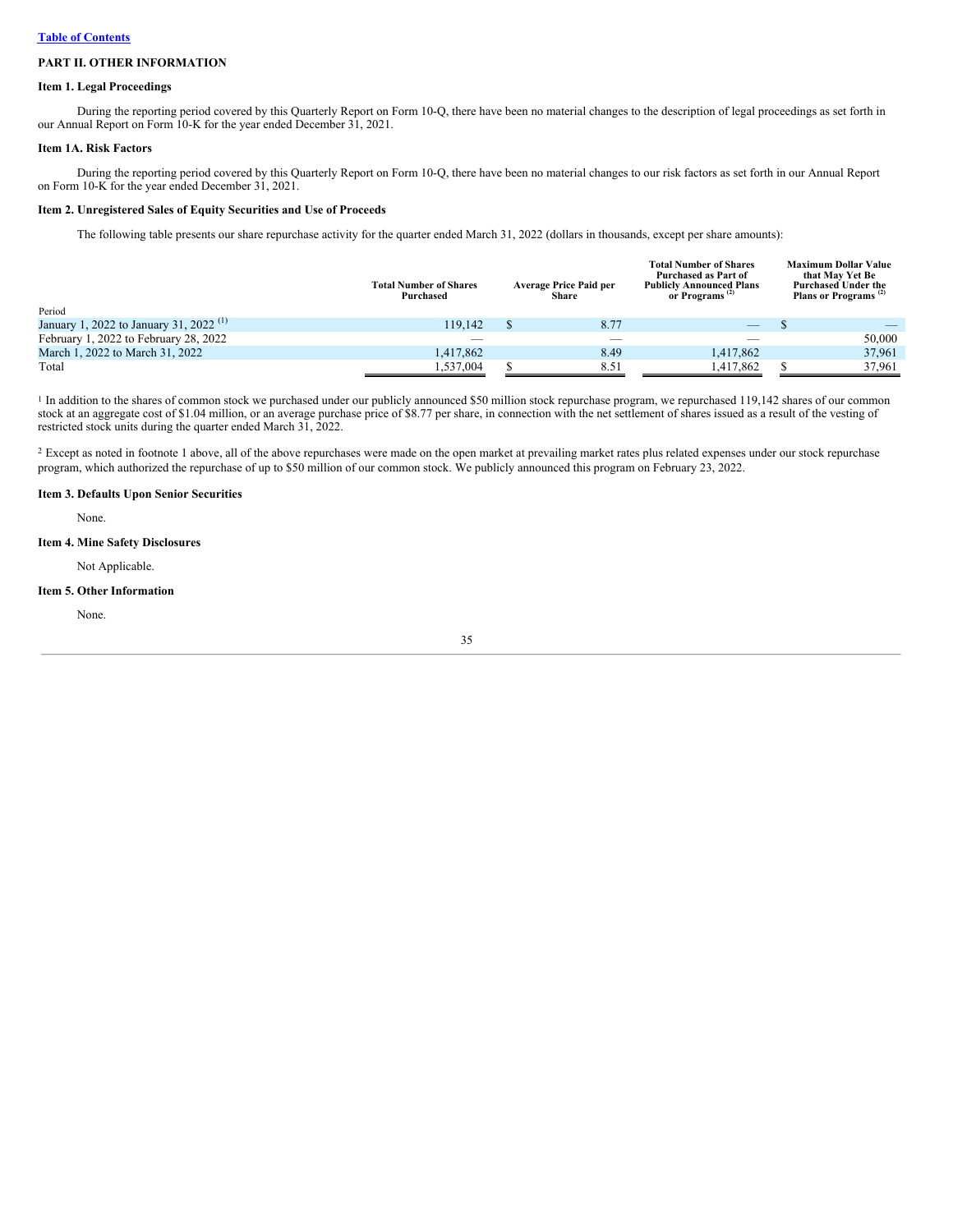### <span id="page-34-0"></span>**PART II. OTHER INFORMATION**

### <span id="page-34-1"></span>**Item 1. Legal Proceedings**

During the reporting period covered by this Quarterly Report on Form 10-Q, there have been no material changes to the description of legal proceedings as set forth in our Annual Report on Form 10-K for the year ended December 31, 2021.

### <span id="page-34-2"></span>**Item 1A. Risk Factors**

During the reporting period covered by this Quarterly Report on Form 10-Q, there have been no material changes to our risk factors as set forth in our Annual Report on Form 10-K for the year ended December 31, 2021.

### <span id="page-34-3"></span>**Item 2. Unregistered Sales of Equity Securities and Use of Proceeds**

The following table presents our share repurchase activity for the quarter ended March 31, 2022 (dollars in thousands, except per share amounts):

|                                                    | <b>Total Number of Shares</b><br>Purchased | Average Price Paid per<br>Share | <b>Total Number of Shares</b><br>Purchased as Part of<br><b>Publicly Announced Plans</b><br>or Programs <sup><math>(2)</math></sup> | <b>Maximum Dollar Value</b><br>that May Yet Be<br>Purchased Under the<br>Plans or Programs <sup>(2)</sup> |
|----------------------------------------------------|--------------------------------------------|---------------------------------|-------------------------------------------------------------------------------------------------------------------------------------|-----------------------------------------------------------------------------------------------------------|
| Period                                             |                                            |                                 |                                                                                                                                     |                                                                                                           |
| January 1, 2022 to January 31, 2022 <sup>(1)</sup> | 119.142                                    | 8.77                            | $-$                                                                                                                                 |                                                                                                           |
| February 1, 2022 to February 28, 2022              |                                            | __                              |                                                                                                                                     | 50,000                                                                                                    |
| March 1, 2022 to March 31, 2022                    | .417.862                                   | 8.49                            | 1.417.862                                                                                                                           | 37.961                                                                                                    |
| Total                                              | .537,004                                   | 8.51                            | 1.417.862                                                                                                                           | 37,961                                                                                                    |

<sup>1</sup> In addition to the shares of common stock we purchased under our publicly announced \$50 million stock repurchase program, we repurchased 119,142 shares of our common stock at an aggregate cost of \$1.04 million, or an average purchase price of \$8.77 per share, in connection with the net settlement of shares issued as a result of the vesting of restricted stock units during the quarter ended March 31, 2022.

<sup>2</sup> Except as noted in footnote 1 above, all of the above repurchases were made on the open market at prevailing market rates plus related expenses under our stock repurchase program, which authorized the repurchase of up to \$50 million of our common stock. We publicly announced this program on February 23, 2022.

### <span id="page-34-4"></span>**Item 3. Defaults Upon Senior Securities**

None.

### <span id="page-34-5"></span>**Item 4. Mine Safety Disclosures**

Not Applicable.

### <span id="page-34-6"></span>**Item 5. Other Information**

None.

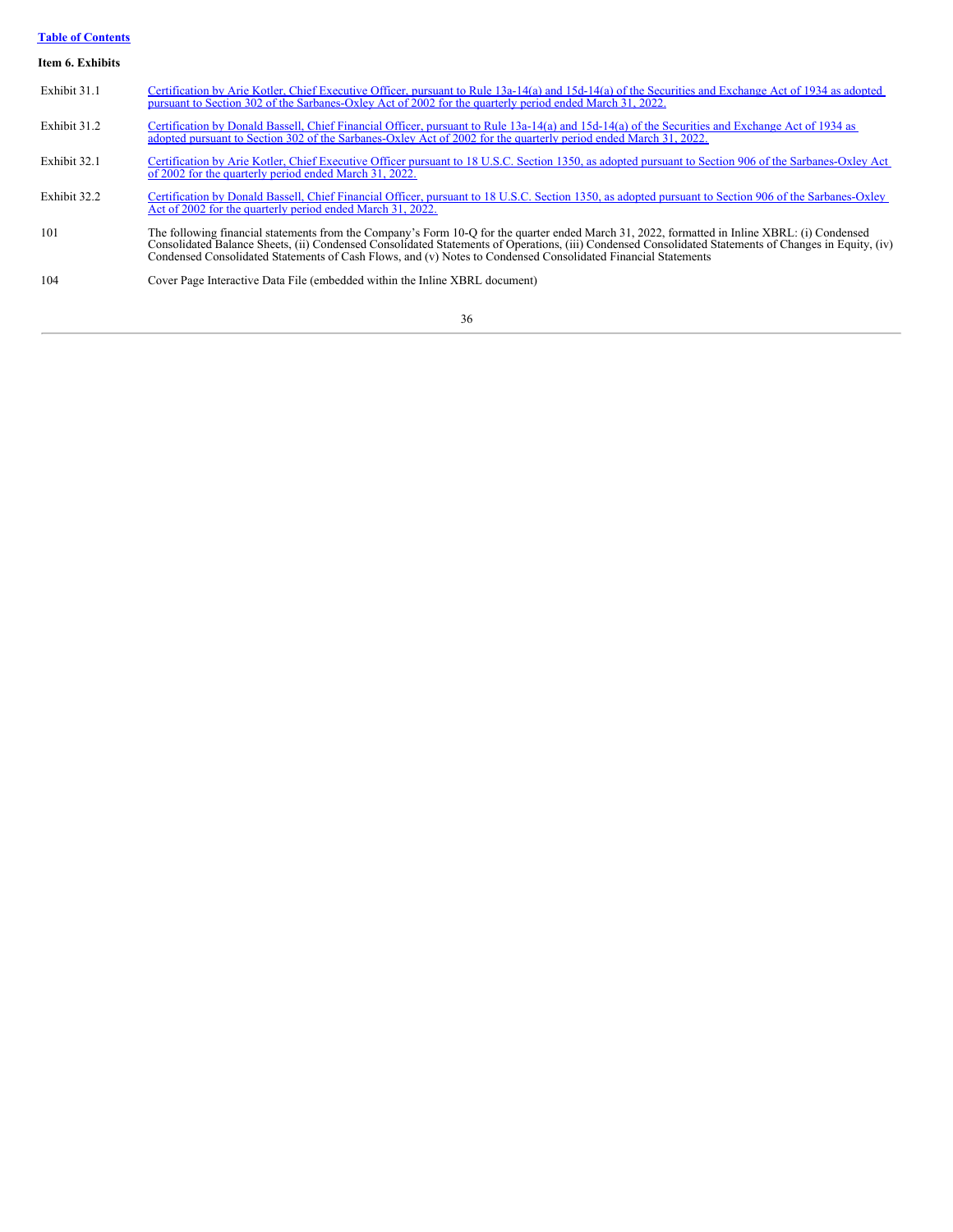### **Table of [Contents](#page-1-0)**

<span id="page-35-0"></span>**Item 6. Exhibits**

| Exhibit 31.1 | Certification by Arie Kotler, Chief Executive Officer, pursuant to Rule 13a-14(a) and 15d-14(a) of the Securities and Exchange Act of 1934 as adopted<br>pursuant to Section 302 of the Sarbanes-Oxley Act of 2002 for the quarterly period ended March 31, 2022.                                                                                                                                                       |
|--------------|-------------------------------------------------------------------------------------------------------------------------------------------------------------------------------------------------------------------------------------------------------------------------------------------------------------------------------------------------------------------------------------------------------------------------|
| Exhibit 31.2 | Certification by Donald Bassell, Chief Financial Officer, pursuant to Rule 13a-14(a) and 15d-14(a) of the Securities and Exchange Act of 1934 as<br>adopted pursuant to Section 302 of the Sarbanes-Oxley Act of 2002 for the quarterly period ended March 31, 2022.                                                                                                                                                    |
| Exhibit 32.1 | Certification by Arie Kotler, Chief Executive Officer pursuant to 18 U.S.C. Section 1350, as adopted pursuant to Section 906 of the Sarbanes-Oxley Act<br>of 2002 for the quarterly period ended March 31, 2022.                                                                                                                                                                                                        |
| Exhibit 32.2 | Certification by Donald Bassell, Chief Financial Officer, pursuant to 18 U.S.C. Section 1350, as adopted pursuant to Section 906 of the Sarbanes-Oxley<br>Act of 2002 for the quarterly period ended March 31, 2022.                                                                                                                                                                                                    |
| 101          | The following financial statements from the Company's Form 10-O for the quarter ended March 31, 2022, formatted in Inline XBRL: (i) Condensed<br>Consolidated Balance Sheets, (ii) Condensed Consolidated Statements of Operations, (iii) Condensed Consolidated Statements of Changes in Equity, (iv)<br>Condensed Consolidated Statements of Cash Flows, and (v) Notes to Condensed Consolidated Financial Statements |
| 104          | Cover Page Interactive Data File (embedded within the Inline XBRL document)                                                                                                                                                                                                                                                                                                                                             |
|              | 36                                                                                                                                                                                                                                                                                                                                                                                                                      |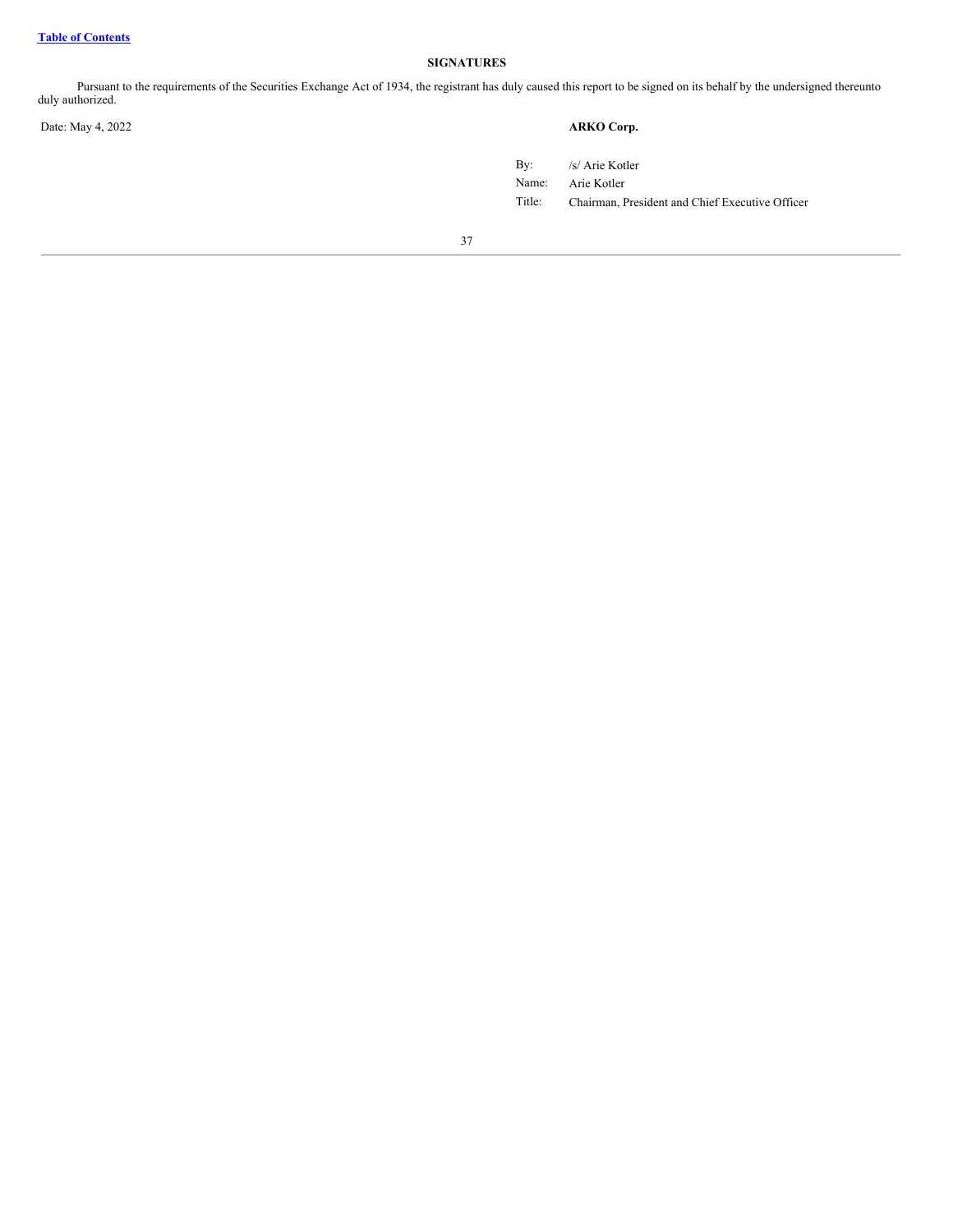### **SIGNATURES**

<span id="page-36-0"></span>Pursuant to the requirements of the Securities Exchange Act of 1934, the registrant has duly caused this report to be signed on its behalf by the undersigned thereunto duly authorized.

Date: May 4, 2022 **ARKO Corp.**

By: /s/ Arie Kotler

Name: Arie Kotler

Title: Chairman, President and Chief Executive Officer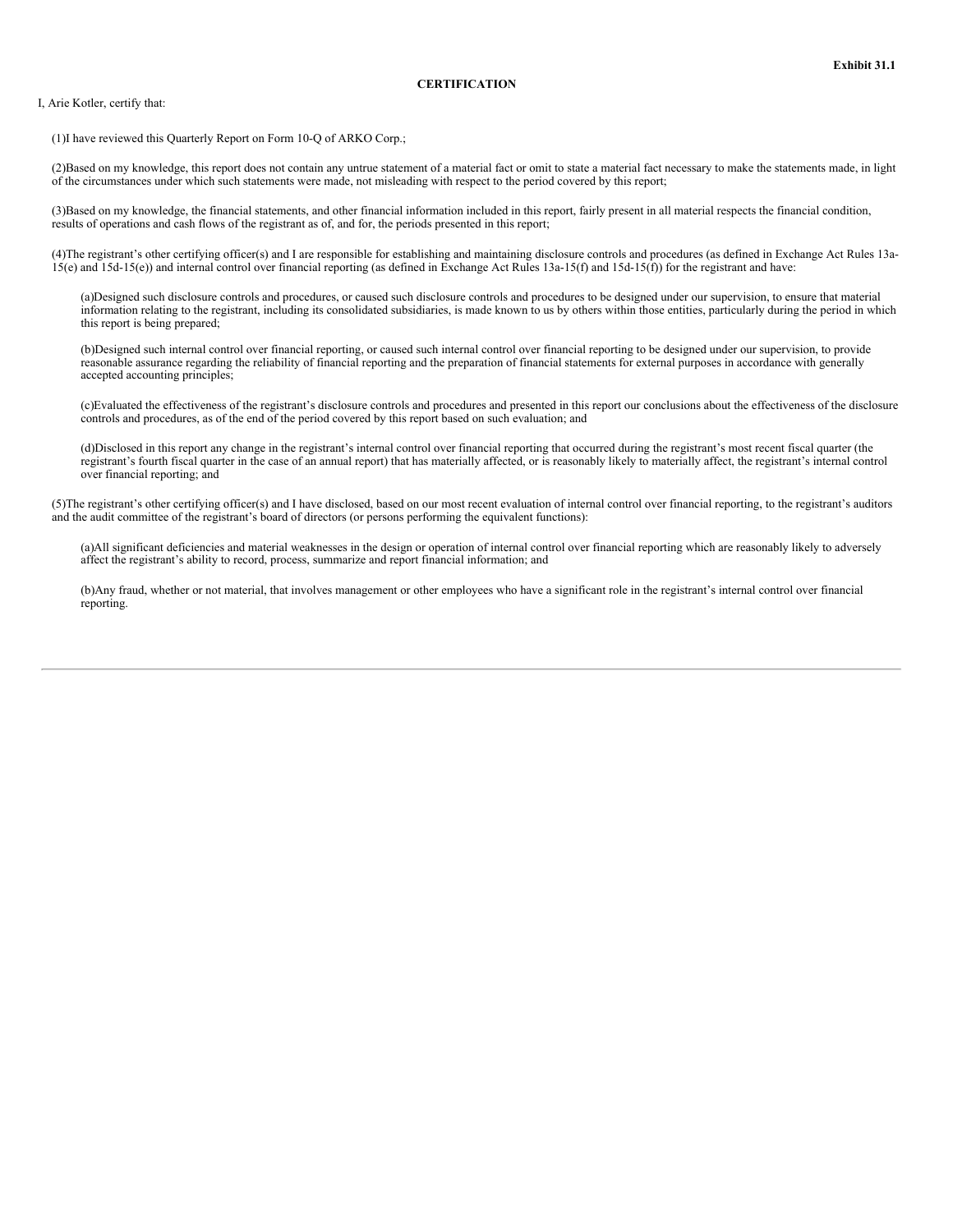### **CERTIFICATION**

I, Arie Kotler, certify that:

(1)I have reviewed this Quarterly Report on Form 10-Q of ARKO Corp.;

(2)Based on my knowledge, this report does not contain any untrue statement of a material fact or omit to state a material fact necessary to make the statements made, in light of the circumstances under which such statements were made, not misleading with respect to the period covered by this report;

(3)Based on my knowledge, the financial statements, and other financial information included in this report, fairly present in all material respects the financial condition, results of operations and cash flows of the registrant as of, and for, the periods presented in this report;

(4)The registrant's other certifying officer(s) and I are responsible for establishing and maintaining disclosure controls and procedures (as defined in Exchange Act Rules 13a- $15(e)$  and  $15d-15(e)$  and internal control over financial reporting (as defined in Exchange Act Rules 13a-15(f) and  $15d-15(f)$  for the registrant and have:

(a)Designed such disclosure controls and procedures, or caused such disclosure controls and procedures to be designed under our supervision, to ensure that material information relating to the registrant, including its consolidated subsidiaries, is made known to us by others within those entities, particularly during the period in which this report is being prepared;

(b)Designed such internal control over financial reporting, or caused such internal control over financial reporting to be designed under our supervision, to provide reasonable assurance regarding the reliability of financial reporting and the preparation of financial statements for external purposes in accordance with generally accepted accounting principles;

(c)Evaluated the effectiveness of the registrant's disclosure controls and procedures and presented in this report our conclusions about the effectiveness of the disclosure controls and procedures, as of the end of the period covered by this report based on such evaluation; and

(d)Disclosed in this report any change in the registrant's internal control over financial reporting that occurred during the registrant's most recent fiscal quarter (the registrant's fourth fiscal quarter in the case of an annual report) that has materially affected, or is reasonably likely to materially affect, the registrant's internal control over financial reporting; and

(5)The registrant's other certifying officer(s) and I have disclosed, based on our most recent evaluation of internal control over financial reporting, to the registrant's auditors and the audit committee of the registrant's board of directors (or persons performing the equivalent functions):

(a)All significant deficiencies and material weaknesses in the design or operation of internal control over financial reporting which are reasonably likely to adversely affect the registrant's ability to record, process, summarize and report financial information; and

(b)Any fraud, whether or not material, that involves management or other employees who have a significant role in the registrant's internal control over financial reporting.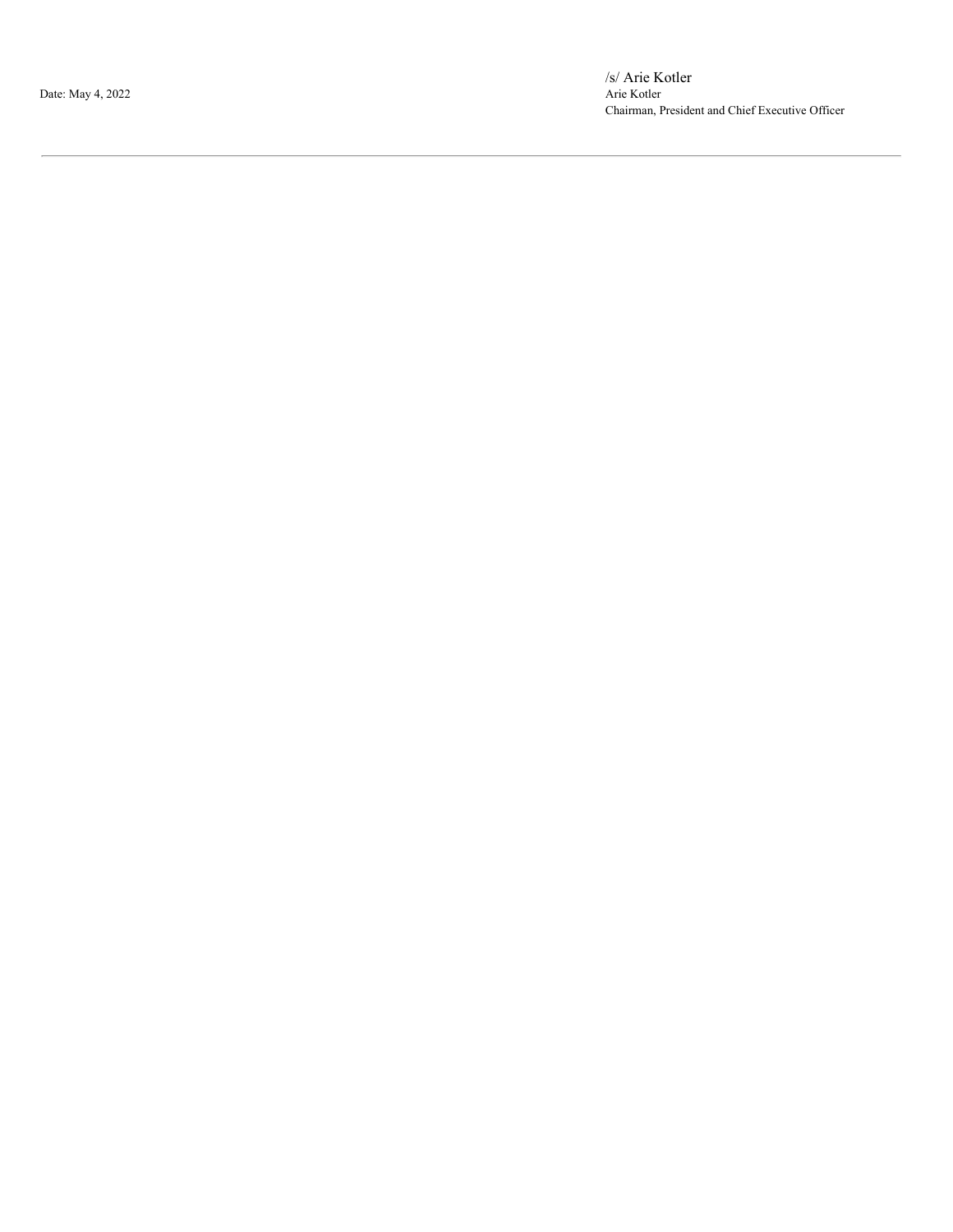<span id="page-39-0"></span>Date: May 4, 2022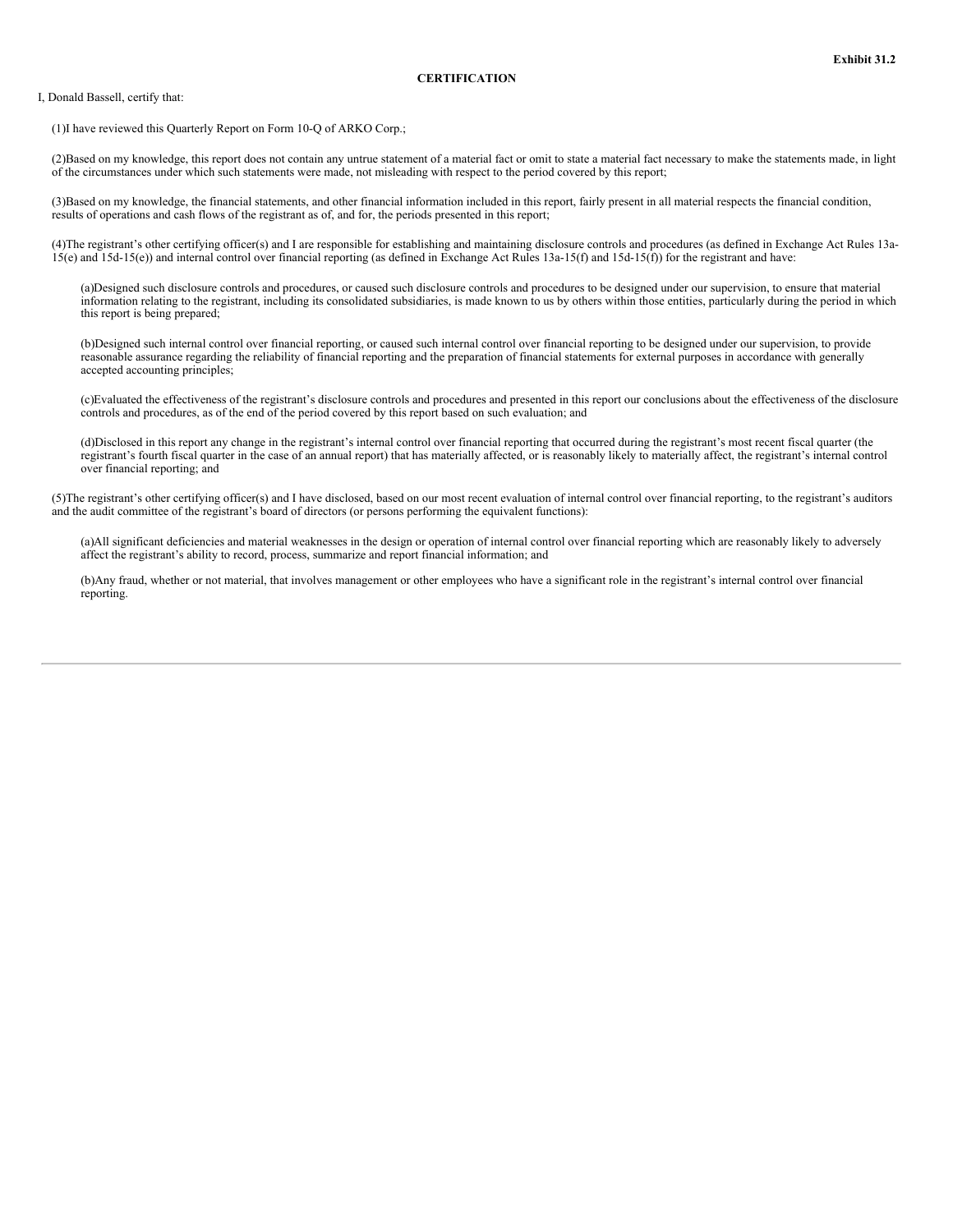### **CERTIFICATION**

I, Donald Bassell, certify that:

(1)I have reviewed this Quarterly Report on Form 10-Q of ARKO Corp.;

(2)Based on my knowledge, this report does not contain any untrue statement of a material fact or omit to state a material fact necessary to make the statements made, in light of the circumstances under which such statements were made, not misleading with respect to the period covered by this report;

(3)Based on my knowledge, the financial statements, and other financial information included in this report, fairly present in all material respects the financial condition, results of operations and cash flows of the registrant as of, and for, the periods presented in this report;

(4)The registrant's other certifying officer(s) and I are responsible for establishing and maintaining disclosure controls and procedures (as defined in Exchange Act Rules 13a-15(e) and 15d-15(e)) and internal control over financial reporting (as defined in Exchange Act Rules 13a-15(f) and 15d-15(f)) for the registrant and have:

(a)Designed such disclosure controls and procedures, or caused such disclosure controls and procedures to be designed under our supervision, to ensure that material information relating to the registrant, including its consolidated subsidiaries, is made known to us by others within those entities, particularly during the period in which this report is being prepared;

(b)Designed such internal control over financial reporting, or caused such internal control over financial reporting to be designed under our supervision, to provide reasonable assurance regarding the reliability of financial reporting and the preparation of financial statements for external purposes in accordance with generally accepted accounting principles;

(c)Evaluated the effectiveness of the registrant's disclosure controls and procedures and presented in this report our conclusions about the effectiveness of the disclosure controls and procedures, as of the end of the period covered by this report based on such evaluation; and

(d)Disclosed in this report any change in the registrant's internal control over financial reporting that occurred during the registrant's most recent fiscal quarter (the registrant's fourth fiscal quarter in the case of an annual report) that has materially affected, or is reasonably likely to materially affect, the registrant's internal control over financial reporting; and

(5)The registrant's other certifying officer(s) and I have disclosed, based on our most recent evaluation of internal control over financial reporting, to the registrant's auditors and the audit committee of the registrant's board of directors (or persons performing the equivalent functions):

(a)All significant deficiencies and material weaknesses in the design or operation of internal control over financial reporting which are reasonably likely to adversely affect the registrant's ability to record, process, summarize and report financial information; and

(b)Any fraud, whether or not material, that involves management or other employees who have a significant role in the registrant's internal control over financial reporting.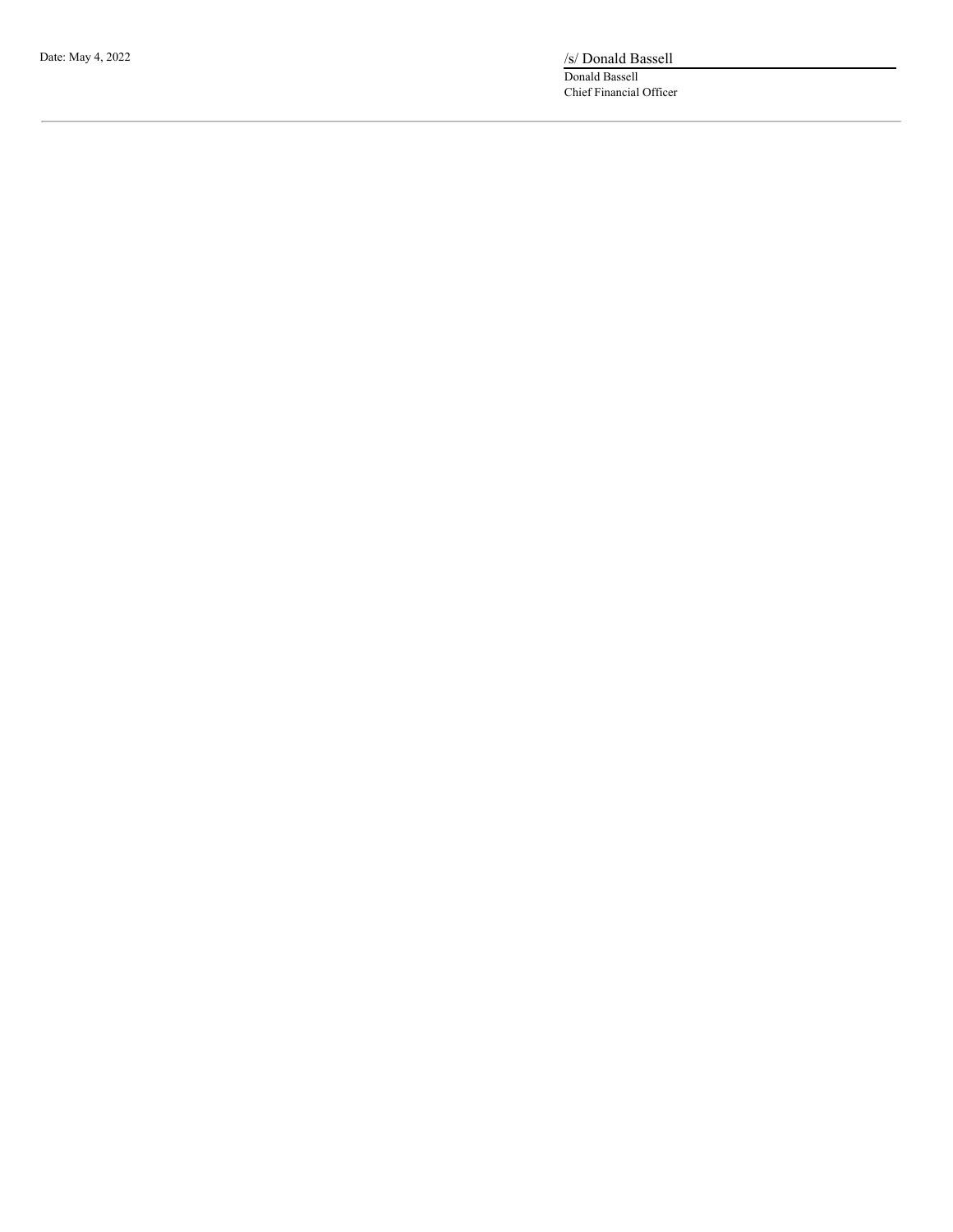<span id="page-42-0"></span>/s/ Donald Bassell

Donald Bassell Chief Financial Officer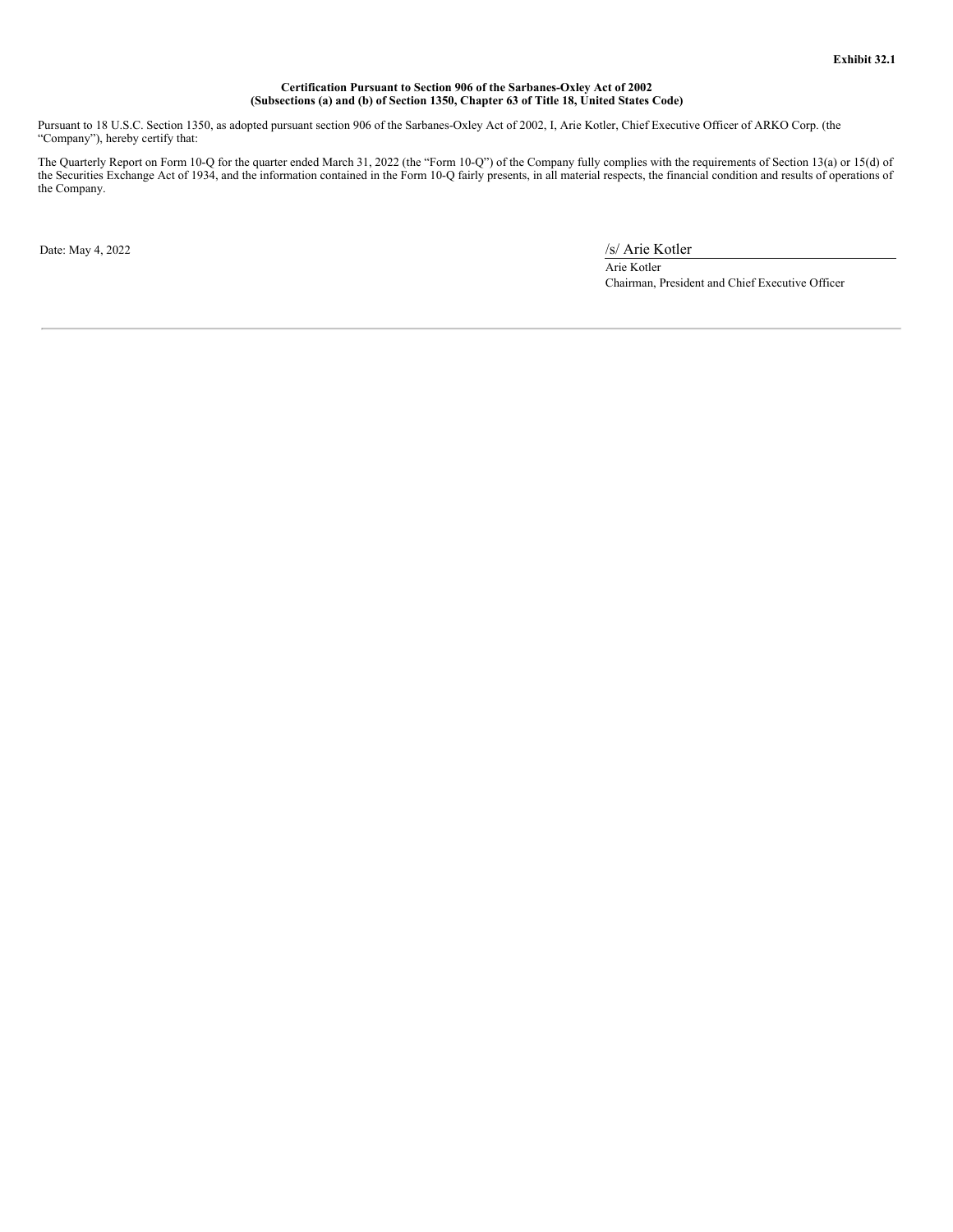### **Certification Pursuant to Section 906 of the Sarbanes-Oxley Act of 2002 (Subsections (a) and (b) of Section 1350, Chapter 63 of Title 18, United States Code)**

<span id="page-44-0"></span>Pursuant to 18 U.S.C. Section 1350, as adopted pursuant section 906 of the Sarbanes-Oxley Act of 2002, I, Arie Kotler, Chief Executive Officer of ARKO Corp. (the "Company"), hereby certify that:

The Quarterly Report on Form 10-Q for the quarter ended March 31, 2022 (the "Form 10-Q") of the Company fully complies with the requirements of Section 13(a) or 15(d) of the Securities Exchange Act of 1934, and the information contained in the Form 10-Q fairly presents, in all material respects, the financial condition and results of operations of the Company.

Date: May 4, 2022 /s/ Arie Kotler

Arie Kotler Chairman, President and Chief Executive Officer